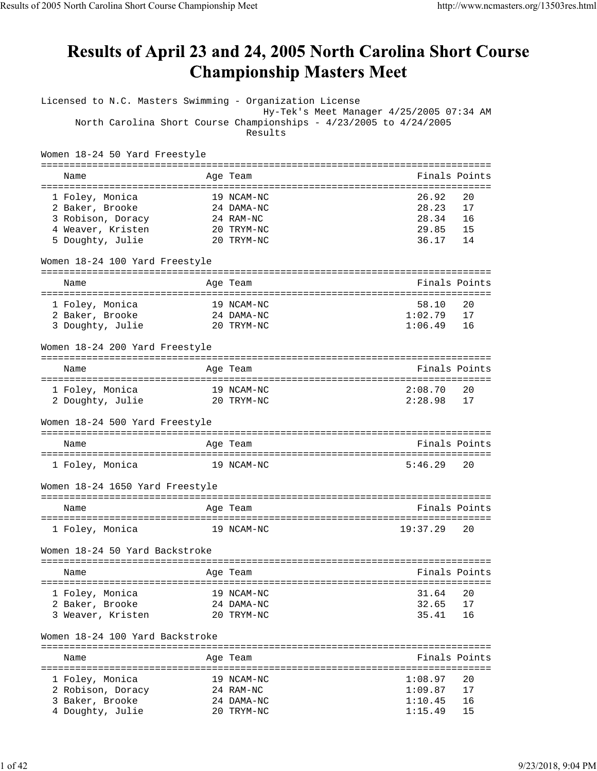## Results of April 23 and 24, 2005 North Carolina Short Course **Championship Masters Meet**

| Licensed to N.C. Masters Swimming - Organization License |                                                                    |               |    |
|----------------------------------------------------------|--------------------------------------------------------------------|---------------|----|
|                                                          | Hy-Tek's Meet Manager 4/25/2005 07:34 AM                           |               |    |
|                                                          | North Carolina Short Course Championships - 4/23/2005 to 4/24/2005 |               |    |
|                                                          | Results                                                            |               |    |
|                                                          |                                                                    |               |    |
| Women 18-24 50 Yard Freestyle                            |                                                                    |               |    |
|                                                          |                                                                    |               |    |
| Name                                                     | Age Team                                                           | Finals Points |    |
|                                                          |                                                                    |               |    |
| 1 Foley, Monica                                          | 19 NCAM-NC                                                         | 26.92         | 20 |
| 2 Baker, Brooke                                          | 24 DAMA-NC                                                         | 28.23         | 17 |
|                                                          |                                                                    | 28.34         |    |
| 3 Robison, Doracy                                        | 24 RAM-NC                                                          |               | 16 |
| 4 Weaver, Kristen                                        | 20 TRYM-NC                                                         | 29.85         | 15 |
| 5 Doughty, Julie                                         | 20 TRYM-NC                                                         | 36.17         | 14 |
|                                                          |                                                                    |               |    |
| Women 18-24 100 Yard Freestyle                           |                                                                    |               |    |
|                                                          |                                                                    |               |    |
| Name                                                     | Age Team                                                           | Finals Points |    |
|                                                          |                                                                    |               |    |
| 1 Foley, Monica                                          | 19 NCAM-NC                                                         | 58.10         | 20 |
| 2 Baker, Brooke                                          | 24 DAMA-NC                                                         | 1:02.79       | 17 |
| 3 Doughty, Julie                                         | 20 TRYM-NC                                                         | 1:06.49       | 16 |
|                                                          |                                                                    |               |    |
| Women 18-24 200 Yard Freestyle                           |                                                                    |               |    |
|                                                          |                                                                    |               |    |
| Name                                                     | Age Team                                                           | Finals Points |    |
|                                                          |                                                                    |               |    |
| 1 Foley, Monica                                          | 19 NCAM-NC                                                         | 2:08.70       | 20 |
| 2 Doughty, Julie                                         | 20 TRYM-NC                                                         | 2:28.98       | 17 |
|                                                          |                                                                    |               |    |
|                                                          |                                                                    |               |    |
| Women 18-24 500 Yard Freestyle                           |                                                                    |               |    |
|                                                          |                                                                    |               |    |
| Name                                                     | Age Team                                                           | Finals Points |    |
|                                                          |                                                                    |               |    |
| 1 Foley, Monica                                          | 19 NCAM-NC                                                         | 5:46.29       | 20 |
|                                                          |                                                                    |               |    |
| Women 18-24 1650 Yard Freestyle                          |                                                                    |               |    |
|                                                          |                                                                    |               |    |
| Name                                                     | Age Team                                                           | Finals Points |    |
| ====================                                     | :=======================                                           |               |    |
| 1 Foley, Monica                                          | 19 NCAM-NC                                                         | 19:37.29      | 20 |
|                                                          |                                                                    |               |    |
| Women 18-24 50 Yard Backstroke                           |                                                                    |               |    |
| ------------------------------                           |                                                                    |               |    |
| Name                                                     | Age Team                                                           | Finals Points |    |
| ----------------------                                   |                                                                    |               |    |
| 1 Foley, Monica                                          | 19 NCAM-NC                                                         | 31.64         | 20 |
| 2 Baker, Brooke                                          | 24 DAMA-NC                                                         | 32.65         | 17 |
| 3 Weaver, Kristen                                        | 20 TRYM-NC                                                         | 35.41         | 16 |
|                                                          |                                                                    |               |    |
| Women 18-24 100 Yard Backstroke                          |                                                                    |               |    |
|                                                          |                                                                    |               |    |
| Name                                                     | Age Team                                                           | Finals Points |    |
|                                                          |                                                                    |               |    |
| 1 Foley, Monica                                          | 19 NCAM-NC                                                         | 1:08.97       | 20 |
| 2 Robison, Doracy                                        | 24 RAM-NC                                                          | 1:09.87       | 17 |
|                                                          |                                                                    |               | 16 |
| 3 Baker, Brooke                                          | 24 DAMA-NC                                                         | 1:10.45       |    |
| 4 Doughty, Julie                                         | 20 TRYM-NC                                                         | 1:15.49       | 15 |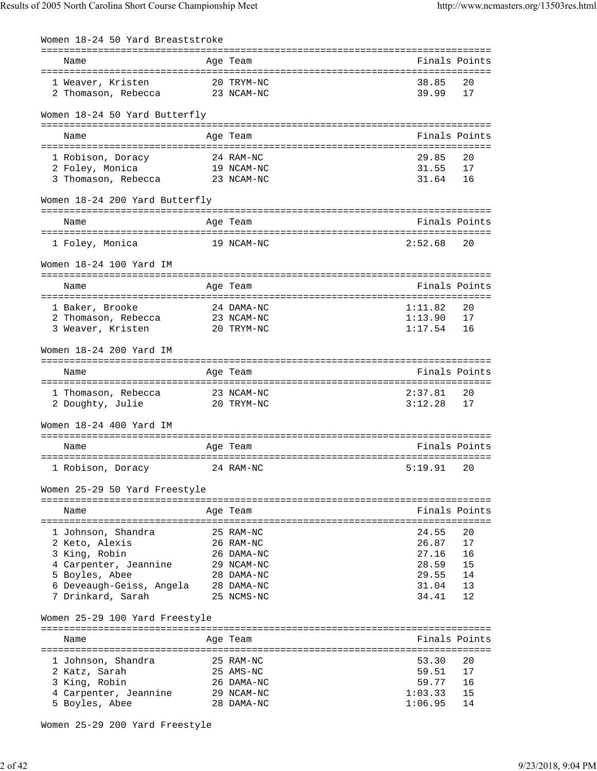| Women 18-24 50 Yard Breaststroke                    |                          |                |               |
|-----------------------------------------------------|--------------------------|----------------|---------------|
| Name                                                | Age Team                 |                | Finals Points |
|                                                     |                          |                |               |
| 1 Weaver, Kristen<br>2 Thomason, Rebecca 23 NCAM-NC | 20 TRYM-NC               | 38.85<br>39.99 | 20<br>17      |
| Women 18-24 50 Yard Butterfly                       |                          |                |               |
| Name                                                | Age Team                 |                | Finals Points |
|                                                     |                          |                |               |
| 1 Robison, Doracy<br>19 NCAM-NC<br>2 Foley, Monica  | 24 RAM-NC                | 29.85<br>31.55 | 20<br>17      |
| 3 Thomason, Rebecca 23 NCAM-NC                      |                          | 31.64          | 16            |
| Women 18-24 200 Yard Butterfly                      |                          |                |               |
| Name                                                | Age Team                 |                | Finals Points |
| 1 Foley, Monica                                     | 19 NCAM-NC               | 2:52.68        | 20            |
| Women 18-24 100 Yard IM                             |                          |                |               |
| Name                                                | Age Team                 |                | Finals Points |
| 1 Baker, Brooke                                     | 24 DAMA-NC               | 1:11.82        | 20            |
| 2 Thomason, Rebecca 23 NCAM-NC                      |                          | 1:13.90        | 17            |
| 3 Weaver, Kristen                                   | 20 TRYM-NC               | 1:17.54        | 16            |
| Women 18-24 200 Yard IM                             |                          |                |               |
| Name                                                | Age Team                 |                | Finals Points |
| 1 Thomason, Rebecca                                 | 23 NCAM-NC               | 2:37.81        | 20            |
| 2 Doughty, Julie                                    | 20 TRYM-NC               | 3:12.28        | 17            |
|                                                     |                          |                |               |
| Women 18-24 400 Yard IM                             |                          |                |               |
| Name                                                | Age Team                 |                | Finals Points |
| 1 Robison, Doracy                                   | 24 RAM-NC                | 5:19.91 20     |               |
|                                                     |                          |                |               |
| Women 25-29 50 Yard Freestyle                       |                          |                |               |
| Name                                                | Age Team                 |                | Finals Points |
| 1 Johnson, Shandra                                  | 25 RAM-NC                | 24.55          | 20            |
| 2 Keto, Alexis                                      | 26 RAM-NC                | 26.87          | 17            |
| 3 King, Robin                                       | 26 DAMA-NC               | 27.16          | 16            |
| 4 Carpenter, Jeannine                               | 29 NCAM-NC               | 28.59          | 15            |
| 5 Boyles, Abee                                      | 28 DAMA-NC               | 29.55          | 14            |
| 6 Deveaugh-Geiss, Angela<br>7 Drinkard, Sarah       | 28 DAMA-NC<br>25 NCMS-NC | 31.04<br>34.41 | 13<br>12      |
|                                                     |                          |                |               |
| Women 25-29 100 Yard Freestyle                      |                          |                |               |
| Name                                                | Age Team                 |                | Finals Points |
|                                                     |                          |                |               |
| 1 Johnson, Shandra                                  | 25 RAM-NC                | 53.30          | 20            |
| 2 Katz, Sarah<br>3 King, Robin                      | 25 AMS-NC<br>26 DAMA-NC  | 59.51<br>59.77 | 17<br>16      |
| 4 Carpenter, Jeannine                               | 29 NCAM-NC               | 1:03.33        | 15            |
| 5 Boyles, Abee                                      | 28 DAMA-NC               | 1:06.95        | 14            |

Women 25-29 200 Yard Freestyle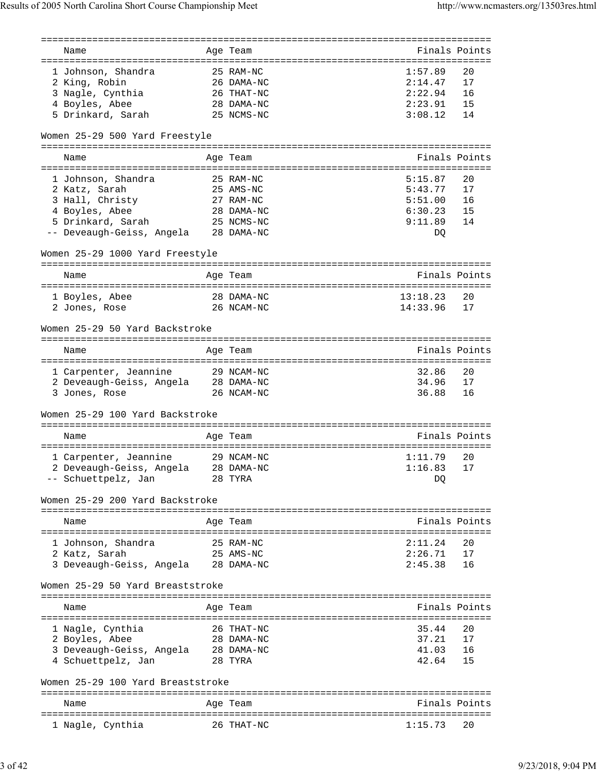| Name                                                                    | Age Team   | Finals Points  |               |
|-------------------------------------------------------------------------|------------|----------------|---------------|
|                                                                         |            |                |               |
| 1 Johnson, Shandra                                                      | 25 RAM-NC  | 1:57.89        | 20            |
| 2 King, Robin                                                           | 26 DAMA-NC | 2:14.47        | 17            |
| 3 Nagle, Cynthia                                                        | 26 THAT-NC | 2:22.94        | 16            |
| 4 Boyles, Abee                                                          | 28 DAMA-NC | 2:23.91        | 15            |
| 5 Drinkard, Sarah                                                       | 25 NCMS-NC | 3:08.12        | 14            |
| Women 25-29 500 Yard Freestyle                                          |            |                |               |
| Name                                                                    | Age Team   | Finals Points  |               |
|                                                                         |            |                |               |
| 1 Johnson, Shandra                                                      | 25 RAM-NC  | 5:15.87        | 20            |
| 2 Katz, Sarah                                                           | 25 AMS-NC  | 5:43.77        | 17            |
| 3 Hall, Christy                                                         | 27 RAM-NC  | 5:51.00        | 16            |
| 4 Boyles, Abee                                                          | 28 DAMA-NC | 6:30.23        | 15            |
| 5 Drinkard, Sarah                                                       | 25 NCMS-NC | 9:11.89        | 14            |
| -- Deveaugh-Geiss, Angela 28 DAMA-NC                                    |            | DQ             |               |
|                                                                         |            |                |               |
| Women 25-29 1000 Yard Freestyle                                         |            |                |               |
| Name                                                                    | Age Team   | Finals Points  |               |
|                                                                         |            |                |               |
| 1 Boyles, Abee                                                          | 28 DAMA-NC | 13:18.23       | 20            |
| 2 Jones, Rose                                                           | 26 NCAM-NC | 14:33.96       | 17            |
| Women 25-29 50 Yard Backstroke                                          |            |                |               |
|                                                                         |            |                |               |
| Name                                                                    | Age Team   | Finals Points  |               |
|                                                                         |            |                |               |
| 1 Carpenter, Jeannine 29 NCAM-NC<br>2 Deveaugh-Geiss, Angela 28 DAMA-NC |            | 32.86<br>34.96 | 20            |
|                                                                         | 26 NCAM-NC | 36.88          | 17            |
| 3 Jones, Rose                                                           |            |                | 16            |
| Women 25-29 100 Yard Backstroke                                         |            |                |               |
| Name                                                                    | Age Team   | Finals Points  |               |
|                                                                         |            |                |               |
| 1 Carpenter, Jeannine                                                   | 29 NCAM-NC | 1:11.79        | 20            |
| 2 Deveaugh-Geiss, Angela 28 DAMA-NC                                     |            | 1:16.83        | $17$          |
| -- Schuettpelz, Jan                                                     | 28 TYRA    | DQ             |               |
| Women 25-29 200 Yard Backstroke                                         |            |                |               |
| Name                                                                    | Age Team   | Finals Points  |               |
|                                                                         |            |                |               |
| 1 Johnson, Shandra                                                      | 25 RAM-NC  | 2:11.24        | 20            |
| 2 Katz, Sarah                                                           | 25 AMS-NC  | 2:26.71        | 17            |
| 3 Deveaugh-Geiss, Angela                                                | 28 DAMA-NC | 2:45.38        | 16            |
| Women 25-29 50 Yard Breaststroke                                        |            |                |               |
| Name                                                                    | Age Team   | Finals Points  |               |
|                                                                         |            |                |               |
| 1 Nagle, Cynthia                                                        | 26 THAT-NC | 35.44          | 20            |
| 2 Boyles, Abee                                                          | 28 DAMA-NC | 37.21          | 17            |
| 3 Deveaugh-Geiss, Angela                                                | 28 DAMA-NC | 41.03          | 16            |
| 4 Schuettpelz, Jan                                                      | 28 TYRA    | 42.64          | 15            |
| Women 25-29 100 Yard Breaststroke                                       |            |                |               |
| Name                                                                    | Age Team   |                | Finals Points |
| 1 Nagle, Cynthia                                                        | 26 THAT-NC | 1:15.73        | 20            |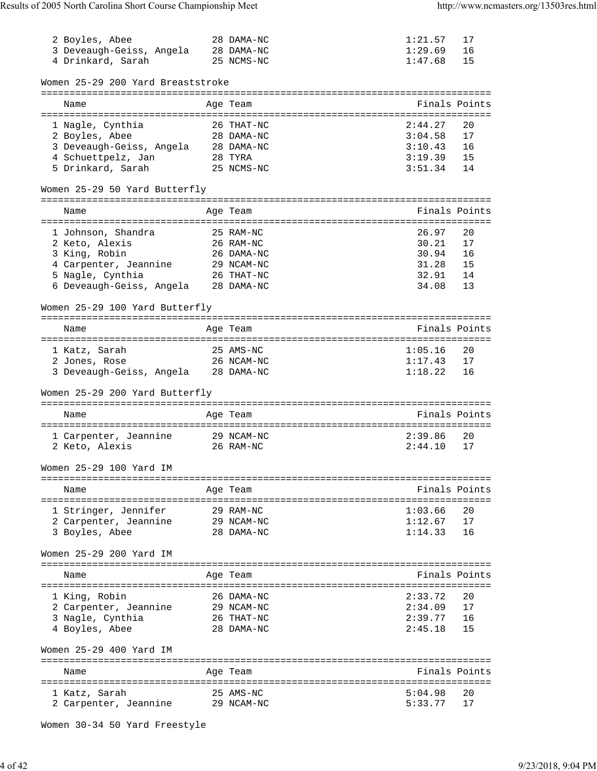| 2 Boyles, Abee                         | 28 DAMA-NC              | 1:21.57            | 17            |
|----------------------------------------|-------------------------|--------------------|---------------|
| 3 Deveaugh-Geiss, Angela 28 DAMA-NC    |                         | 1:29.69            | 16            |
| 4 Drinkard, Sarah                      | 25 NCMS-NC              | 1:47.68            | 15            |
|                                        |                         |                    |               |
|                                        |                         |                    |               |
| Women 25-29 200 Yard Breaststroke      |                         |                    |               |
|                                        |                         |                    |               |
| Name                                   | Age Team                |                    | Finals Points |
|                                        |                         |                    |               |
| 1 Nagle, Cynthia                       | 26 THAT-NC              | 2:44.27            | 20            |
| 2 Boyles, Abee                         | 28 DAMA-NC              | 3:04.58            | 17            |
| 3 Deveaugh-Geiss, Angela 28 DAMA-NC    |                         | 3:10.43            | 16            |
|                                        |                         |                    |               |
| 4 Schuettpelz, Jan                     | 28 TYRA                 | 3:19.39            | 15            |
| 5 Drinkard, Sarah                      | 25 NCMS-NC              | 3:51.34            | 14            |
|                                        |                         |                    |               |
| Women 25-29 50 Yard Butterfly          |                         |                    |               |
|                                        |                         |                    |               |
| Name                                   | Age Team                | Finals Points      |               |
|                                        |                         |                    |               |
| 1 Johnson, Shandra                     | 25 RAM-NC               | 26.97              | 20            |
|                                        |                         |                    |               |
| 2 Keto, Alexis                         | 26 RAM-NC               | 30.21              | 17            |
| 3 King, Robin                          | 26 DAMA-NC              | 30.94              | 16            |
| 4 Carpenter, Jeannine                  | 29 NCAM-NC              | 31.28              | 15            |
| 5 Nagle, Cynthia                       | 26 THAT-NC              | 32.91              | 14            |
| 6 Deveaugh-Geiss, Angela               | 28 DAMA-NC              | 34.08              | 13            |
|                                        |                         |                    |               |
| Women 25-29 100 Yard Butterfly         |                         |                    |               |
|                                        |                         |                    |               |
|                                        |                         |                    |               |
| Name                                   | Age Team                |                    | Finals Points |
|                                        |                         |                    |               |
| 1 Katz, Sarah                          | 25 AMS-NC               | 1:05.16            | 20            |
| 2 Jones, Rose                          | 26 NCAM-NC              | 1:17.43            | 17            |
| 3 Deveaugh-Geiss, Angela 28 DAMA-NC    |                         | 1:18.22            | 16            |
|                                        |                         |                    |               |
|                                        |                         |                    |               |
|                                        |                         |                    |               |
| Women 25-29 200 Yard Butterfly         |                         |                    |               |
|                                        |                         |                    |               |
| Name                                   | Age Team                | Finals Points      |               |
|                                        |                         |                    |               |
| 1 Carpenter, Jeannine 29 NCAM-NC       |                         | 2:39.86            | 20            |
| 2 Keto, Alexis                         | 26 RAM-NC               | 2:44.10            | 17            |
|                                        |                         |                    |               |
| Women 25-29 100 Yard IM                |                         |                    |               |
|                                        |                         |                    |               |
| Name                                   |                         |                    | Finals Points |
|                                        | Age Team                |                    |               |
|                                        |                         |                    |               |
| 1 Stringer, Jennifer                   | 29 RAM-NC               | 1:03.66            | 20            |
| 2 Carpenter, Jeannine                  | 29 NCAM-NC              | 1:12.67            | 17            |
| 3 Boyles, Abee                         | 28 DAMA-NC              | 1:14.33            | 16            |
|                                        |                         |                    |               |
| Women 25-29 200 Yard IM                |                         |                    |               |
|                                        |                         |                    |               |
| Name                                   |                         |                    | Finals Points |
|                                        | Age Team                |                    |               |
|                                        |                         |                    |               |
| 1 King, Robin                          | 26 DAMA-NC              | 2:33.72            | 20            |
| 2 Carpenter, Jeannine                  | 29 NCAM-NC              | 2:34.09            | 17            |
| 3 Nagle, Cynthia                       | 26 THAT-NC              | 2:39.77            | 16            |
| 4 Boyles, Abee                         | 28 DAMA-NC              | 2:45.18            | 15            |
|                                        |                         |                    |               |
| Women 25-29 400 Yard IM                |                         |                    |               |
|                                        |                         |                    |               |
|                                        |                         |                    |               |
| Name                                   | Age Team                |                    | Finals Points |
|                                        |                         |                    |               |
| 1 Katz, Sarah<br>2 Carpenter, Jeannine | 25 AMS-NC<br>29 NCAM-NC | 5:04.98<br>5:33.77 | 20<br>17      |

Women 30-34 50 Yard Freestyle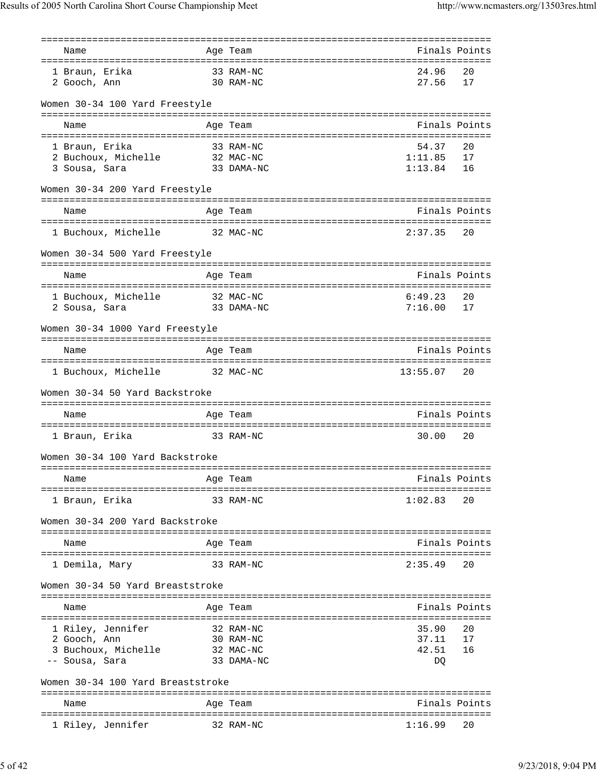|                                   |           | =============<br>===================================== |               |               |
|-----------------------------------|-----------|--------------------------------------------------------|---------------|---------------|
| Name                              |           | Age Team                                               |               | Finals Points |
| 1 Braun, Erika                    |           |                                                        | 24.96         | 20            |
| 2 Gooch, Ann                      | 33 RAM-NC | 30 RAM-NC                                              | 27.56         | 17            |
|                                   |           |                                                        |               |               |
| Women 30-34 100 Yard Freestyle    |           |                                                        |               |               |
| Name                              |           | Age Team                                               |               | Finals Points |
|                                   |           |                                                        |               |               |
| 1 Braun, Erika                    |           | 33 RAM-NC                                              | 54.37         | 20            |
| 2 Buchoux, Michelle               |           | 32 MAC-NC                                              | 1:11.85       | 17            |
| 3 Sousa, Sara                     |           | 33 DAMA-NC                                             | $1:13.84$ 16  |               |
| Women 30-34 200 Yard Freestyle    |           | ====================================                   |               |               |
| Name                              |           | Age Team                                               |               | Finals Points |
|                                   |           |                                                        |               |               |
| 1 Buchoux, Michelle 32 MAC-NC     |           |                                                        | $2:37.35$ 20  |               |
| Women 30-34 500 Yard Freestyle    |           |                                                        |               |               |
| Name                              |           | Age Team                                               | Finals Points |               |
|                                   |           |                                                        |               |               |
| 1 Buchoux, Michelle               | 32 MAC-NC |                                                        | 6:49.23       | 20            |
| 2 Sousa, Sara                     |           | 33 DAMA-NC                                             | 7:16.00       | 17            |
| Women 30-34 1000 Yard Freestyle   |           |                                                        |               |               |
| Name                              |           | Age Team                                               |               | Finals Points |
| 1 Buchoux, Michelle 32 MAC-NC     |           |                                                        | 13:55.07      | 20            |
|                                   |           |                                                        |               |               |
| Women 30-34 50 Yard Backstroke    |           |                                                        |               |               |
| Name                              |           | Age Team                                               | Finals Points |               |
|                                   |           |                                                        |               |               |
| 1 Braun, Erika                    |           | 33 RAM-NC                                              | 30.00         | 20            |
| Women 30-34 100 Yard Backstroke   |           |                                                        |               |               |
|                                   |           |                                                        |               | Finals Points |
| Name<br>====================      |           | Age Team                                               |               |               |
| 1 Braun, Erika                    |           | 33 RAM-NC                                              | 1:02.83       | 20            |
| Women 30-34 200 Yard Backstroke   |           |                                                        |               |               |
|                                   |           |                                                        |               |               |
| Name                              |           | Age Team                                               |               | Finals Points |
| 1 Demila, Mary                    |           | 33 RAM-NC                                              | 2:35.49       | 20            |
|                                   |           |                                                        |               |               |
| Women 30-34 50 Yard Breaststroke  |           |                                                        |               |               |
| Name                              |           | Age Team                                               |               | Finals Points |
|                                   |           |                                                        |               |               |
| 1 Riley, Jennifer                 |           | 32 RAM-NC                                              | 35.90         | 20            |
| 2 Gooch, Ann                      |           | 30 RAM-NC                                              | 37.11         | 17            |
| 3 Buchoux, Michelle               |           | 32 MAC-NC                                              | 42.51         | 16            |
| -- Sousa, Sara                    |           | 33 DAMA-NC                                             | DQ            |               |
| Women 30-34 100 Yard Breaststroke |           |                                                        |               |               |
|                                   |           |                                                        |               |               |
| Name                              |           | Age Team                                               |               | Finals Points |
| 1 Riley, Jennifer                 |           | 32 RAM-NC                                              | 1:16.99       | 20            |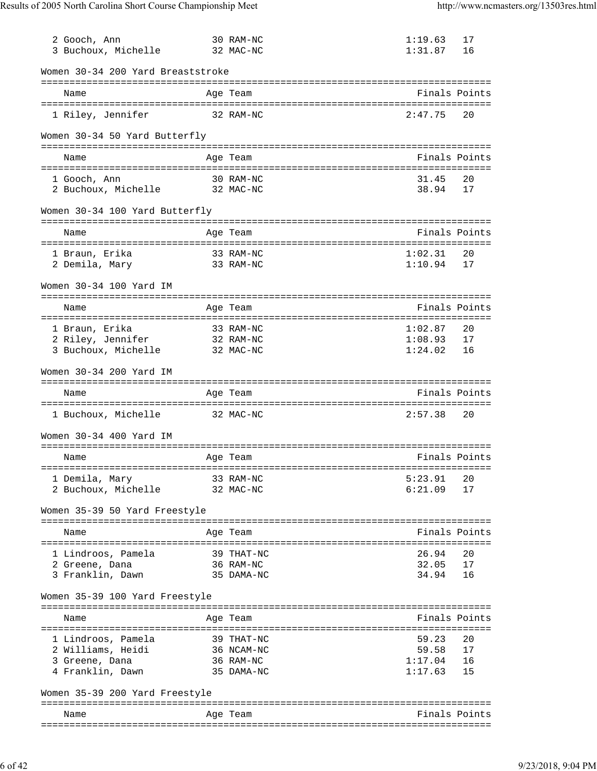| 3 Buchoux, Michelle                                                           | 30 RAM-NC<br>32 MAC-NC                              | 1:19.63<br>1:31.87                   | 17<br>16             |
|-------------------------------------------------------------------------------|-----------------------------------------------------|--------------------------------------|----------------------|
| Women 30-34 200 Yard Breaststroke                                             |                                                     |                                      |                      |
| Name                                                                          | Age Team                                            |                                      | Finals Points        |
| 1 Riley, Jennifer                                                             | 32 RAM-NC                                           | 2:47.75                              | 20                   |
| Women 30-34 50 Yard Butterfly                                                 |                                                     |                                      |                      |
| Name                                                                          | Age Team                                            |                                      | Finals Points        |
| 1 Gooch, Ann<br>2 Buchoux, Michelle 32 MAC-NC                                 | 30 RAM-NC                                           | 31.45<br>38.94                       | 20<br>17             |
| Women 30-34 100 Yard Butterfly                                                |                                                     |                                      |                      |
| Name                                                                          | Age Team                                            |                                      | Finals Points        |
| 1 Braun, Erika<br>33 RAM-NC<br>2 Demila, Mary                                 | 33 RAM-NC                                           | 1:02.31<br>1:10.94                   | 20<br>17             |
| Women 30-34 100 Yard IM                                                       |                                                     |                                      |                      |
| Name                                                                          | Age Team                                            |                                      | Finals Points        |
| 1 Braun, Erika<br>2 Riley, Jennifer<br>3 Buchoux, Michelle                    | 33 RAM-NC<br>32 RAM-NC<br>32 MAC-NC                 | 1:02.87<br>1:08.93<br>1:24.02        | 20<br>17<br>16       |
| Women 30-34 200 Yard IM                                                       |                                                     |                                      |                      |
| Name                                                                          | Age Team                                            |                                      | Finals Points        |
|                                                                               |                                                     |                                      |                      |
| 1 Buchoux, Michelle 32 MAC-NC                                                 |                                                     | 2:57.38                              | 20                   |
| Women 30-34 400 Yard IM                                                       |                                                     |                                      |                      |
| Name                                                                          | Age Team                                            |                                      | Finals Points        |
| 1 Demila, Mary<br>2 Buchoux, Michelle                                         | 33 RAM-NC<br>32 MAC-NC                              | 5:23.91<br>6:21.09                   | 20<br>17             |
| Women 35-39 50 Yard Freestyle                                                 |                                                     |                                      |                      |
| Name                                                                          | Age Team                                            |                                      | Finals Points        |
| 1 Lindroos, Pamela<br>2 Greene, Dana<br>3 Franklin, Dawn                      | 39 THAT-NC<br>36 RAM-NC<br>35 DAMA-NC               | 26.94<br>32.05<br>34.94              | 20<br>17<br>16       |
| Women 35-39 100 Yard Freestyle                                                |                                                     |                                      |                      |
| Name                                                                          | Age Team                                            |                                      | Finals Points        |
| 1 Lindroos, Pamela<br>2 Williams, Heidi<br>3 Greene, Dana<br>4 Franklin, Dawn | 39 THAT-NC<br>36 NCAM-NC<br>36 RAM-NC<br>35 DAMA-NC | 59.23<br>59.58<br>1:17.04<br>1:17.63 | 20<br>17<br>16<br>15 |
| Women 35-39 200 Yard Freestyle                                                |                                                     |                                      |                      |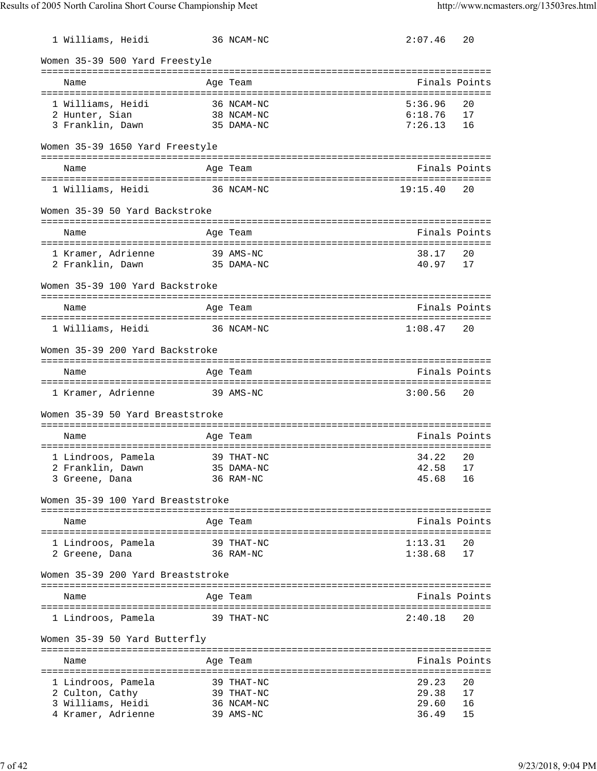| 1 Williams, Heidi                 |            | 36 NCAM-NC | 2:07.46       | 20 |
|-----------------------------------|------------|------------|---------------|----|
| Women 35-39 500 Yard Freestyle    |            |            |               |    |
| Name                              |            | Age Team   | Finals Points |    |
|                                   |            |            |               |    |
| 1 Williams, Heidi                 |            | 36 NCAM-NC | 5:36.96       | 20 |
| 2 Hunter, Sian                    |            | 38 NCAM-NC | 6:18.76       | 17 |
| 3 Franklin, Dawn                  |            | 35 DAMA-NC | 7:26.13       | 16 |
| Women 35-39 1650 Yard Freestyle   |            |            |               |    |
| Name                              |            | Age Team   | Finals Points |    |
| 1 Williams, Heidi                 |            | 36 NCAM-NC | 19:15.40      | 20 |
| Women 35-39 50 Yard Backstroke    |            |            |               |    |
|                                   |            |            |               |    |
| Name                              |            | Age Team   | Finals Points |    |
| 1 Kramer, Adrienne                |            | 39 AMS-NC  | 38.17         | 20 |
| 2 Franklin, Dawn                  | 35 DAMA-NC |            | 40.97         | 17 |
| Women 35-39 100 Yard Backstroke   |            |            |               |    |
|                                   |            |            |               |    |
| Name                              |            | Age Team   | Finals Points |    |
| 1 Williams, Heidi                 |            | 36 NCAM-NC | 1:08.47       | 20 |
| Women 35-39 200 Yard Backstroke   |            |            |               |    |
| Name                              |            | Age Team   | Finals Points |    |
| 1 Kramer, Adrienne                | 39 AMS-NC  |            | 3:00.56       | 20 |
| Women 35-39 50 Yard Breaststroke  |            |            |               |    |
| Name                              |            | Age Team   | Finals Points |    |
| 1 Lindroos, Pamela                |            | 39 THAT-NC | 34.22         | 20 |
| 2 Franklin, Dawn                  | 35 DAMA-NC |            | 42.58         | 17 |
| 3 Greene, Dana                    |            | 36 RAM-NC  | 45.68         | 16 |
| Women 35-39 100 Yard Breaststroke |            |            |               |    |
|                                   |            |            |               |    |
| Name                              |            | Age Team   | Finals Points |    |
| 1 Lindroos, Pamela                |            | 39 THAT-NC | 1:13.31       | 20 |
| 2 Greene, Dana                    |            | 36 RAM-NC  | 1:38.68       | 17 |
| Women 35-39 200 Yard Breaststroke |            |            |               |    |
|                                   |            |            |               |    |
| Name                              |            | Age Team   | Finals Points |    |
| 1 Lindroos, Pamela                |            | 39 THAT-NC | 2:40.18       | 20 |
| Women 35-39 50 Yard Butterfly     |            |            |               |    |
|                                   |            | ========== | Finals Points |    |
| Name                              | :========  | Age Team   |               |    |
| 1 Lindroos, Pamela                |            | 39 THAT-NC | 29.23         | 20 |
| 2 Culton, Cathy                   |            | 39 THAT-NC | 29.38         | 17 |
| 3 Williams, Heidi                 |            | 36 NCAM-NC | 29.60         | 16 |
| 4 Kramer, Adrienne                |            | 39 AMS-NC  | 36.49         | 15 |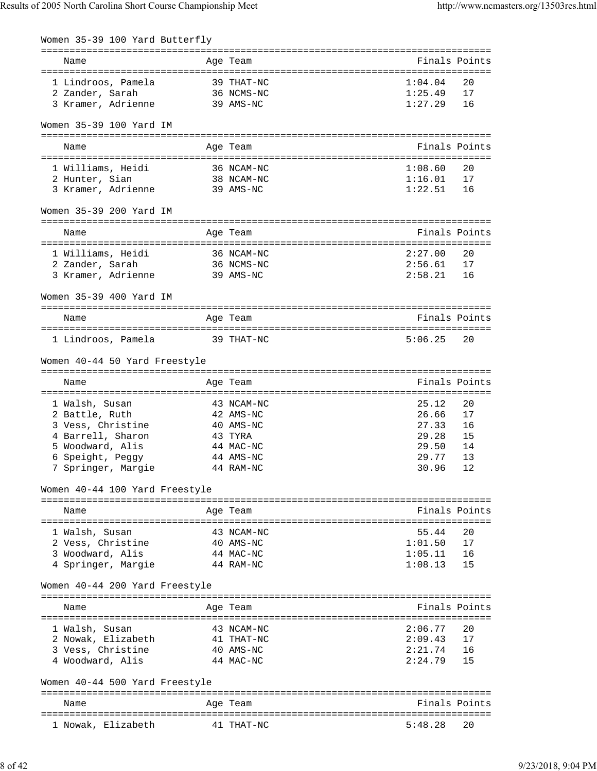| Women 35-39 100 Yard Butterfly                              |             |                        |                       |               |
|-------------------------------------------------------------|-------------|------------------------|-----------------------|---------------|
| Name                                                        |             | Age Team               | Finals Points         |               |
| 1 Lindroos, Pamela                                          |             | 39 THAT-NC             | 1:04.04               | 20            |
| 2 Zander, Sarah                                             |             | 36 NCMS-NC             | 1:25.49               | 17            |
| 3 Kramer, Adrienne                                          |             | 39 AMS-NC              | 1:27.29               | 16            |
| Women 35-39 100 Yard IM                                     |             |                        |                       |               |
| Name                                                        |             | Age Team               | Finals Points         |               |
| 1 Williams, Heidi                                           |             | 36 NCAM-NC             | 1:08.60               | 20            |
| 2 Hunter, Sian                                              |             | 38 NCAM-NC             | 1:16.01               | 17            |
| 3 Kramer, Adrienne                                          |             | 39 AMS-NC              | 1:22.51               | 16            |
| Women 35-39 200 Yard IM                                     |             |                        |                       |               |
| Name                                                        |             | Age Team               |                       | Finals Points |
| 1 Williams, Heidi                                           | 36 NCAM-NC  |                        | 2:27.00               | 20            |
| 2 Zander, Sarah                                             |             | 36 NCMS-NC             | 2:56.61               | 17            |
| 3 Kramer, Adrienne                                          | 39 AMS-NC   |                        | 2:58.21               | 16            |
| Women 35-39 400 Yard IM                                     |             |                        |                       |               |
| Name                                                        |             | Age Team               | Finals Points         |               |
| 1 Lindroos, Pamela 39 THAT-NC                               |             |                        | 5:06.25               | 20            |
|                                                             |             |                        |                       |               |
| Women 40-44 50 Yard Freestyle                               |             |                        |                       |               |
| Name                                                        |             | Age Team               | Finals Points         |               |
| 1 Walsh, Susan                                              |             | 43 NCAM-NC             | 25.12                 | 20            |
| 2 Battle, Ruth                                              |             | 42 AMS-NC              | 26.66                 | 17            |
| 3 Vess, Christine                                           |             | 40 AMS-NC              | 27.33                 | 16            |
| 4 Barrell, Sharon                                           |             | 43 TYRA                | 29.28                 | 15            |
| 5 Woodward, Alis                                            |             | 44 MAC-NC              | 29.50                 | 14            |
| 6 Speight, Peggy                                            |             | 44 AMS-NC              | 29.77                 | 13            |
| 7 Springer, Marqie                                          |             | 44 RAM-NC              | 30.96                 | 12            |
| Women 40-44 100 Yard Freestyle<br>------------------------- |             | -----------            |                       |               |
| Name                                                        |             | Age Team               | --------------------- | Finals Points |
| :=====================                                      | =========== |                        |                       |               |
| 1 Walsh, Susan                                              |             | 43 NCAM-NC             | 55.44<br>1:01.50      | 20<br>17      |
| 2 Vess, Christine<br>3 Woodward, Alis                       |             | 40 AMS-NC<br>44 MAC-NC | 1:05.11               | 16            |
| 4 Springer, Margie                                          |             | 44 RAM-NC              | 1:08.13               | 15            |
| Women 40-44 200 Yard Freestyle                              |             |                        |                       |               |
|                                                             |             |                        |                       |               |
| Name                                                        |             | Age Team               |                       | Finals Points |
| 1 Walsh, Susan                                              |             | 43 NCAM-NC             | 2:06.77               | 20            |
| 2 Nowak, Elizabeth                                          |             | 41 THAT-NC             | 2:09.43               | 17            |
| 3 Vess, Christine                                           |             | 40 AMS-NC              | 2:21.74               | 16            |
| 4 Woodward, Alis                                            |             | 44 MAC-NC              | 2:24.79               | 15            |
| Women 40-44 500 Yard Freestyle                              |             |                        |                       |               |
| Name                                                        |             | Age Team               |                       | Finals Points |
| 1 Nowak, Elizabeth                                          |             | 41 THAT-NC             | 5:48.28               | 20            |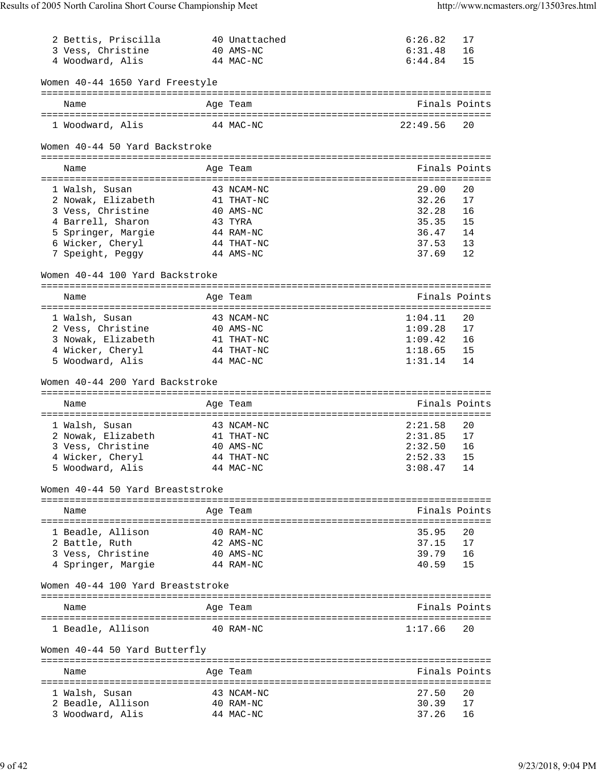| 2 Bettis, Priscilla                  |           | 40 Unattached            | 6:26.82        | 17            |
|--------------------------------------|-----------|--------------------------|----------------|---------------|
| 3 Vess, Christine                    |           | 40 AMS-NC                | 6:31.48        | 16            |
| 4 Woodward, Alis                     |           | 44 MAC-NC                | 6:44.84        | 15            |
|                                      |           |                          |                |               |
| Women 40-44 1650 Yard Freestyle      |           |                          |                |               |
| Name                                 |           | Age Team                 |                | Finals Points |
|                                      |           |                          |                |               |
| 1 Woodward, Alis                     | 44 MAC-NC |                          | 22:49.56       | 20            |
|                                      |           |                          |                |               |
| Women 40-44 50 Yard Backstroke       |           |                          |                |               |
|                                      |           |                          |                |               |
| Name                                 |           | Age Team                 |                | Finals Points |
|                                      |           |                          |                | 20            |
| 1 Walsh, Susan<br>2 Nowak, Elizabeth |           | 43 NCAM-NC<br>41 THAT-NC | 29.00<br>32.26 | 17            |
| 3 Vess, Christine                    |           | 40 AMS-NC                | 32.28          | 16            |
| 4 Barrell, Sharon                    |           | 43 TYRA                  | 35.35          | 15            |
| 5 Springer, Margie                   |           | 44 RAM-NC                | 36.47          | 14            |
| 6 Wicker, Cheryl                     |           | 44 THAT-NC               | 37.53          | 13            |
| 7 Speight, Peggy                     |           | 44 AMS-NC                | 37.69          | 12            |
|                                      |           |                          |                |               |
| Women 40-44 100 Yard Backstroke      |           |                          |                |               |
|                                      |           |                          |                |               |
| Name                                 |           | Age Team                 | Finals Points  |               |
|                                      |           |                          |                |               |
| 1 Walsh, Susan                       |           | 43 NCAM-NC               | 1:04.11        | 20            |
| 2 Vess, Christine                    |           | 40 AMS-NC                | 1:09.28        | 17            |
| 3 Nowak, Elizabeth                   |           | 41 THAT-NC               | 1:09.42        | 16            |
| 4 Wicker, Cheryl                     |           | 44 THAT-NC               | 1:18.65        | 15            |
| 5 Woodward, Alis                     |           | 44 MAC-NC                | 1:31.14        | 14            |
| Women 40-44 200 Yard Backstroke      |           |                          |                |               |
|                                      |           |                          |                |               |
| Name                                 |           | Age Team                 | Finals Points  |               |
|                                      |           |                          |                |               |
| 1 Walsh, Susan                       |           | 43 NCAM-NC               | 2:21.58        | 20            |
| 2 Nowak, Elizabeth                   |           | 41 THAT-NC               | 2:31.85        | 17            |
| 3 Vess, Christine                    |           | 40 AMS-NC                | 2:32.50        | 16            |
| 4 Wicker, Cheryl                     |           | 44 THAT-NC               | 2:52.33        | 15            |
| 5 Woodward, Alis                     |           | 44 MAC-NC                | $3:08.47$ 14   |               |
|                                      |           |                          |                |               |
| Women 40-44 50 Yard Breaststroke     |           |                          |                |               |
|                                      |           |                          |                |               |
| Name                                 |           | Age Team                 |                | Finals Points |
| 1 Beadle, Allison                    |           | 40 RAM-NC                | 35.95          | 20            |
| 2 Battle, Ruth                       |           | 42 AMS-NC                | 37.15          | 17            |
| 3 Vess, Christine                    |           | 40 AMS-NC                | 39.79          | 16            |
| 4 Springer, Margie                   |           | 44 RAM-NC                | 40.59          | 15            |
|                                      |           |                          |                |               |
| Women 40-44 100 Yard Breaststroke    |           |                          |                |               |
|                                      |           |                          |                |               |
| Name                                 |           | Age Team                 | Finals Points  |               |
|                                      |           |                          |                |               |
| 1 Beadle, Allison                    |           | 40 RAM-NC                | 1:17.66        | 20            |
|                                      |           |                          |                |               |
| Women 40-44 50 Yard Butterfly        |           |                          |                |               |
| Name                                 |           | Age Team                 |                | Finals Points |
|                                      |           |                          |                |               |
| 1 Walsh, Susan                       |           | 43 NCAM-NC               | 27.50          | 20            |
| 2 Beadle, Allison                    |           | 40 RAM-NC                | 30.39          | 17            |
| 3 Woodward, Alis                     |           | 44 MAC-NC                | 37.26          | 16            |
|                                      |           |                          |                |               |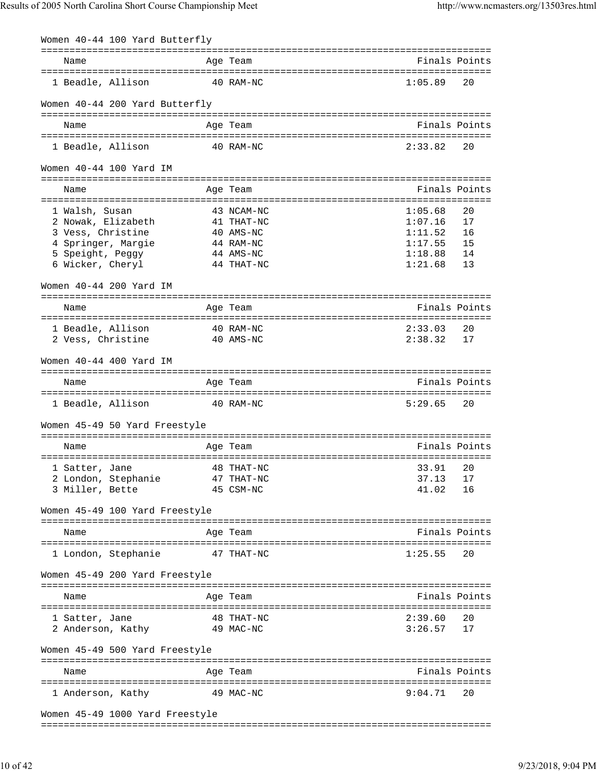| Women 40-44 100 Yard Butterfly                                    |                                                  |                    |               |
|-------------------------------------------------------------------|--------------------------------------------------|--------------------|---------------|
| Name                                                              | ===============================<br>Age Team      |                    | Finals Points |
| 1 Beadle, Allison                                                 | 40 RAM-NC                                        | 1:05.89            | 20            |
| Women 40-44 200 Yard Butterfly                                    |                                                  |                    |               |
| Name                                                              | Age Team                                         | Finals Points      |               |
| 1 Beadle, Allison                                                 | 40 RAM-NC                                        | 2:33.82            | 20            |
| Women 40-44 100 Yard IM<br>====================================== | --------------------------------                 |                    |               |
| Name<br>======================================                    | Age Team<br>===========================          | Finals Points      |               |
| 1 Walsh, Susan                                                    | 43 NCAM-NC                                       | 1:05.68            | 20            |
| 2 Nowak, Elizabeth                                                | 41 THAT-NC                                       | 1:07.16            | 17            |
| 3 Vess, Christine                                                 | 40 AMS-NC                                        | 1:11.52            | 16            |
| 4 Springer, Margie                                                | 44 RAM-NC<br>44 AMS-NC                           | 1:17.55<br>1:18.88 | 15<br>14      |
| 5 Speight, Peggy<br>6 Wicker, Cheryl                              | 44 THAT-NC                                       | 1:21.68            | 13            |
|                                                                   |                                                  |                    |               |
| Women 40-44 200 Yard IM                                           | ===============================                  |                    |               |
| Name                                                              | Age Team                                         | Finals Points      |               |
| 1 Beadle, Allison                                                 | ===================================<br>40 RAM-NC | 2:33.03            | 20            |
| 2 Vess, Christine                                                 | 40 AMS-NC                                        | 2:38.32            | 17            |
| Women 40-44 400 Yard IM                                           |                                                  |                    |               |
| Name                                                              | Age Team                                         | Finals Points      |               |
| 1 Beadle, Allison                                                 | 40 RAM-NC                                        | 5:29.65            | 20            |
| Women 45-49 50 Yard Freestyle                                     |                                                  |                    |               |
|                                                                   |                                                  |                    |               |
| Name                                                              | Age Team                                         | Finals Points      |               |
| 1 Satter, Jane                                                    | 48 THAT-NC                                       | 33.91              | 20            |
| 2 London, Stephanie                                               | 47 THAT-NC                                       | 37.13              | 17            |
| 3 Miller, Bette                                                   | 45 CSM-NC                                        | 41.02              | 16            |
| Women 45-49 100 Yard Freestyle                                    |                                                  |                    |               |
|                                                                   |                                                  |                    | Finals Points |
| Name                                                              | Age Team                                         |                    |               |
| 1 London, Stephanie                                               | 47 THAT-NC                                       | 1:25.55            | 20            |
| Women 45-49 200 Yard Freestyle                                    |                                                  |                    |               |
|                                                                   |                                                  | Finals Points      |               |
| Name                                                              | Age Team                                         |                    |               |
| 1 Satter, Jane                                                    | 48 THAT-NC                                       | 2:39.60            | 20            |
| 2 Anderson, Kathy                                                 | 49 MAC-NC                                        | 3:26.57            | 17            |
| Women 45-49 500 Yard Freestyle                                    |                                                  |                    |               |
| Name                                                              | Age Team                                         |                    | Finals Points |
| 1 Anderson, Kathy                                                 | 49 MAC-NC                                        | 9:04.71            | 20            |
| Women 45-49 1000 Yard Freestyle                                   |                                                  |                    |               |
|                                                                   |                                                  |                    |               |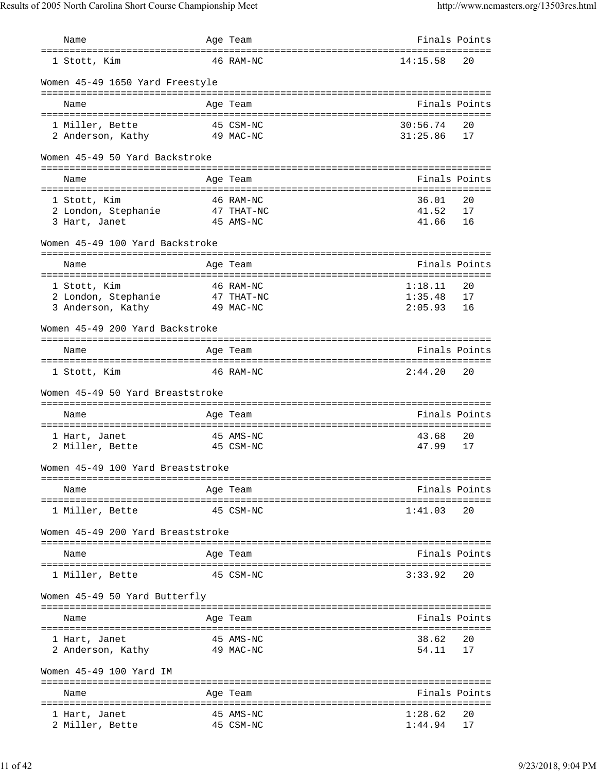| Name                                                                                    | Age Team                                                                                  | Finals Points                 |                |
|-----------------------------------------------------------------------------------------|-------------------------------------------------------------------------------------------|-------------------------------|----------------|
| 1 Stott, Kim                                                                            | 46 RAM-NC                                                                                 | 14:15.58                      | 20             |
| Women 45-49 1650 Yard Freestyle                                                         |                                                                                           |                               |                |
| Name                                                                                    | Age Team                                                                                  | Finals Points                 |                |
| 1 Miller, Bette<br>2 Anderson, Kathy                                                    | 45 CSM-NC<br>49 MAC-NC                                                                    | 30:56.74<br>31:25.86          | 20<br>17       |
| Women 45-49 50 Yard Backstroke                                                          |                                                                                           |                               |                |
| Name                                                                                    | Age Team                                                                                  | Finals Points                 |                |
| 1 Stott, Kim<br>2 London, Stephanie<br>3 Hart, Janet<br>Women 45-49 100 Yard Backstroke | 46 RAM-NC<br>47 THAT-NC<br>45 AMS-NC                                                      | 36.01<br>41.52<br>41.66       | 20<br>17<br>16 |
| Name                                                                                    | Age Team                                                                                  | Finals Points                 |                |
| 1 Stott, Kim<br>2 London, Stephanie<br>3 Anderson, Kathy                                | 46 RAM-NC<br>47 THAT-NC<br>49 MAC-NC                                                      | 1:18.11<br>1:35.48<br>2:05.93 | 20<br>17<br>16 |
| Women 45-49 200 Yard Backstroke                                                         |                                                                                           |                               |                |
| Name                                                                                    | Age Team                                                                                  | Finals Points                 |                |
| 1 Stott, Kim                                                                            | 46 RAM-NC                                                                                 | 2:44.20                       | 20             |
| Women 45-49 50 Yard Breaststroke                                                        |                                                                                           |                               |                |
| Name                                                                                    | Age Team                                                                                  | Finals Points                 |                |
| 1 Hart, Janet<br>2 Miller, Bette                                                        | 45 AMS-NC<br>45 CSM-NC                                                                    | 43.68<br>47.99                | 20<br>17       |
| Women 45-49 100 Yard Breaststroke                                                       |                                                                                           |                               |                |
| Name                                                                                    | Age Team                                                                                  |                               | Finals Points  |
| 1 Miller, Bette                                                                         | 45 CSM-NC                                                                                 | 1:41.03                       | 20             |
| Women 45-49 200 Yard Breaststroke                                                       |                                                                                           |                               |                |
| Name                                                                                    | Age Team                                                                                  | Finals Points                 |                |
| 1 Miller, Bette                                                                         | 45 CSM-NC                                                                                 | 3:33.92                       | 20             |
| Women 45-49 50 Yard Butterfly                                                           |                                                                                           |                               |                |
| Name                                                                                    | Age Team                                                                                  |                               | Finals Points  |
| 1 Hart, Janet<br>2 Anderson, Kathy                                                      | 45 AMS-NC<br>49 MAC-NC                                                                    | 38.62<br>54.11                | 20<br>17       |
| Women 45-49 100 Yard IM                                                                 |                                                                                           |                               |                |
| Name                                                                                    | Age Team                                                                                  | Finals Points                 |                |
| 1 Hart, Janet<br>2 Miller, Bette                                                        | =======================<br>====================================<br>45 AMS-NC<br>45 CSM-NC | 1:28.62<br>1:44.94            | 20<br>17       |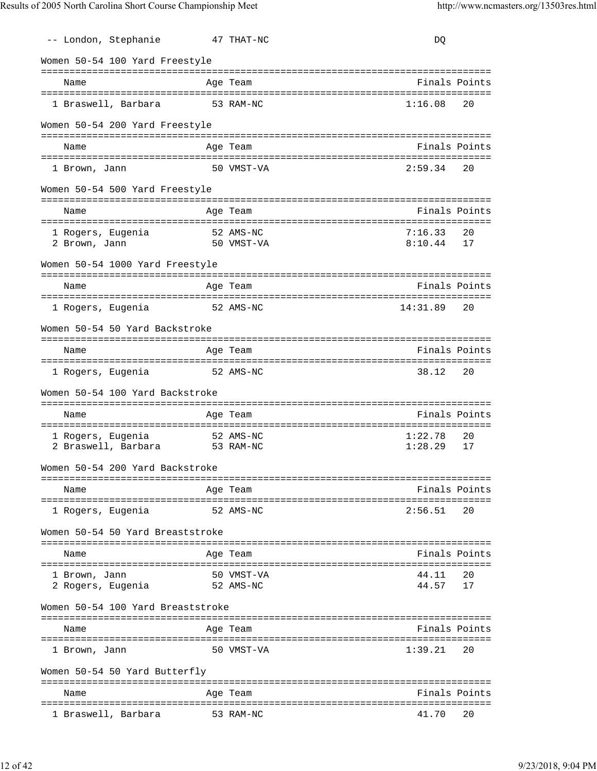| -- London, Stephanie                                  | 47 THAT-NC              | DQ                             |
|-------------------------------------------------------|-------------------------|--------------------------------|
| Women 50-54 100 Yard Freestyle                        |                         |                                |
| Name                                                  | Age Team                | Finals Points                  |
| 1 Braswell, Barbara                                   | 53 RAM-NC               | 1:16.08<br>20                  |
|                                                       |                         |                                |
| Women 50-54 200 Yard Freestyle                        |                         |                                |
| Name                                                  | Age Team                | Finals Points                  |
| 1 Brown, Jann                                         | 50 VMST-VA              | 2:59.34<br>20                  |
| Women 50-54 500 Yard Freestyle                        |                         |                                |
|                                                       |                         | Finals Points                  |
| Name                                                  | Age Team                |                                |
| -<br>1 Rogers, Eugenia<br>2 Brown, Jann               | 52 AMS-NC<br>50 VMST-VA | 7:16.33<br>20<br>8:10.44<br>17 |
| Women 50-54 1000 Yard Freestyle                       |                         |                                |
| Name                                                  | Age Team                | Finals Points                  |
| 1 Rogers, Eugenia                                     | 52 AMS-NC               | 14:31.89<br>20                 |
| Women 50-54 50 Yard Backstroke                        |                         |                                |
| Name                                                  | Age Team                | Finals Points                  |
| 1 Rogers, Eugenia                                     | 52 AMS-NC               | 38.12<br>20                    |
| Women 50-54 100 Yard Backstroke                       |                         |                                |
| Name                                                  | Age Team                | Finals Points                  |
| 1 Rogers, Eugenia                                     | 52 AMS-NC               | 1:22.78<br>20                  |
| 2 Braswell, Barbara                                   | 53 RAM-NC               | 1:28.29<br>17                  |
| Women 50-54 200 Yard Backstroke                       |                         |                                |
| Name                                                  | Age Team                | Finals Points                  |
|                                                       | 52 AMS-NC               | 2:56.51<br>20                  |
| 1 Rogers, Eugenia<br>Women 50-54 50 Yard Breaststroke |                         |                                |
|                                                       |                         |                                |
| Name                                                  | Age Team                | Finals Points                  |
| 1 Brown, Jann                                         | 50 VMST-VA              | 44.11<br>20                    |
| 2 Rogers, Eugenia                                     | 52 AMS-NC               | 44.57<br>17                    |
| Women 50-54 100 Yard Breaststroke                     |                         |                                |
| Name<br>====================                          | Age Team                | Finals Points                  |
| 1 Brown, Jann                                         | 50 VMST-VA              | 1:39.21<br>20                  |
| Women 50-54 50 Yard Butterfly                         |                         |                                |
| Name                                                  | Age Team                | Finals Points                  |
| 1 Braswell, Barbara                                   | 53 RAM-NC               | 41.70<br>20                    |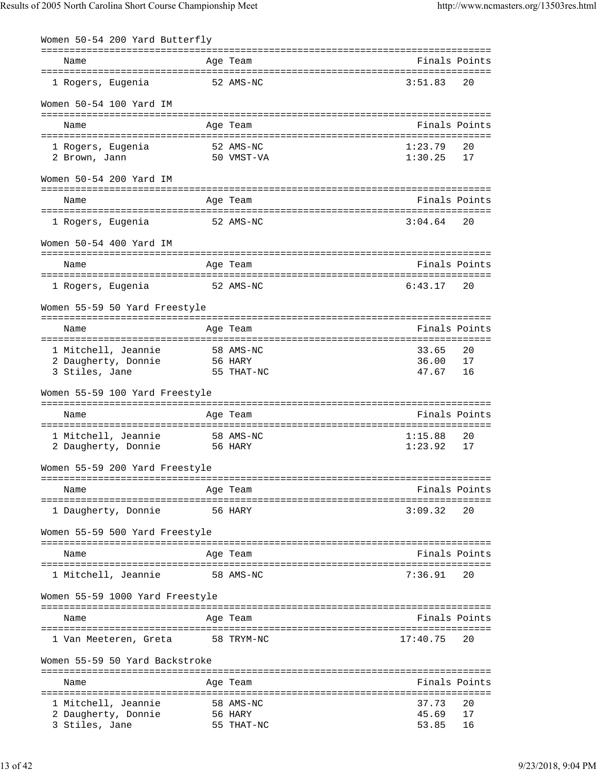| Women 50-54 200 Yard Butterfly        |           |                         |                    |          |
|---------------------------------------|-----------|-------------------------|--------------------|----------|
| Name                                  |           | Age Team                | Finals Points      |          |
| 1 Rogers, Eugenia                     | 52 AMS-NC |                         | 3:51.83            | 20       |
| Women 50-54 100 Yard IM               |           |                         |                    |          |
| Name                                  |           | Age Team                | Finals Points      |          |
|                                       |           |                         |                    |          |
| 1 Rogers, Eugenia<br>2 Brown, Jann    |           | 52 AMS-NC<br>50 VMST-VA | 1:23.79<br>1:30.25 | 20<br>17 |
|                                       |           |                         |                    |          |
| Women 50-54 200 Yard IM               |           |                         |                    |          |
| Name                                  |           | Age Team                | Finals Points      |          |
| 1 Rogers, Eugenia                     |           | 52 AMS-NC               | 3:04.64            | 20       |
| Women 50-54 400 Yard IM               |           |                         |                    |          |
| Name                                  |           | Age Team                | Finals Points      |          |
| 1 Rogers, Eugenia                     |           | 52 AMS-NC               | $6:43.17$ 20       |          |
| Women 55-59 50 Yard Freestyle         |           |                         |                    |          |
| Name                                  |           | Age Team                | Finals Points      |          |
|                                       |           |                         |                    |          |
| 1 Mitchell, Jeannie                   |           | 58 AMS-NC               | 33.65              | 20       |
| 2 Daugherty, Donnie<br>3 Stiles, Jane | 56 HARY   | 55 THAT-NC              | 36.00<br>47.67     | 17<br>16 |
| Women 55-59 100 Yard Freestyle        |           |                         |                    |          |
| Name                                  |           | Age Team                | Finals Points      |          |
| 1 Mitchell, Jeannie                   |           | 58 AMS-NC               | 1:15.88            | 20       |
| 2 Daugherty, Donnie                   |           | 56 HARY                 | 1:23.92            | 17       |
| Women 55-59 200 Yard Freestyle        |           |                         |                    |          |
| Name                                  |           | Age Team                | Finals Points      |          |
|                                       |           |                         |                    |          |
| 1 Daugherty, Donnie                   |           | 56 HARY                 | 3:09.32            | 20       |
| Women 55-59 500 Yard Freestyle        |           |                         |                    |          |
| Name                                  |           | Age Team                | Finals Points      |          |
| 1 Mitchell, Jeannie                   |           | 58 AMS-NC               | 7:36.91            | 20       |
| Women 55-59 1000 Yard Freestyle       |           |                         |                    |          |
| Name                                  |           | Age Team                | Finals Points      |          |
| 1 Van Meeteren, Greta                 |           | 58 TRYM-NC              | 17:40.75           | 20       |
| Women 55-59 50 Yard Backstroke        |           |                         |                    |          |
| Name                                  |           | Age Team                | Finals Points      |          |
| 1 Mitchell, Jeannie                   |           | 58 AMS-NC               | 37.73              | 20       |
| 2 Daugherty, Donnie                   |           | 56 HARY                 | 45.69              | 17       |
| 3 Stiles, Jane                        |           | 55 THAT-NC              | 53.85              | 16       |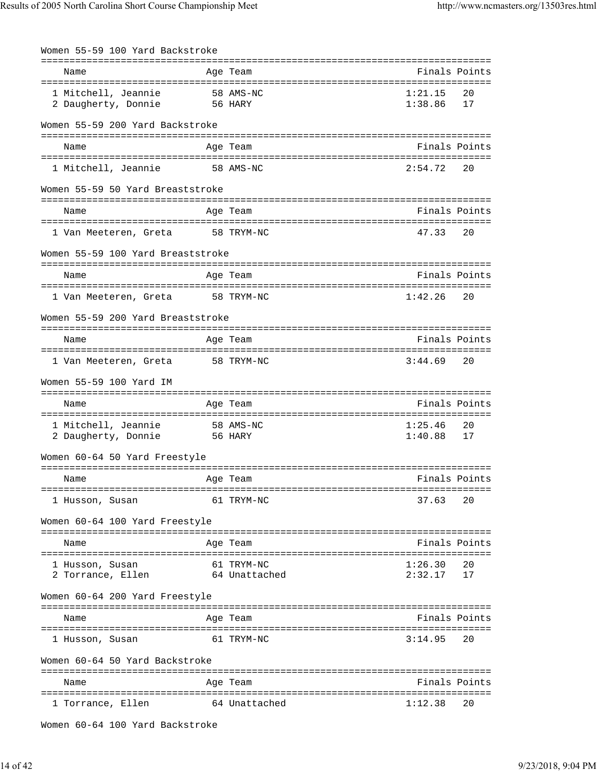| Women 55-59 100 Yard Backstroke            |                      |                    |          |
|--------------------------------------------|----------------------|--------------------|----------|
| Name                                       | Age Team             | Finals Points      |          |
| 1 Mitchell, Jeannie<br>2 Daugherty, Donnie | 58 AMS-NC<br>56 HARY | 1:21.15<br>1:38.86 | 20<br>17 |
| Women 55-59 200 Yard Backstroke            |                      |                    |          |
| Name                                       | Age Team             | Finals Points      |          |
| 1 Mitchell, Jeannie                        | 58 AMS-NC            | 2:54.72            | 20       |
| Women 55-59 50 Yard Breaststroke           |                      |                    |          |
| Name                                       | Age Team             | Finals Points      |          |
| 1 Van Meeteren, Greta                      | 58 TRYM-NC           | 47.33              | 20       |
| Women 55-59 100 Yard Breaststroke          |                      |                    |          |
| Name                                       | Age Team             | Finals Points      |          |
| 1 Van Meeteren, Greta                      | 58 TRYM-NC           | 1:42.26            | 20       |
| Women 55-59 200 Yard Breaststroke          |                      |                    |          |
| Name                                       | Age Team             | Finals Points      |          |
| 1 Van Meeteren, Greta                      | 58 TRYM-NC           | 3:44.69            | 20       |
| Women 55-59 100 Yard IM                    |                      |                    |          |
| Name                                       | Age Team             | Finals Points      |          |
| 1 Mitchell, Jeannie                        | 58 AMS-NC            | 1:25.46            | 20       |
| 2 Daugherty, Donnie                        | 56 HARY              | 1:40.88            | 17       |
| Women 60-64 50 Yard Freestyle              |                      |                    |          |
| Name                                       | Age Team             | Finals Points      |          |
| 1 Husson, Susan                            | 61 TRYM-NC           | 37.63              | 20       |
| Women 60-64 100 Yard Freestyle             |                      |                    |          |
|                                            |                      |                    |          |
| Name                                       | Age Team             | Finals Points      |          |
| 1 Husson, Susan                            | 61 TRYM-NC           | 1:26.30            | 20       |
| 2 Torrance, Ellen                          | 64 Unattached        | 2:32.17            | 17       |
| Women 60-64 200 Yard Freestyle             |                      |                    |          |
| Name                                       | Age Team             | Finals Points      |          |
| 1 Husson, Susan                            | 61 TRYM-NC           | 3:14.95            | 20       |
| Women 60-64 50 Yard Backstroke             |                      |                    |          |
| Name                                       | Age Team             | Finals Points      |          |
| 1 Torrance, Ellen                          | 64 Unattached        | 1:12.38            | 20       |
|                                            |                      |                    |          |

Women 60-64 100 Yard Backstroke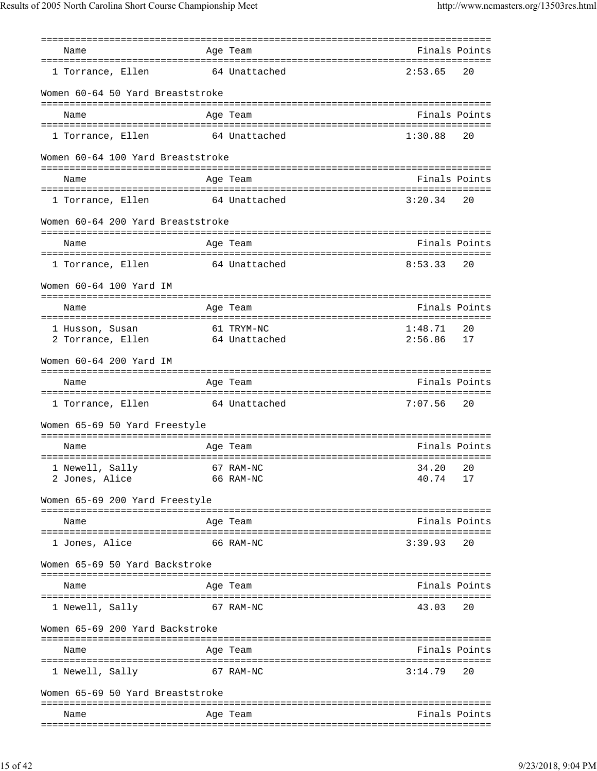| Finals Points<br>Name<br>Age Team<br>1 Torrance, Ellen<br>64 Unattached<br>2:53.65<br>20<br>Women 60-64 50 Yard Breaststroke<br>Age Team<br>Finals Points<br>Name<br>1:30.88<br>1 Torrance, Ellen<br>64 Unattached<br>20<br>Women 60-64 100 Yard Breaststroke<br>Finals Points<br>Name<br>Age Team<br>64 Unattached<br>1 Torrance, Ellen<br>3:20.34<br>20<br>Women 60-64 200 Yard Breaststroke<br>Age Team<br>Finals Points<br>Name<br>1 Torrance, Ellen 64 Unattached<br>8:53.33<br>20<br>Women 60-64 100 Yard IM<br>Finals Points<br>Name<br>Age Team<br>61 TRYM-NC<br>1:48.71<br>20<br>1 Husson, Susan<br>2 Torrance, Ellen 64 Unattached<br>2:56.86<br>17<br>Women 60-64 200 Yard IM<br>Finals Points<br>Age Team<br>Name<br>7:07.56<br>1 Torrance, Ellen 64 Unattached<br>20<br>Women 65-69 50 Yard Freestyle<br>Finals Points<br>Name<br>Age Team<br>67 RAM-NC<br>34.20<br>20<br>1 Newell, Sally<br>2 Jones, Alice<br>66 RAM-NC<br>40.74<br>17<br>Women 65-69 200 Yard Freestyle<br>Finals Points<br>Age Team<br>Name<br>========================<br>1 Jones, Alice<br>66 RAM-NC<br>3:39.93<br>20<br>Women 65-69 50 Yard Backstroke<br>Finals Points<br>Age Team<br>Name<br>1 Newell, Sally<br>67 RAM-NC<br>43.03<br>20<br>Women 65-69 200 Yard Backstroke<br>Finals Points<br>Name<br>Age Team<br>==============================<br>1 Newell, Sally<br>3:14.79<br>20<br>67 RAM-NC<br>Women 65-69 50 Yard Breaststroke<br>Finals Points<br>Age Team<br>Name |  |  |  |
|-------------------------------------------------------------------------------------------------------------------------------------------------------------------------------------------------------------------------------------------------------------------------------------------------------------------------------------------------------------------------------------------------------------------------------------------------------------------------------------------------------------------------------------------------------------------------------------------------------------------------------------------------------------------------------------------------------------------------------------------------------------------------------------------------------------------------------------------------------------------------------------------------------------------------------------------------------------------------------------------------------------------------------------------------------------------------------------------------------------------------------------------------------------------------------------------------------------------------------------------------------------------------------------------------------------------------------------------------------------------------------------------------------------------------------------------------------------------|--|--|--|
|                                                                                                                                                                                                                                                                                                                                                                                                                                                                                                                                                                                                                                                                                                                                                                                                                                                                                                                                                                                                                                                                                                                                                                                                                                                                                                                                                                                                                                                                   |  |  |  |
|                                                                                                                                                                                                                                                                                                                                                                                                                                                                                                                                                                                                                                                                                                                                                                                                                                                                                                                                                                                                                                                                                                                                                                                                                                                                                                                                                                                                                                                                   |  |  |  |
|                                                                                                                                                                                                                                                                                                                                                                                                                                                                                                                                                                                                                                                                                                                                                                                                                                                                                                                                                                                                                                                                                                                                                                                                                                                                                                                                                                                                                                                                   |  |  |  |
|                                                                                                                                                                                                                                                                                                                                                                                                                                                                                                                                                                                                                                                                                                                                                                                                                                                                                                                                                                                                                                                                                                                                                                                                                                                                                                                                                                                                                                                                   |  |  |  |
|                                                                                                                                                                                                                                                                                                                                                                                                                                                                                                                                                                                                                                                                                                                                                                                                                                                                                                                                                                                                                                                                                                                                                                                                                                                                                                                                                                                                                                                                   |  |  |  |
|                                                                                                                                                                                                                                                                                                                                                                                                                                                                                                                                                                                                                                                                                                                                                                                                                                                                                                                                                                                                                                                                                                                                                                                                                                                                                                                                                                                                                                                                   |  |  |  |
|                                                                                                                                                                                                                                                                                                                                                                                                                                                                                                                                                                                                                                                                                                                                                                                                                                                                                                                                                                                                                                                                                                                                                                                                                                                                                                                                                                                                                                                                   |  |  |  |
|                                                                                                                                                                                                                                                                                                                                                                                                                                                                                                                                                                                                                                                                                                                                                                                                                                                                                                                                                                                                                                                                                                                                                                                                                                                                                                                                                                                                                                                                   |  |  |  |
|                                                                                                                                                                                                                                                                                                                                                                                                                                                                                                                                                                                                                                                                                                                                                                                                                                                                                                                                                                                                                                                                                                                                                                                                                                                                                                                                                                                                                                                                   |  |  |  |
|                                                                                                                                                                                                                                                                                                                                                                                                                                                                                                                                                                                                                                                                                                                                                                                                                                                                                                                                                                                                                                                                                                                                                                                                                                                                                                                                                                                                                                                                   |  |  |  |
|                                                                                                                                                                                                                                                                                                                                                                                                                                                                                                                                                                                                                                                                                                                                                                                                                                                                                                                                                                                                                                                                                                                                                                                                                                                                                                                                                                                                                                                                   |  |  |  |
|                                                                                                                                                                                                                                                                                                                                                                                                                                                                                                                                                                                                                                                                                                                                                                                                                                                                                                                                                                                                                                                                                                                                                                                                                                                                                                                                                                                                                                                                   |  |  |  |
|                                                                                                                                                                                                                                                                                                                                                                                                                                                                                                                                                                                                                                                                                                                                                                                                                                                                                                                                                                                                                                                                                                                                                                                                                                                                                                                                                                                                                                                                   |  |  |  |
|                                                                                                                                                                                                                                                                                                                                                                                                                                                                                                                                                                                                                                                                                                                                                                                                                                                                                                                                                                                                                                                                                                                                                                                                                                                                                                                                                                                                                                                                   |  |  |  |
|                                                                                                                                                                                                                                                                                                                                                                                                                                                                                                                                                                                                                                                                                                                                                                                                                                                                                                                                                                                                                                                                                                                                                                                                                                                                                                                                                                                                                                                                   |  |  |  |
|                                                                                                                                                                                                                                                                                                                                                                                                                                                                                                                                                                                                                                                                                                                                                                                                                                                                                                                                                                                                                                                                                                                                                                                                                                                                                                                                                                                                                                                                   |  |  |  |
|                                                                                                                                                                                                                                                                                                                                                                                                                                                                                                                                                                                                                                                                                                                                                                                                                                                                                                                                                                                                                                                                                                                                                                                                                                                                                                                                                                                                                                                                   |  |  |  |
|                                                                                                                                                                                                                                                                                                                                                                                                                                                                                                                                                                                                                                                                                                                                                                                                                                                                                                                                                                                                                                                                                                                                                                                                                                                                                                                                                                                                                                                                   |  |  |  |
|                                                                                                                                                                                                                                                                                                                                                                                                                                                                                                                                                                                                                                                                                                                                                                                                                                                                                                                                                                                                                                                                                                                                                                                                                                                                                                                                                                                                                                                                   |  |  |  |
|                                                                                                                                                                                                                                                                                                                                                                                                                                                                                                                                                                                                                                                                                                                                                                                                                                                                                                                                                                                                                                                                                                                                                                                                                                                                                                                                                                                                                                                                   |  |  |  |
|                                                                                                                                                                                                                                                                                                                                                                                                                                                                                                                                                                                                                                                                                                                                                                                                                                                                                                                                                                                                                                                                                                                                                                                                                                                                                                                                                                                                                                                                   |  |  |  |
|                                                                                                                                                                                                                                                                                                                                                                                                                                                                                                                                                                                                                                                                                                                                                                                                                                                                                                                                                                                                                                                                                                                                                                                                                                                                                                                                                                                                                                                                   |  |  |  |
|                                                                                                                                                                                                                                                                                                                                                                                                                                                                                                                                                                                                                                                                                                                                                                                                                                                                                                                                                                                                                                                                                                                                                                                                                                                                                                                                                                                                                                                                   |  |  |  |
|                                                                                                                                                                                                                                                                                                                                                                                                                                                                                                                                                                                                                                                                                                                                                                                                                                                                                                                                                                                                                                                                                                                                                                                                                                                                                                                                                                                                                                                                   |  |  |  |
|                                                                                                                                                                                                                                                                                                                                                                                                                                                                                                                                                                                                                                                                                                                                                                                                                                                                                                                                                                                                                                                                                                                                                                                                                                                                                                                                                                                                                                                                   |  |  |  |
|                                                                                                                                                                                                                                                                                                                                                                                                                                                                                                                                                                                                                                                                                                                                                                                                                                                                                                                                                                                                                                                                                                                                                                                                                                                                                                                                                                                                                                                                   |  |  |  |
|                                                                                                                                                                                                                                                                                                                                                                                                                                                                                                                                                                                                                                                                                                                                                                                                                                                                                                                                                                                                                                                                                                                                                                                                                                                                                                                                                                                                                                                                   |  |  |  |
|                                                                                                                                                                                                                                                                                                                                                                                                                                                                                                                                                                                                                                                                                                                                                                                                                                                                                                                                                                                                                                                                                                                                                                                                                                                                                                                                                                                                                                                                   |  |  |  |
|                                                                                                                                                                                                                                                                                                                                                                                                                                                                                                                                                                                                                                                                                                                                                                                                                                                                                                                                                                                                                                                                                                                                                                                                                                                                                                                                                                                                                                                                   |  |  |  |
|                                                                                                                                                                                                                                                                                                                                                                                                                                                                                                                                                                                                                                                                                                                                                                                                                                                                                                                                                                                                                                                                                                                                                                                                                                                                                                                                                                                                                                                                   |  |  |  |
|                                                                                                                                                                                                                                                                                                                                                                                                                                                                                                                                                                                                                                                                                                                                                                                                                                                                                                                                                                                                                                                                                                                                                                                                                                                                                                                                                                                                                                                                   |  |  |  |
|                                                                                                                                                                                                                                                                                                                                                                                                                                                                                                                                                                                                                                                                                                                                                                                                                                                                                                                                                                                                                                                                                                                                                                                                                                                                                                                                                                                                                                                                   |  |  |  |
|                                                                                                                                                                                                                                                                                                                                                                                                                                                                                                                                                                                                                                                                                                                                                                                                                                                                                                                                                                                                                                                                                                                                                                                                                                                                                                                                                                                                                                                                   |  |  |  |
|                                                                                                                                                                                                                                                                                                                                                                                                                                                                                                                                                                                                                                                                                                                                                                                                                                                                                                                                                                                                                                                                                                                                                                                                                                                                                                                                                                                                                                                                   |  |  |  |
|                                                                                                                                                                                                                                                                                                                                                                                                                                                                                                                                                                                                                                                                                                                                                                                                                                                                                                                                                                                                                                                                                                                                                                                                                                                                                                                                                                                                                                                                   |  |  |  |
|                                                                                                                                                                                                                                                                                                                                                                                                                                                                                                                                                                                                                                                                                                                                                                                                                                                                                                                                                                                                                                                                                                                                                                                                                                                                                                                                                                                                                                                                   |  |  |  |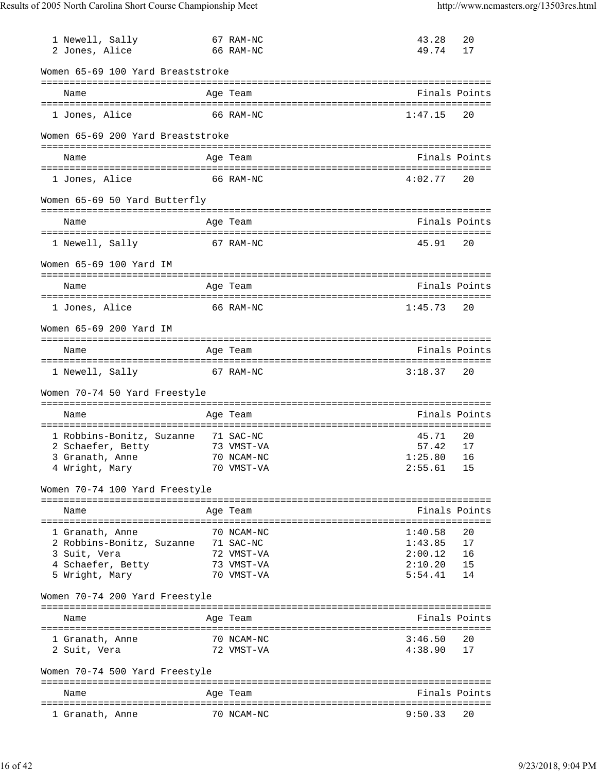| 1 Newell, Sally<br>2 Jones, Alice   | 67 RAM-NC<br>66 RAM-NC | 43.28<br>49.74 | 20<br>17 |
|-------------------------------------|------------------------|----------------|----------|
| Women 65-69 100 Yard Breaststroke   |                        |                |          |
| Name                                | Age Team               | Finals Points  |          |
| 1 Jones, Alice                      | 66 RAM-NC              | 1:47.15        | 20       |
| Women 65-69 200 Yard Breaststroke   |                        |                |          |
| Name                                | Age Team               | Finals Points  |          |
| 1 Jones, Alice                      | 66 RAM-NC              | 4:02.77        | 20       |
| Women 65-69 50 Yard Butterfly       |                        |                |          |
| Name                                | Age Team               | Finals Points  |          |
| 1 Newell, Sally                     | 67 RAM-NC              | 45.91          | 20       |
| Women 65-69 100 Yard IM             |                        |                |          |
| Name                                | Age Team               | Finals Points  |          |
| 1 Jones, Alice                      | 66 RAM-NC              | 1:45.73        | 20       |
| Women 65-69 200 Yard IM             |                        |                |          |
| Name                                | Age Team               | Finals Points  |          |
| 1 Newell, Sally                     | 67 RAM-NC              | 3:18.37        | 20       |
| Women 70-74 50 Yard Freestyle       |                        |                |          |
| Name                                | Age Team               | Finals Points  |          |
| 1 Robbins-Bonitz, Suzanne           | 71 SAC-NC              | 45.71          | 20       |
| 2 Schaefer, Betty                   | 73 VMST-VA             | 57.42          | 17       |
| 3 Granath, Anne                     | 70 NCAM-NC             | 1:25.80        | 16       |
| 4 Wright, Mary                      | 70 VMST-VA             | $2:55.61$ 15   |          |
| Women 70-74 100 Yard Freestyle      |                        |                |          |
| Name                                | Age Team               | Finals Points  |          |
| 1 Granath, Anne                     | 70 NCAM-NC             | 1:40.58        | 20       |
| 2 Robbins-Bonitz, Suzanne 71 SAC-NC |                        | 1:43.85        | 17       |
| 3 Suit, Vera                        | 72 VMST-VA             | 2:00.12        | 16       |
| 4 Schaefer, Betty                   | 73 VMST-VA             | 2:10.20        | 15       |
| 5 Wright, Mary                      | 70 VMST-VA             | 5:54.41        | 14       |
| Women 70-74 200 Yard Freestyle      |                        |                |          |
| Name                                | Age Team               | Finals Points  |          |
| 1 Granath, Anne                     | 70 NCAM-NC             | 3:46.50        | 20       |
| 2 Suit, Vera                        | 72 VMST-VA             | 4:38.90        | 17       |
| Women 70-74 500 Yard Freestyle      |                        |                |          |
| Name                                | Age Team               | Finals Points  |          |
| 1 Granath, Anne                     | 70 NCAM-NC             | 9:50.33        | 20       |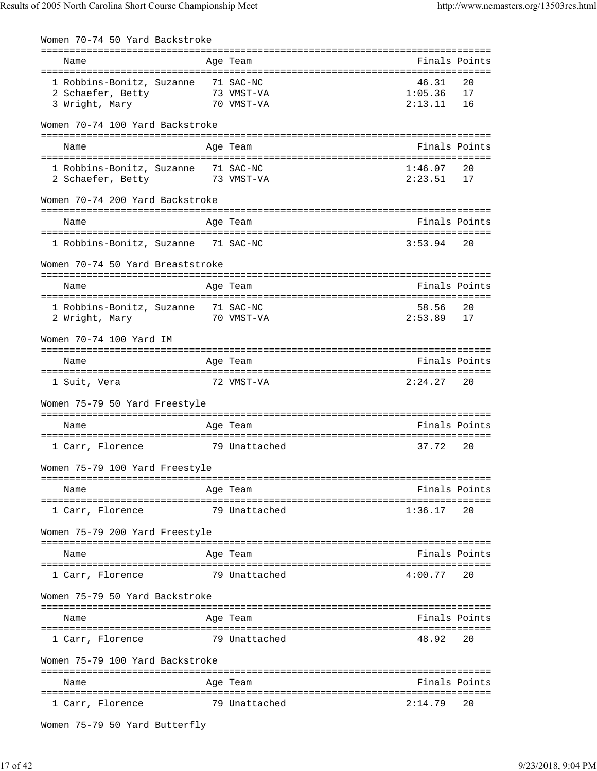| Women 70-74 50 Yard Backstroke                                             |                          |                             |                |
|----------------------------------------------------------------------------|--------------------------|-----------------------------|----------------|
| Name                                                                       | Age Team                 | Finals Points               |                |
| 1 Robbins-Bonitz, Suzanne 71 SAC-NC<br>2 Schaefer, Betty<br>3 Wright, Mary | 73 VMST-VA<br>70 VMST-VA | 46.31<br>1:05.36<br>2:13.11 | 20<br>17<br>16 |
| Women 70-74 100 Yard Backstroke                                            |                          |                             |                |
| Name                                                                       | Age Team                 | Finals Points               |                |
| 1 Robbins-Bonitz, Suzanne 71 SAC-NC<br>2 Schaefer, Betty 73 VMST-VA        |                          | 1:46.07<br>2:23.51          | 20<br>17       |
| Women 70-74 200 Yard Backstroke                                            |                          |                             |                |
| Name                                                                       | Age Team                 | Finals Points               |                |
| 1 Robbins-Bonitz, Suzanne 71 SAC-NC                                        |                          | 3:53.94                     | 20             |
| Women 70-74 50 Yard Breaststroke                                           |                          |                             |                |
| Name                                                                       | Age Team                 | Finals Points               |                |
| 1 Robbins-Bonitz, Suzanne 71 SAC-NC<br>2 Wright, Mary                      | 70 VMST-VA               | 58.56<br>2:53.89            | 20<br>17       |
| Women 70-74 100 Yard IM                                                    |                          |                             |                |
| Name                                                                       | Age Team                 | Finals Points               |                |
| 1 Suit, Vera                                                               | 72 VMST-VA               | 2:24.27                     | 20             |
| Women 75-79 50 Yard Freestyle                                              |                          |                             |                |
| Name                                                                       | Age Team                 | Finals Points               |                |
| 1 Carr, Florence                                                           | 79 Unattached            | 37.72                       | 20             |
| Women 75-79 100 Yard Freestyle                                             |                          |                             |                |
| Name                                                                       | Age Team                 | Finals Points               |                |
| 1 Carr, Florence                                                           | 79 Unattached            | 1:36.17                     | 20             |
| Women 75-79 200 Yard Freestyle                                             |                          |                             |                |
| Name                                                                       | Age Team                 | Finals Points               |                |
| 1 Carr, Florence                                                           | 79 Unattached            | 4:00.77                     | 20             |
| Women 75-79 50 Yard Backstroke                                             |                          |                             |                |
| Name                                                                       | Age Team                 | Finals Points               |                |
| 1 Carr, Florence                                                           | 79 Unattached            | 48.92                       | 20             |
| Women 75-79 100 Yard Backstroke                                            |                          |                             |                |
| Name                                                                       | Age Team                 | Finals Points               |                |
| 1 Carr, Florence                                                           | 79 Unattached            | 2:14.79                     | 20             |

```
Women 75-79 50 Yard Butterfly
```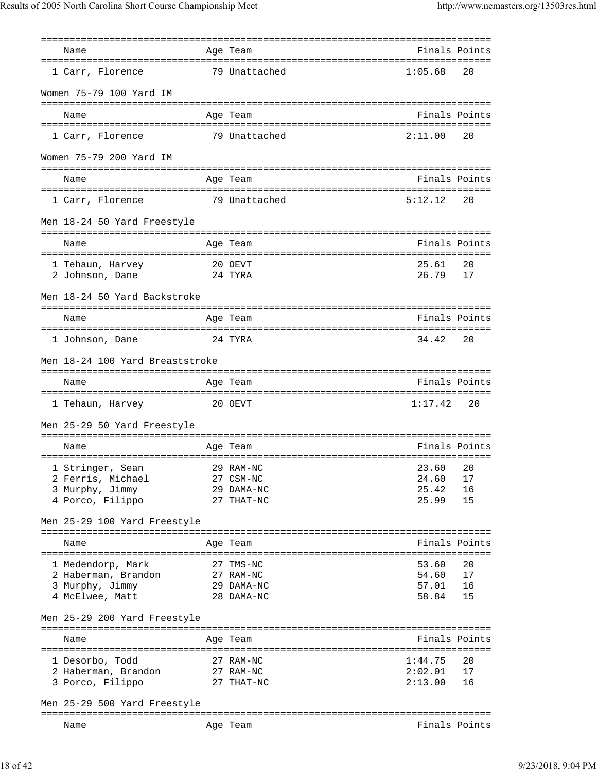| Name                                           |         | Age Team      | Finals Points |    |
|------------------------------------------------|---------|---------------|---------------|----|
| 1 Carr, Florence                               |         | 79 Unattached | 1:05.68       | 20 |
| Women 75-79 100 Yard IM                        |         |               |               |    |
|                                                |         |               |               |    |
| Name                                           |         | Age Team      | Finals Points |    |
|                                                |         |               |               |    |
| 1 Carr, Florence                               |         | 79 Unattached | 2:11.00       | 20 |
| Women 75-79 200 Yard IM                        |         |               |               |    |
| Name                                           |         | Age Team      | Finals Points |    |
|                                                |         |               |               |    |
| 1 Carr, Florence                               |         | 79 Unattached | 5:12.12       | 20 |
| Men 18-24 50 Yard Freestyle                    |         |               |               |    |
|                                                |         |               |               |    |
| Name                                           |         | Age Team      | Finals Points |    |
|                                                |         | 20 OEVT       | 25.61         | 20 |
| 1 Tehaun, Harvey<br>24 TYRA<br>2 Johnson, Dane |         |               | 26.79         | 17 |
|                                                |         |               |               |    |
| Men 18-24 50 Yard Backstroke                   |         |               |               |    |
| Name                                           |         | Age Team      | Finals Points |    |
|                                                |         |               |               |    |
| 1 Johnson, Dane                                |         | 24 TYRA       | 34.42         | 20 |
| Men 18-24 100 Yard Breaststroke                |         |               |               |    |
|                                                |         |               |               |    |
| Name                                           |         | Age Team      | Finals Points |    |
| 1 Tehaun, Harvey                               | 20 OEVT |               | 1:17.42       | 20 |
| Men 25-29 50 Yard Freestyle                    |         |               |               |    |
|                                                |         |               |               |    |
| Name                                           |         | Age Team      | Finals Points |    |
|                                                |         |               |               |    |
| 1 Stringer, Sean                               |         | 29 RAM-NC     | 23.60         | 20 |
| 2 Ferris, Michael                              |         | 27 CSM-NC     | 24.60         | 17 |
| 3 Murphy, Jimmy                                |         | 29 DAMA-NC    | 25.42         | 16 |
| 4 Porco, Filippo                               |         | 27 THAT-NC    | 25.99         | 15 |
| Men 25-29 100 Yard Freestyle                   |         |               |               |    |
|                                                |         |               |               |    |
| Name                                           |         | Age Team      | Finals Points |    |
| 1 Medendorp, Mark                              |         | 27 TMS-NC     | 53.60         | 20 |
| 2 Haberman, Brandon                            |         | 27 RAM-NC     | 54.60         | 17 |
|                                                |         | 29 DAMA-NC    | 57.01         | 16 |
| 3 Murphy, Jimmy<br>4 McElwee, Matt             |         | 28 DAMA-NC    | 58.84         | 15 |
|                                                |         |               |               |    |
| Men 25-29 200 Yard Freestyle                   |         |               |               |    |
| Name                                           |         | Age Team      | Finals Points |    |
|                                                |         |               |               |    |
| 1 Desorbo, Todd                                |         | 27 RAM-NC     | 1:44.75       | 20 |
| 2 Haberman, Brandon                            |         | 27 RAM-NC     | 2:02.01       | 17 |
| 3 Porco, Filippo                               |         | 27 THAT-NC    | 2:13.00       | 16 |
|                                                |         |               |               |    |
| Men 25-29 500 Yard Freestyle                   |         |               |               |    |
| Name                                           |         | Age Team      | Finals Points |    |
|                                                |         |               |               |    |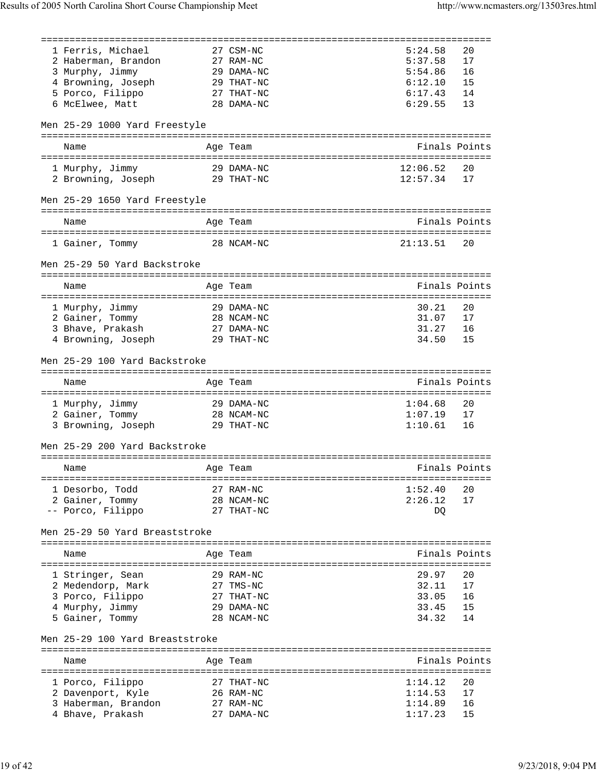| 1 Ferris, Michael                       | 27 CSM-NC               | 5:24.58            | 20            |
|-----------------------------------------|-------------------------|--------------------|---------------|
| 2 Haberman, Brandon                     | 27 RAM-NC               | 5:37.58            | 17            |
| 3 Murphy, Jimmy                         | 29 DAMA-NC              | 5:54.86            | 16            |
| 4 Browning, Joseph                      | 29 THAT-NC              | 6:12.10            | 15            |
| 5 Porco, Filippo                        | 27 THAT-NC              | 6:17.43            | 14            |
| 6 McElwee, Matt                         | 28 DAMA-NC              | 6:29.55            | 13            |
|                                         |                         |                    |               |
| Men 25-29 1000 Yard Freestyle           |                         |                    |               |
|                                         |                         |                    |               |
| Name                                    | Age Team                | Finals Points      |               |
|                                         |                         |                    |               |
| 1 Murphy, Jimmy                         | 29 DAMA-NC              | 12:06.52           | 20            |
|                                         | 29 THAT-NC              | 12:57.34           | 17            |
| 2 Browning, Joseph                      |                         |                    |               |
|                                         |                         |                    |               |
| Men 25-29 1650 Yard Freestyle           |                         |                    |               |
|                                         |                         |                    |               |
| Name                                    | Age Team                | Finals Points      |               |
|                                         |                         |                    |               |
| 1 Gainer, Tommy                         | 28 NCAM-NC              | 21:13.51           | 20            |
|                                         |                         |                    |               |
| Men 25-29 50 Yard Backstroke            |                         |                    |               |
|                                         |                         |                    |               |
| Name                                    | Age Team                | Finals Points      |               |
|                                         |                         |                    |               |
| 1 Murphy, Jimmy                         | 29 DAMA-NC              | 30.21              | 20            |
| 2 Gainer, Tommy                         | 28 NCAM-NC              | 31.07              | 17            |
| 3 Bhave, Prakash                        | 27 DAMA-NC              | 31.27              | 16            |
| 4 Browning, Joseph                      | 29 THAT-NC              | 34.50              | 15            |
|                                         |                         |                    |               |
| Men 25-29 100 Yard Backstroke           |                         |                    |               |
|                                         |                         |                    |               |
|                                         |                         |                    |               |
| Name                                    | Age Team                | Finals Points      |               |
|                                         |                         |                    |               |
| 1 Murphy, Jimmy                         | 29 DAMA-NC              | 1:04.68            | 20            |
| 2 Gainer, Tommy                         | 28 NCAM-NC              | 1:07.19            | 17            |
| 3 Browning, Joseph                      | 29 THAT-NC              | 1:10.61            | 16            |
|                                         |                         |                    |               |
| Men 25-29 200 Yard Backstroke           |                         |                    |               |
|                                         |                         |                    |               |
| Name                                    | Age Team                |                    | Finals Points |
|                                         |                         |                    |               |
| 1 Desorbo, Todd                         | 27 RAM-NC               | 1:52.40            | 20            |
|                                         | 28 NCAM-NC              | 2:26.12            | 17            |
| 2 Gainer, Tommy                         | 27 THAT-NC              |                    |               |
| -- Porco, Filippo                       |                         | DQ                 |               |
| Men 25-29 50 Yard Breaststroke          |                         |                    |               |
|                                         |                         |                    |               |
| Name                                    | Age Team                |                    | Finals Points |
|                                         |                         |                    |               |
|                                         | 29 RAM-NC               | 29.97              | 20            |
| 1 Stringer, Sean                        |                         |                    | 17            |
| 2 Medendorp, Mark                       | 27 TMS-NC               | 32.11              |               |
| 3 Porco, Filippo                        | 27 THAT-NC              | 33.05              | 16            |
| 4 Murphy, Jimmy                         | 29 DAMA-NC              | 33.45              | 15            |
| 5 Gainer, Tommy                         | 28 NCAM-NC              | 34.32              | 14            |
|                                         |                         |                    |               |
| Men 25-29 100 Yard Breaststroke         |                         |                    |               |
|                                         |                         |                    |               |
| Name                                    | Age Team                |                    | Finals Points |
|                                         |                         |                    |               |
| 1 Porco, Filippo                        | 27 THAT-NC              | 1:14.12            | 20            |
| 2 Davenport, Kyle                       | 26 RAM-NC               | 1:14.53            | 17            |
| 3 Haberman, Brandon<br>4 Bhave, Prakash | 27 RAM-NC<br>27 DAMA-NC | 1:14.89<br>1:17.23 | 16<br>15      |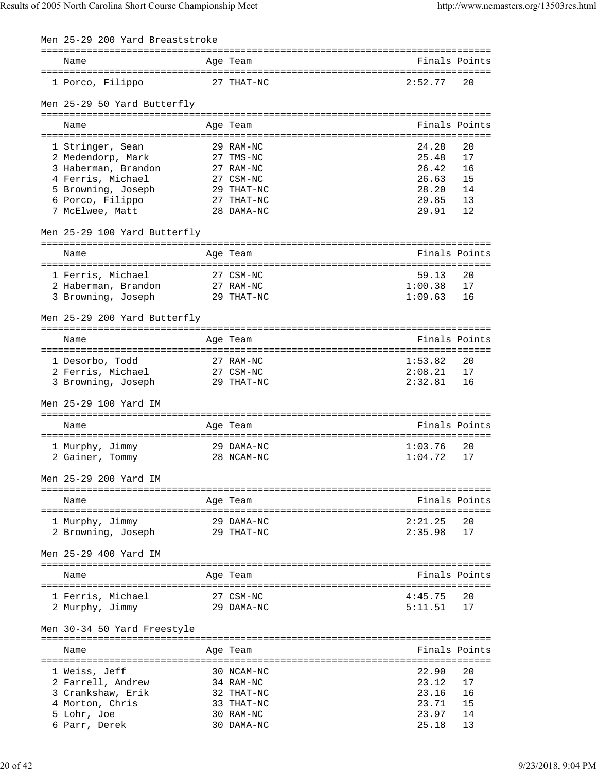| Men 25-29 200 Yard Breaststroke                             |                                                 |         |               |
|-------------------------------------------------------------|-------------------------------------------------|---------|---------------|
| Name                                                        | Age Team                                        |         | Finals Points |
| 1 Porco, Filippo                                            | 27 THAT-NC                                      | 2:52.77 | 20            |
| Men 25-29 50 Yard Butterfly<br>==========================   | =============                                   |         |               |
| Name                                                        | Age Team                                        |         | Finals Points |
|                                                             |                                                 |         |               |
| 1 Stringer, Sean                                            | 29 RAM-NC                                       | 24.28   | 20            |
| 2 Medendorp, Mark                                           | 27 TMS-NC                                       | 25.48   | 17            |
| 3 Haberman, Brandon                                         | 27 RAM-NC                                       | 26.42   | 16            |
| 4 Ferris, Michael                                           | 27 CSM-NC                                       | 26.63   | 15            |
| 5 Browning, Joseph                                          | 29 THAT-NC                                      | 28.20   | 14            |
| 6 Porco, Filippo                                            | 27 THAT-NC                                      | 29.85   | 13            |
| 7 McElwee, Matt                                             | 28 DAMA-NC                                      | 29.91   | 12            |
|                                                             |                                                 |         |               |
| Men 25-29 100 Yard Butterfly<br>--------------------------- | ===========<br>================================ |         |               |
| Name                                                        | Age Team                                        |         | Finals Points |
| 1 Ferris, Michael                                           | 27 CSM-NC                                       | 59.13   | 20            |
| 2 Haberman, Brandon                                         | 27 RAM-NC                                       | 1:00.38 | 17            |
| 3 Browning, Joseph                                          | 29 THAT-NC                                      | 1:09.63 | 16            |
|                                                             |                                                 |         |               |
| Men 25-29 200 Yard Butterfly                                |                                                 |         |               |
| Name                                                        | Age Team                                        |         | Finals Points |
|                                                             |                                                 |         |               |
| 1 Desorbo, Todd                                             | 27 RAM-NC                                       | 1:53.82 | 20            |
| 2 Ferris, Michael                                           | 27 CSM-NC                                       | 2:08.21 | 17            |
| 3 Browning, Joseph                                          | 29 THAT-NC                                      | 2:32.81 | 16            |
| Men 25-29 100 Yard IM                                       |                                                 |         |               |
|                                                             |                                                 |         |               |
| Name                                                        | Age Team                                        |         | Finals Points |
| 1 Murphy, Jimmy                                             | 29 DAMA-NC                                      | 1:03.76 | 20            |
| 2 Gainer, Tommy                                             | 28 NCAM-NC                                      | 1:04.72 | 17            |
|                                                             |                                                 |         |               |
| Men 25-29 200 Yard IM                                       |                                                 |         |               |
| Name                                                        | Age Team                                        |         | Finals Points |
|                                                             | 29 DAMA-NC                                      | 2:21.25 | 20            |
| 1 Murphy, Jimmy                                             |                                                 | 2:35.98 |               |
| 2 Browning, Joseph                                          | 29 THAT-NC                                      |         | 17            |
| Men 25-29 400 Yard IM                                       |                                                 |         |               |
| Name                                                        | Age Team                                        |         | Finals Points |
|                                                             |                                                 |         |               |
| 1 Ferris, Michael                                           | 27 CSM-NC                                       | 4:45.75 | 20            |
| 2 Murphy, Jimmy                                             | 29 DAMA-NC                                      | 5:11.51 | 17            |
| Men 30-34 50 Yard Freestyle                                 |                                                 |         |               |
| Name                                                        | Age Team                                        |         | Finals Points |
|                                                             |                                                 |         |               |
| 1 Weiss, Jeff                                               | 30 NCAM-NC                                      | 22.90   | 20            |
| 2 Farrell, Andrew                                           | 34 RAM-NC                                       | 23.12   | 17            |
| 3 Crankshaw, Erik                                           | 32 THAT-NC                                      | 23.16   | 16            |
| 4 Morton, Chris                                             | 33 THAT-NC                                      | 23.71   | 15            |
| 5 Lohr, Joe                                                 | 30 RAM-NC                                       | 23.97   | 14            |
| 6 Parr, Derek                                               | 30 DAMA-NC                                      | 25.18   | 13            |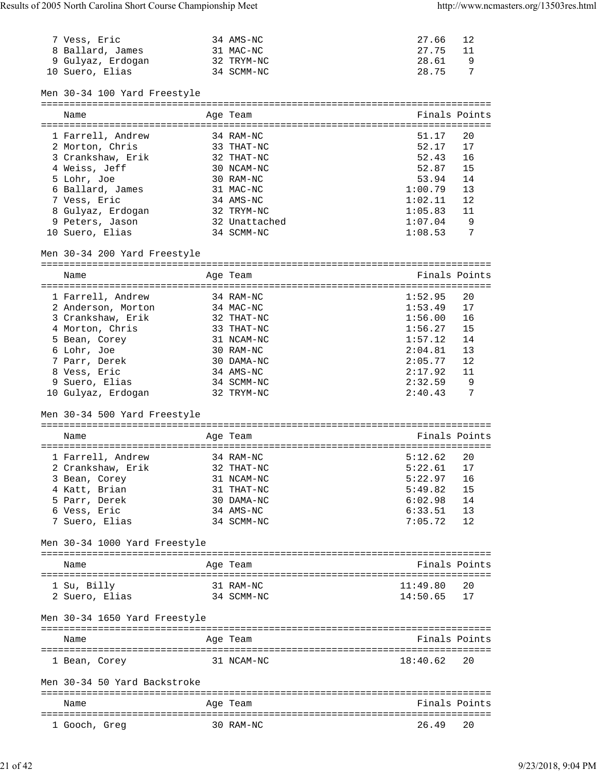| Name                                                      | Age Team                          |                    | Finals Points |
|-----------------------------------------------------------|-----------------------------------|--------------------|---------------|
| Men 30-34 50 Yard Backstroke                              |                                   |                    |               |
| 1 Bean, Corey                                             | 31 NCAM-NC                        | 18:40.62           | 20            |
| Name                                                      | Age Team                          |                    | Finals Points |
| Men 30-34 1650 Yard Freestyle                             |                                   |                    |               |
| 2 Suero, Elias                                            | 34 SCMM-NC                        | 14:50.65           | 17            |
| 1 Su, Billy                                               | 31 RAM-NC                         | 11:49.80           | 20            |
| Name                                                      | Age Team                          |                    | Finals Points |
|                                                           |                                   |                    |               |
| Men 30-34 1000 Yard Freestyle                             |                                   |                    |               |
| 7 Suero, Elias                                            | 34 SCMM-NC                        | 7:05.72            | 12            |
| 6 Vess, Eric                                              | 34 AMS-NC                         | 6:33.51            | 13            |
| 5 Parr, Derek                                             | 30 DAMA-NC                        | 6:02.98            | 14            |
| 4 Katt, Brian                                             | 31 THAT-NC                        | 5:49.82            | 15            |
| 2 Crankshaw, Erik<br>3 Bean, Corey                        | 32 THAT-NC<br>31 NCAM-NC          | 5:22.61<br>5:22.97 | 17<br>16      |
| 1 Farrell, Andrew                                         | 34 RAM-NC                         | 5:12.62            | 20            |
|                                                           |                                   |                    |               |
| Name                                                      | Age Team                          |                    | Finals Points |
| Men 30-34 500 Yard Freestyle                              | ================================= |                    |               |
|                                                           |                                   |                    |               |
| 9 Suero, Elias<br>10 Gulyaz, Erdogan                      | 34 SCMM-NC<br>32 TRYM-NC          | 2:32.59<br>2:40.43 | 9<br>7        |
| 8 Vess, Eric                                              | 34 AMS-NC                         | 2:17.92            | 11            |
| 7 Parr, Derek                                             | 30 DAMA-NC                        | 2:05.77            | 12            |
| 6 Lohr, Joe                                               | 30 RAM-NC                         | 2:04.81            | 13            |
| 5 Bean, Corey                                             | 31 NCAM-NC                        | 1:57.12            | 14            |
| 4 Morton, Chris                                           | 33 THAT-NC                        | 1:56.27            | 15            |
| 2 Anderson, Morton<br>3 Crankshaw, Erik                   | 34 MAC-NC<br>32 THAT-NC           | 1:53.49<br>1:56.00 | 17<br>16      |
| 1 Farrell, Andrew                                         | 34 RAM-NC                         | 1:52.95            | 20            |
|                                                           | --------------------------------- |                    |               |
| Name                                                      | Age Team                          |                    | Finals Points |
| Men 30-34 200 Yard Freestyle<br>========================= |                                   |                    |               |
|                                                           |                                   |                    |               |
| 10 Suero, Elias                                           | 34 SCMM-NC                        | 1:08.53            | 7             |
| 9 Peters, Jason                                           | 32 Unattached                     | 1:07.04            | 9             |
| 8 Gulyaz, Erdogan                                         | 32 TRYM-NC                        | 1:05.83            | 11            |
| 7 Vess, Eric                                              | 34 AMS-NC                         | 1:02.11            | 12            |
| 5 Lohr, Joe<br>6 Ballard, James                           | 30 RAM-NC<br>31 MAC-NC            | 53.94<br>1:00.79   | 14<br>13      |
| 4 Weiss, Jeff                                             | 30 NCAM-NC                        | 52.87              | 15            |
| 3 Crankshaw, Erik                                         | 32 THAT-NC                        | 52.43              | 16            |
| 2 Morton, Chris                                           | 33 THAT-NC                        | 52.17              | 17            |
| 1 Farrell, Andrew                                         | 34 RAM-NC                         | 51.17              | 20            |
| Name                                                      | Age Team                          |                    | Finals Points |
|                                                           |                                   |                    |               |
| Men 30-34 100 Yard Freestyle                              |                                   |                    |               |
| 10 Suero, Elias                                           | 34 SCMM-NC                        | 28.75              | 7             |
| 9 Gulyaz, Erdogan                                         | 32 TRYM-NC                        | 28.61              | 9             |
|                                                           | 31 MAC-NC                         | 27.75              | 11            |
| 8 Ballard, James                                          |                                   |                    |               |

===============================================================================

1 Gooch, Greg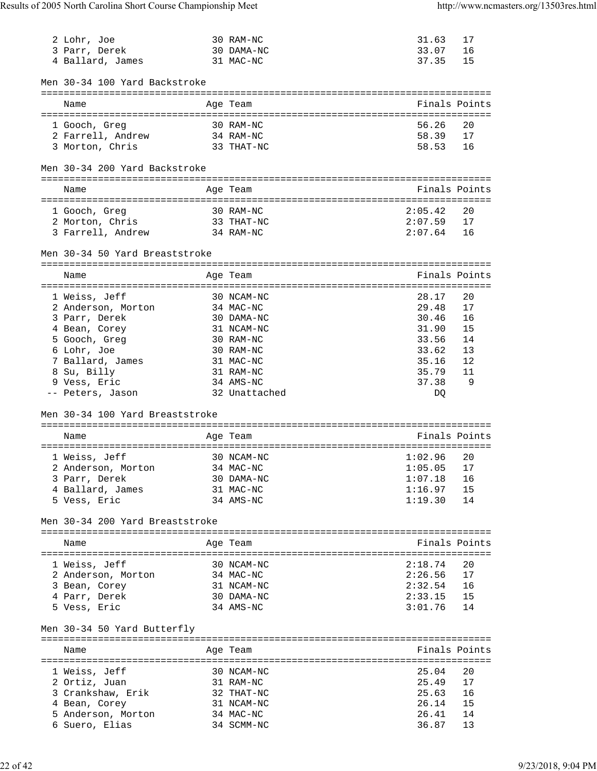| 2 Lohr, Joe                          | 30 RAM-NC                          | 31.63          | 17            |
|--------------------------------------|------------------------------------|----------------|---------------|
|                                      |                                    | 33.07          |               |
| 3 Parr, Derek                        | 30 DAMA-NC                         |                | 16            |
| 4 Ballard, James                     | 31 MAC-NC                          | 37.35          | 15            |
|                                      |                                    |                |               |
| Men 30-34 100 Yard Backstroke        |                                    |                |               |
|                                      |                                    |                |               |
| Name                                 | Age Team                           | Finals Points  |               |
|                                      |                                    |                |               |
| 1 Gooch, Greg                        | 30 RAM-NC                          | 56.26          | 20            |
|                                      |                                    |                |               |
| 2 Farrell, Andrew                    | 34 RAM-NC                          | 58.39          | 17            |
| 3 Morton, Chris                      | 33 THAT-NC                         | 58.53          | 16            |
|                                      |                                    |                |               |
| Men 30-34 200 Yard Backstroke        |                                    |                |               |
|                                      |                                    |                |               |
| Name                                 | Age Team                           | Finals Points  |               |
|                                      |                                    |                |               |
| 1 Gooch, Greg                        | 30 RAM-NC                          | 2:05.42        | 20            |
| 2 Morton, Chris                      | 33 THAT-NC                         | 2:07.59        | 17            |
|                                      |                                    |                |               |
| 3 Farrell, Andrew                    | 34 RAM-NC                          | 2:07.64        | 16            |
|                                      |                                    |                |               |
| Men 30-34 50 Yard Breaststroke       |                                    |                |               |
|                                      |                                    |                |               |
| Name                                 | Age Team                           | Finals Points  |               |
| ==================================== | ======================             |                |               |
| 1 Weiss, Jeff                        | 30 NCAM-NC                         | 28.17          | 20            |
|                                      |                                    |                |               |
| 2 Anderson, Morton                   | 34 MAC-NC                          | 29.48          | 17            |
| 3 Parr, Derek                        | 30 DAMA-NC                         | 30.46          | 16            |
| 4 Bean, Corey                        | 31 NCAM-NC                         | 31.90          | 15            |
| 5 Gooch, Greg                        | 30 RAM-NC                          | 33.56          | 14            |
| 6 Lohr, Joe                          | 30 RAM-NC                          | 33.62          | 13            |
|                                      |                                    |                |               |
| 7 Ballard, James                     | 31 MAC-NC                          | 35.16          | 12            |
| 8 Su, Billy                          | 31 RAM-NC                          | 35.79          | 11            |
| 9 Vess, Eric                         | 34 AMS-NC                          | 37.38          | 9             |
| -- Peters, Jason                     | 32 Unattached                      | DQ             |               |
|                                      |                                    |                |               |
| Men 30-34 100 Yard Breaststroke      |                                    |                |               |
|                                      | ---------------------------------- |                |               |
|                                      |                                    |                |               |
| Name                                 | Age Team                           | Finals Points  |               |
|                                      | =============                      | ============== |               |
| 1 Weiss, Jeff                        | 30 NCAM-NC                         | 1:02.96        | 20            |
| 2 Anderson, Morton                   | 34 MAC-NC                          | 1:05.05        | 17            |
| 3 Parr, Derek                        | 30 DAMA-NC                         | 1:07.18        | 16            |
|                                      | 31 MAC-NC                          | 1:16.97        | 15            |
| 4 Ballard, James                     |                                    |                |               |
| 5 Vess, Eric                         | 34 AMS-NC                          | 1:19.30        | 14            |
|                                      |                                    |                |               |
| Men 30-34 200 Yard Breaststroke      |                                    |                |               |
|                                      |                                    |                |               |
| Name                                 | Age Team                           |                | Finals Points |
|                                      |                                    |                |               |
| 1 Weiss, Jeff                        | 30 NCAM-NC                         | 2:18.74        | 20            |
|                                      |                                    | 2:26.56        | 17            |
| 2 Anderson, Morton                   | 34 MAC-NC                          | 2:32.54        |               |
| 3 Bean, Corey                        | 31 NCAM-NC                         |                | 16            |
| 4 Parr, Derek                        | 30 DAMA-NC                         | 2:33.15        | 15            |
| 5 Vess, Eric                         | 34 AMS-NC                          | 3:01.76        | 14            |
|                                      |                                    |                |               |
| Men 30-34 50 Yard Butterfly          |                                    |                |               |
|                                      |                                    |                |               |
|                                      |                                    |                |               |
| Name                                 | Age Team                           | Finals Points  |               |
|                                      |                                    |                |               |
| 1 Weiss, Jeff                        | 30 NCAM-NC                         | 25.04          | 20            |
| 2 Ortiz, Juan                        | 31 RAM-NC                          | 25.49          | 17            |
| 3 Crankshaw, Erik                    | 32 THAT-NC                         | 25.63          | 16            |
|                                      |                                    | 26.14          | 15            |
| 4 Bean, Corey                        | 31 NCAM-NC                         |                |               |
| 5 Anderson, Morton                   | 34 MAC-NC                          | 26.41          | 14            |
| 6 Suero, Elias                       | 34 SCMM-NC                         | 36.87          | 13            |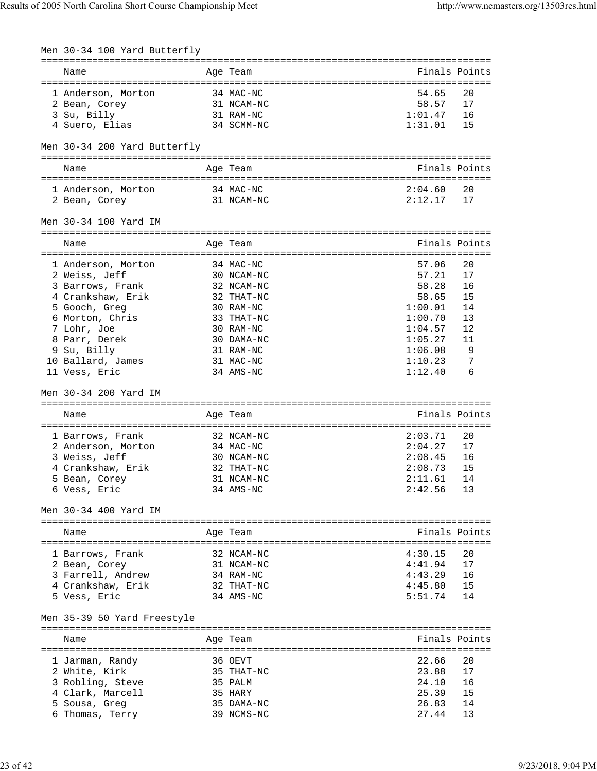| Men 30-34 100 Yard Butterfly         |                         |                    |          |
|--------------------------------------|-------------------------|--------------------|----------|
| Name                                 | Age Team                | Finals Points      |          |
| 1 Anderson, Morton                   | 34 MAC-NC               | 54.65              | 20       |
| 2 Bean, Corey                        | 31 NCAM-NC              | 58.57              | 17       |
| 3 Su, Billy                          | 31 RAM-NC               | 1:01.47            | 16       |
| 4 Suero, Elias                       | 34 SCMM-NC              | 1:31.01            | 15       |
| Men 30-34 200 Yard Butterfly         |                         |                    |          |
| Name                                 | Age Team                | Finals Points      |          |
| 1 Anderson, Morton                   | 34 MAC-NC               | 2:04.60            | 20       |
| 2 Bean, Corey                        | 31 NCAM-NC              | 2:12.17            | 17       |
| Men 30-34 100 Yard IM                |                         |                    |          |
| Name                                 | Age Team                | Finals Points      |          |
| 1 Anderson, Morton                   | 34 MAC-NC               | 57.06              | 20       |
| 2 Weiss, Jeff                        | 30 NCAM-NC              | 57.21              | 17       |
| 3 Barrows, Frank                     | 32 NCAM-NC              | 58.28              | 16       |
| 4 Crankshaw, Erik                    | 32 THAT-NC              | 58.65              | 15       |
| 5 Gooch, Greg                        | 30 RAM-NC               | 1:00.01            | 14       |
| 6 Morton, Chris                      | 33 THAT-NC              | 1:00.70            | 13       |
| 7 Lohr, Joe                          | 30 RAM-NC               | 1:04.57            | 12       |
| 8 Parr, Derek<br>9 Su, Billy         | 30 DAMA-NC<br>31 RAM-NC | 1:05.27<br>1:06.08 | 11<br>9  |
| 10 Ballard, James                    | 31 MAC-NC               | 1:10.23            | 7        |
| 11 Vess, Eric                        | 34 AMS-NC               | 1:12.40            | 6        |
| Men 30-34 200 Yard IM                |                         |                    |          |
| Name                                 | Age Team                | Finals Points      |          |
| 1 Barrows, Frank                     | 32 NCAM-NC              | 2:03.71            | 20       |
| 2 Anderson, Morton                   | 34 MAC-NC               |                    |          |
|                                      |                         | 2:04.27            | 17       |
| 3 Weiss, Jeff                        | 30 NCAM-NC              | 2:08.45            | 16       |
| 4 Crankshaw, Erik                    | 32 THAT-NC              | 2:08.73            | 15       |
| 5 Bean, Corey                        | 31 NCAM-NC              | 2:11.61            | 14       |
| 6 Vess, Eric                         | 34 AMS-NC               | 2:42.56            | 13       |
| Men 30-34 400 Yard IM                |                         |                    |          |
| Name                                 | Age Team                | Finals Points      |          |
|                                      | 32 NCAM-NC              | 4:30.15            | 20       |
| 1 Barrows, Frank                     | 31 NCAM-NC              | 4:41.94            | 17       |
| 2 Bean, Corey<br>3 Farrell, Andrew   | 34 RAM-NC               | 4:43.29            | 16       |
| 4 Crankshaw, Erik                    | 32 THAT-NC              | 4:45.80            | 15       |
| 5 Vess, Eric                         | 34 AMS-NC               | 5:51.74            | 14       |
| Men 35-39 50 Yard Freestyle          |                         |                    |          |
| Name                                 | Age Team                | Finals Points      |          |
|                                      |                         |                    |          |
| 1 Jarman, Randy                      | 36 OEVT                 | 22.66              | 20<br>17 |
| 2 White, Kirk                        | 35 THAT-NC<br>35 PALM   | 23.88<br>24.10     | 16       |
| 3 Robling, Steve<br>4 Clark, Marcell | 35 HARY                 | 25.39              | 15       |
| Sousa, Greg                          | 35 DAMA-NC              | 26.83              | 14       |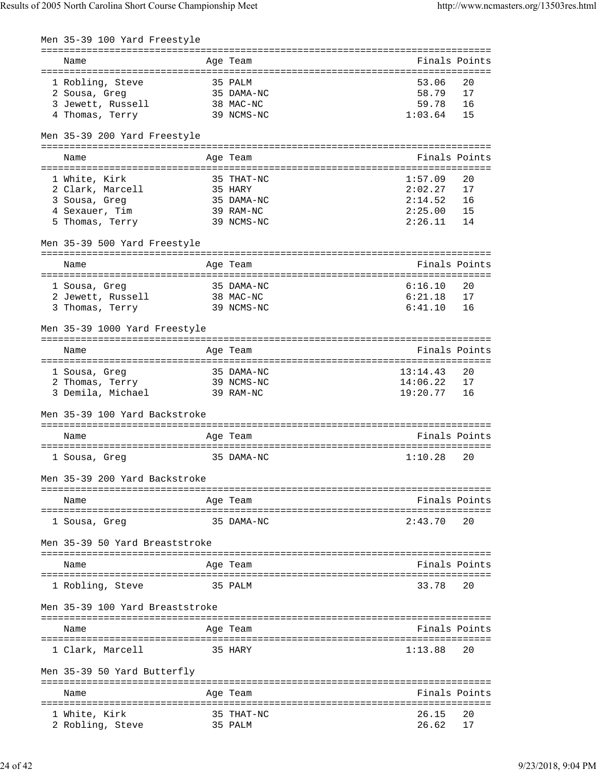| Men 35-39 100 Yard Freestyle    |                                                         |               |               |
|---------------------------------|---------------------------------------------------------|---------------|---------------|
| Name                            | Age Team                                                | Finals Points |               |
| 1 Robling, Steve                | 35 PALM                                                 | 53.06         | 20            |
| 2 Sousa, Greg                   | 35 DAMA-NC                                              | 58.79         | 17            |
| 3 Jewett, Russell               | 38 MAC-NC                                               | 59.78         | 16            |
| 4 Thomas, Terry                 | 39 NCMS-NC                                              | 1:03.64       | 15            |
| Men 35-39 200 Yard Freestyle    |                                                         |               |               |
| Name                            | Age Team                                                |               | Finals Points |
| 1 White, Kirk                   | 35 THAT-NC                                              | 1:57.09       | 20            |
| 2 Clark, Marcell                | 35 HARY                                                 | 2:02.27       | 17            |
| 3 Sousa, Greg                   | 35 DAMA-NC                                              | 2:14.52       | 16            |
| 4 Sexauer, Tim                  | 39 RAM-NC                                               | 2:25.00       | 15            |
| 5 Thomas, Terry                 | 39 NCMS-NC                                              | 2:26.11       | 14            |
| Men 35-39 500 Yard Freestyle    |                                                         |               |               |
| Name                            | Age Team                                                | Finals Points |               |
|                                 |                                                         |               |               |
| 1 Sousa, Greg                   | 35 DAMA-NC                                              | 6:16.10       | 20            |
| 2 Jewett, Russell               | 38 MAC-NC                                               | 6:21.18       | 17            |
| 3 Thomas, Terry                 | 39 NCMS-NC                                              | 6:41.10       | 16            |
| Men 35-39 1000 Yard Freestyle   |                                                         |               |               |
| Name                            | Age Team                                                | Finals Points |               |
|                                 |                                                         |               |               |
| 1 Sousa, Greg                   | 35 DAMA-NC                                              | 13:14.43      | 20            |
| 2 Thomas, Terry                 | 39 NCMS-NC                                              | 14:06.22      | 17            |
| 3 Demila, Michael               | 39 RAM-NC                                               | 19:20.77      | 16            |
| Men 35-39 100 Yard Backstroke   |                                                         |               |               |
|                                 |                                                         | Finals Points |               |
| Name                            | Age Team                                                |               |               |
| 1 Sousa, Greq                   | 35 DAMA-NC                                              | 1:10.28       | 20            |
| Men 35-39 200 Yard Backstroke   |                                                         |               |               |
| Name                            | Age Team                                                | Finals Points |               |
| 1 Sousa, Greq                   | 35 DAMA-NC                                              | 2:43.70       | 20            |
| Men 35-39 50 Yard Breaststroke  |                                                         |               |               |
| Name                            | Age Team                                                | Finals Points |               |
| 1 Robling, Steve                | 35 PALM                                                 | 33.78         | 20            |
| Men 35-39 100 Yard Breaststroke |                                                         |               |               |
| Name                            | Age Team                                                | Finals Points |               |
|                                 |                                                         |               |               |
| 1 Clark, Marcell                | 35 HARY                                                 | 1:13.88       | 20            |
| Men 35-39 50 Yard Butterfly     | ---------------------------------                       |               |               |
| Name                            | Age Team                                                | Finals Points |               |
|                                 | -------------------------------<br>:=================== |               |               |
| 1 White, Kirk                   | 35 THAT-NC                                              | 26.15         | 20            |
| 2 Robling, Steve                | 35 PALM                                                 | 26.62         | 17            |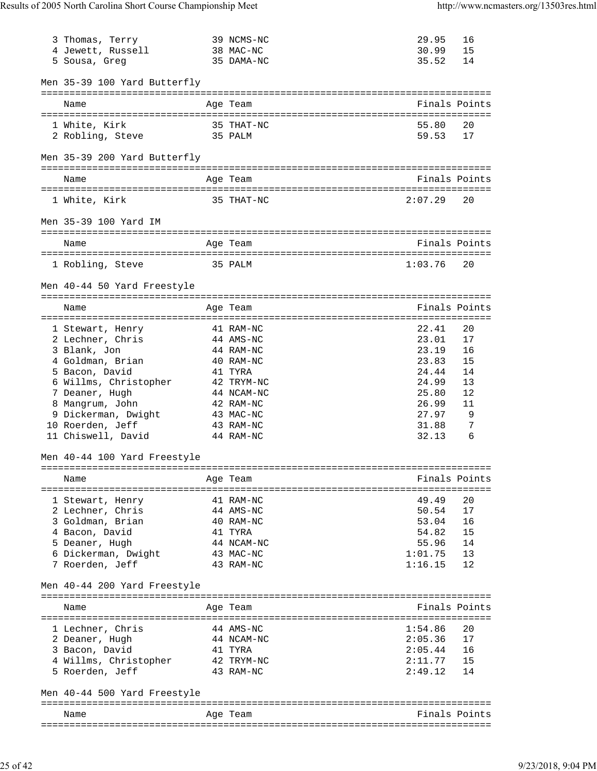| 3 Thomas, Terry<br>4 Jewett, Russell<br>5 Sousa, Greg | 39 NCMS-NC<br>38 MAC-NC<br>35 DAMA-NC | 29.95<br>30.99<br>35.52 | 16<br>15<br>14 |
|-------------------------------------------------------|---------------------------------------|-------------------------|----------------|
| Men 35-39 100 Yard Butterfly                          |                                       |                         |                |
| Name                                                  | Age Team                              | Finals Points           |                |
| 1 White, Kirk<br>2 Robling, Steve                     | 35 THAT-NC<br>35 PALM                 | 55.80<br>59.53          | 20<br>17       |
| Men 35-39 200 Yard Butterfly                          |                                       |                         |                |
| Name                                                  | Age Team                              | Finals Points           |                |
| 1 White, Kirk                                         | 35 THAT-NC                            | 2:07.29                 | 20             |
| Men 35-39 100 Yard IM                                 |                                       |                         |                |
| Name                                                  | Age Team                              | Finals Points           |                |
| 1 Robling, Steve                                      | 35 PALM                               | 1:03.76                 | 20             |
| Men 40-44 50 Yard Freestyle                           |                                       |                         |                |
| Name                                                  | Age Team                              | Finals Points           |                |
| 1 Stewart, Henry                                      | 41 RAM-NC                             | 22.41                   | 20             |
| 2 Lechner, Chris                                      | 44 AMS-NC                             | 23.01                   | 17             |
| 3 Blank, Jon                                          | 44 RAM-NC                             | 23.19                   | 16             |
| 4 Goldman, Brian                                      | 40 RAM-NC                             | 23.83                   | 15             |
| 5 Bacon, David                                        | 41 TYRA                               | 24.44                   | 14             |
| 6 Willms, Christopher                                 | 42 TRYM-NC                            | 24.99                   | 13             |
| 7 Deaner, Hugh                                        | 44 NCAM-NC                            | 25.80                   | 12             |
| 8 Mangrum, John                                       | 42 RAM-NC                             | 26.99                   | 11             |
| 9 Dickerman, Dwight<br>10 Roerden, Jeff               | 43 MAC-NC<br>43 RAM-NC                | 27.97<br>31.88          | 9<br>7         |
| 11 Chiswell, David                                    | 44 RAM-NC                             | 32.13                   | 6              |
| Men 40-44 100 Yard Freestyle                          |                                       |                         |                |
| Name                                                  | Age Team                              | Finals Points           |                |
| 1 Stewart, Henry                                      | 41 RAM-NC                             | 49.49                   | 20             |
| 2 Lechner, Chris                                      | 44 AMS-NC                             | 50.54                   | 17             |
| 3 Goldman, Brian                                      | 40 RAM-NC                             | 53.04                   | 16             |
| 4 Bacon, David                                        | 41 TYRA                               | 54.82                   | 15             |
| 5 Deaner, Hugh                                        | 44 NCAM-NC                            | 55.96                   | 14             |
| 6 Dickerman, Dwight                                   | 43 MAC-NC                             | 1:01.75                 | 13             |
| 7 Roerden, Jeff                                       | 43 RAM-NC                             | 1:16.15                 | 12             |
| Men 40-44 200 Yard Freestyle                          |                                       |                         |                |
| Name                                                  | Age Team                              |                         | Finals Points  |
|                                                       |                                       |                         |                |
| 1 Lechner, Chris                                      | 44 AMS-NC                             | 1:54.86                 | 20             |
| 2 Deaner, Hugh<br>3 Bacon, David                      | 44 NCAM-NC<br>41 TYRA                 | 2:05.36<br>2:05.44      | 17<br>16       |
| 4 Willms, Christopher                                 | 42 TRYM-NC                            | 2:11.77                 | 15             |
| 5 Roerden, Jeff                                       | 43 RAM-NC                             | 2:49.12                 | 14             |
| Men 40-44 500 Yard Freestyle                          |                                       |                         |                |
| Name                                                  | Age Team                              | Finals Points           |                |
| ======================                                |                                       |                         |                |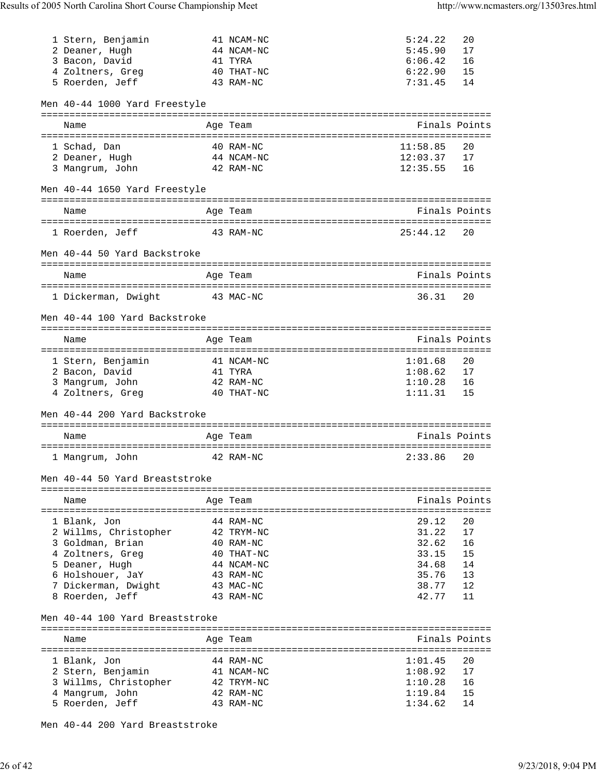| 1 Stern, Benjamin<br>2 Deaner, Hugh<br>3 Bacon, David<br>4 Zoltners, Greg<br>5 Roerden, Jeff | 41 NCAM-NC<br>44 NCAM-NC<br>41 TYRA<br>40 THAT-NC<br>43 RAM-NC | 5:24.22<br>5:45.90<br>6:06.42<br>6:22.90<br>7:31.45 | 20<br>17<br>16<br>15<br>14 |
|----------------------------------------------------------------------------------------------|----------------------------------------------------------------|-----------------------------------------------------|----------------------------|
| Men 40-44 1000 Yard Freestyle                                                                |                                                                |                                                     |                            |
| Name                                                                                         | Age Team                                                       | Finals Points                                       |                            |
| =====================<br>1 Schad, Dan                                                        | 40 RAM-NC                                                      | 11:58.85                                            | 20                         |
| 2 Deaner, Hugh                                                                               | 44 NCAM-NC                                                     | 12:03.37                                            | 17                         |
| 3 Mangrum, John                                                                              | 42 RAM-NC                                                      | 12:35.55                                            | 16                         |
| Men 40-44 1650 Yard Freestyle                                                                |                                                                |                                                     |                            |
| Name                                                                                         | Age Team                                                       | Finals Points                                       |                            |
| 1 Roerden, Jeff                                                                              | 43 RAM-NC                                                      | 25:44.12                                            | 20                         |
| Men 40-44 50 Yard Backstroke                                                                 |                                                                |                                                     |                            |
| Name                                                                                         | Age Team                                                       | Finals Points                                       |                            |
|                                                                                              |                                                                |                                                     |                            |
| 1 Dickerman, Dwight                                                                          | 43 MAC-NC                                                      | 36.31                                               | 20                         |
| Men 40-44 100 Yard Backstroke                                                                |                                                                |                                                     |                            |
| Name                                                                                         | Age Team                                                       | Finals Points                                       |                            |
| 1 Stern, Benjamin                                                                            | 41 NCAM-NC                                                     | 1:01.68                                             | 20                         |
| 2 Bacon, David                                                                               | 41 TYRA                                                        | 1:08.62                                             | 17                         |
| 3 Mangrum, John                                                                              | 42 RAM-NC                                                      | 1:10.28                                             | 16                         |
| 4 Zoltners, Greg                                                                             | 40 THAT-NC                                                     | 1:11.31                                             | 15                         |
| Men 40-44 200 Yard Backstroke                                                                |                                                                |                                                     |                            |
| Name                                                                                         | Age Team                                                       | Finals Points                                       |                            |
|                                                                                              |                                                                |                                                     |                            |
| 1 Mangrum, John                                                                              | 42 RAM-NC                                                      | 2:33.86                                             | 20                         |
| Men 40-44 50 Yard Breaststroke                                                               |                                                                |                                                     |                            |
| Name                                                                                         | Age Team                                                       | Finals Points                                       |                            |
|                                                                                              |                                                                |                                                     |                            |
| 1 Blank, Jon                                                                                 | 44 RAM-NC                                                      | 29.12                                               | 20                         |
| 2 Willms, Christopher                                                                        | 42 TRYM-NC                                                     | 31.22                                               | 17                         |
| 3 Goldman, Brian                                                                             | 40 RAM-NC                                                      | 32.62<br>33.15                                      | 16<br>15                   |
| 4 Zoltners, Greg<br>5 Deaner, Hugh                                                           | 40 THAT-NC<br>44 NCAM-NC                                       | 34.68                                               | 14                         |
| 6 Holshouer, JaY                                                                             | 43 RAM-NC                                                      | 35.76                                               | 13                         |
| 7 Dickerman, Dwight                                                                          | 43 MAC-NC                                                      | 38.77                                               | 12                         |
| 8 Roerden, Jeff                                                                              | 43 RAM-NC                                                      | 42.77                                               | 11                         |
| Men 40-44 100 Yard Breaststroke                                                              |                                                                |                                                     |                            |
|                                                                                              |                                                                |                                                     |                            |
| Name                                                                                         | Age Team                                                       | Finals Points                                       |                            |
| 1 Blank, Jon                                                                                 | 44 RAM-NC                                                      | 1:01.45                                             | 20                         |
| 2 Stern, Benjamin                                                                            | 41 NCAM-NC                                                     | 1:08.92                                             | 17                         |
| 3 Willms, Christopher                                                                        | 42 TRYM-NC                                                     | 1:10.28                                             | 16                         |
| Mangrum, John                                                                                | 42 RAM-NC                                                      | 1:19.84                                             | 15                         |
| 5 Roerden, Jeff                                                                              | 43 RAM-NC                                                      | 1:34.62                                             | 14                         |

Men 40-44 200 Yard Breaststroke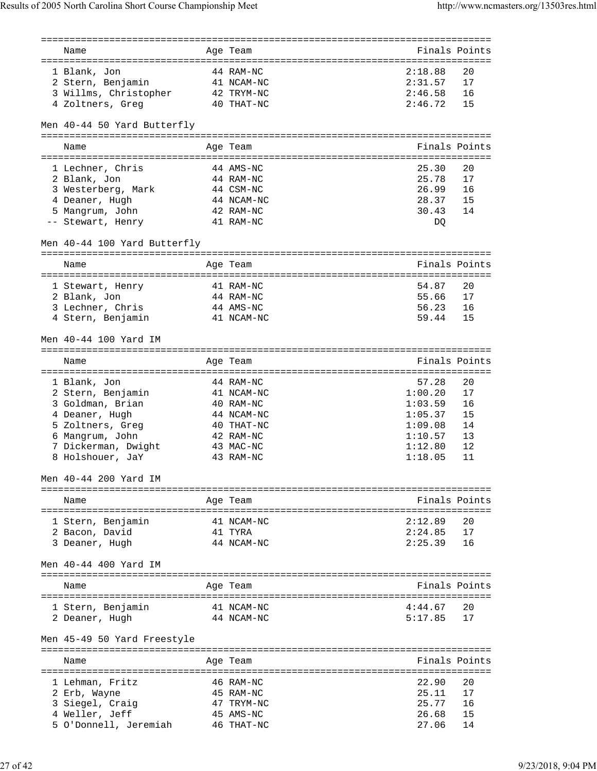| Name                         | Age Team                                            |         | Finals Points |
|------------------------------|-----------------------------------------------------|---------|---------------|
| 1 Blank, Jon                 | 44 RAM-NC                                           | 2:18.88 | 20            |
|                              |                                                     |         | 17            |
| 2 Stern, Benjamin            | 41 NCAM-NC                                          | 2:31.57 |               |
| 3 Willms, Christopher        | 42 TRYM-NC                                          | 2:46.58 | 16            |
| 4 Zoltners, Greg             | 40 THAT-NC                                          | 2:46.72 | 15            |
| Men 40-44 50 Yard Butterfly  |                                                     |         |               |
|                              |                                                     |         |               |
| Name                         | Age Team                                            |         | Finals Points |
| 1 Lechner, Chris             | 44 AMS-NC                                           | 25.30   | 20            |
|                              |                                                     |         |               |
| 2 Blank, Jon                 | 44 RAM-NC                                           | 25.78   | 17            |
| 3 Westerberg, Mark           | 44 CSM-NC                                           | 26.99   | 16            |
| 4 Deaner, Hugh               | 44 NCAM-NC                                          | 28.37   | 15            |
| 5 Mangrum, John              | 42 RAM-NC                                           | 30.43   | 14            |
| -- Stewart, Henry            | 41 RAM-NC                                           | DQ      |               |
| Men 40-44 100 Yard Butterfly |                                                     |         |               |
|                              |                                                     |         |               |
| Name                         | Age Team                                            |         | Finals Points |
|                              |                                                     |         |               |
| 1 Stewart, Henry             | 41 RAM-NC                                           | 54.87   | 20            |
| 2 Blank, Jon                 | 44 RAM-NC                                           | 55.66   | 17            |
| 3 Lechner, Chris             | 44 AMS-NC                                           | 56.23   | 16            |
| 4 Stern, Benjamin            | 41 NCAM-NC                                          | 59.44   | 15            |
| Men 40-44 100 Yard IM        |                                                     |         |               |
| Name                         | Age Team                                            |         | Finals Points |
| ====================         | ==================<br>============================= |         |               |
| 1 Blank, Jon                 | 44 RAM-NC                                           | 57.28   | 20            |
| 2 Stern, Benjamin            |                                                     |         |               |
|                              |                                                     |         |               |
|                              | 41 NCAM-NC                                          | 1:00.20 | 17            |
| 3 Goldman, Brian             | 40 RAM-NC                                           | 1:03.59 | 16            |
| 4 Deaner, Hugh               | 44 NCAM-NC                                          | 1:05.37 | 15            |
| 5 Zoltners, Greg             | 40 THAT-NC                                          | 1:09.08 | 14            |
| 6 Mangrum, John              | 42 RAM-NC                                           | 1:10.57 | 13            |
| 7 Dickerman, Dwight          | 43 MAC-NC                                           | 1:12.80 | 12            |
| 8 Holshouer, JaY             | 43 RAM-NC                                           | 1:18.05 | 11            |
|                              |                                                     |         |               |
| Men 40-44 200 Yard IM        |                                                     |         |               |
| Name                         |                                                     |         | Finals Points |
|                              | Age Team                                            |         |               |
|                              |                                                     |         |               |
| 1 Stern, Benjamin            | 41 NCAM-NC                                          | 2:12.89 | 20            |
| 2 Bacon, David               | 41 TYRA<br>44 NCAM-NC                               | 2:24.85 | 17<br>16      |
| 3 Deaner, Hugh               |                                                     | 2:25.39 |               |
| Men 40-44 400 Yard IM        |                                                     |         |               |
|                              |                                                     |         |               |
| Name                         | Age Team                                            |         | Finals Points |
|                              |                                                     |         |               |
| 1 Stern, Benjamin            | 41 NCAM-NC                                          | 4:44.67 | 20            |
| 2 Deaner, Hugh               | 44 NCAM-NC                                          | 5:17.85 | 17            |
| Men 45-49 50 Yard Freestyle  |                                                     |         |               |
| Name                         | Age Team                                            |         | Finals Points |
|                              |                                                     |         |               |
| 1 Lehman, Fritz              | 46 RAM-NC                                           | 22.90   | 20            |
| 2 Erb, Wayne                 | 45 RAM-NC                                           | 25.11   | 17            |
| 3 Siegel, Craig              | 47 TRYM-NC                                          | 25.77   | 16            |
| 4 Weller, Jeff               | 45 AMS-NC                                           | 26.68   | 15            |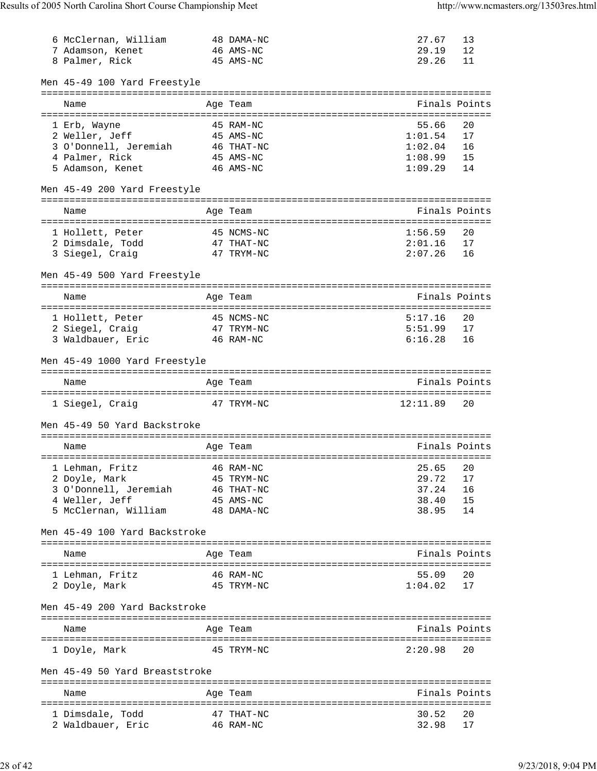| 6 McClernan, William                  | 48 DAMA-NC                       | 27.67          | 13            |
|---------------------------------------|----------------------------------|----------------|---------------|
| 7 Adamson, Kenet                      | 46 AMS-NC                        | 29.19          | 12            |
| 8 Palmer, Rick                        | 45 AMS-NC                        | 29.26          | 11            |
|                                       |                                  |                |               |
| Men 45-49 100 Yard Freestyle          |                                  |                |               |
|                                       |                                  |                |               |
| Name                                  | Age Team                         |                | Finals Points |
|                                       |                                  |                |               |
| 1 Erb, Wayne                          | 45 RAM-NC                        | 55.66          | 20            |
| 2 Weller, Jeff                        | 45 AMS-NC                        | 1:01.54        | 17            |
| 3 O'Donnell, Jeremiah 46 THAT-NC      |                                  | 1:02.04        | 16            |
| 4 Palmer, Rick                        | 45 AMS-NC                        | 1:08.99        | 15            |
| 5 Adamson, Kenet                      | 46 AMS-NC                        | 1:09.29        | 14            |
|                                       |                                  |                |               |
| Men 45-49 200 Yard Freestyle          |                                  |                |               |
|                                       |                                  |                |               |
| Name                                  | Age Team                         |                | Finals Points |
|                                       |                                  |                |               |
| 1 Hollett, Peter                      | 45 NCMS-NC                       | 1:56.59        | 20            |
| 2 Dimsdale, Todd                      | 47 THAT-NC                       | 2:01.16        | 17            |
| 3 Siegel, Craig                       | 47 TRYM-NC                       | 2:07.26        | 16            |
|                                       |                                  |                |               |
| Men 45-49 500 Yard Freestyle          |                                  |                |               |
|                                       | ================================ |                |               |
|                                       | Age Team                         |                | Finals Points |
| Name                                  |                                  |                |               |
| 1 Hollett, Peter                      | 45 NCMS-NC                       | 5:17.16        | 20            |
| 47 TRYM-NC<br>2 Siegel, Craig         |                                  | 5:51.99        | 17            |
|                                       |                                  |                |               |
| 3 Waldbauer, Eric<br>$46$ RAM-NC      |                                  | 6:16.28        | 16            |
|                                       |                                  |                |               |
| Men 45-49 1000 Yard Freestyle         |                                  |                |               |
|                                       |                                  |                |               |
| Name                                  | Age Team                         |                | Finals Points |
|                                       |                                  |                |               |
| 1 Siegel, Craig                       | 47 TRYM-NC                       | 12:11.89       | 20            |
|                                       |                                  |                |               |
| Men 45-49 50 Yard Backstroke          |                                  |                |               |
|                                       |                                  |                |               |
| Name                                  | Age Team                         |                | Finals Points |
|                                       |                                  |                |               |
| 1 Lehman, Fritz                       | 46 RAM-NC                        | 25.65          | 20            |
| 2 Doyle, Mark                         | 45 TRYM-NC                       | 29.72          | 17            |
| 3 O'Donnell, Jeremiah                 | 46 THAT-NC                       | 37.24          | 16            |
| 4 Weller, Jeff                        | 45 AMS-NC                        | 38.40          | 15            |
| 5 McClernan, William                  | 48 DAMA-NC                       | 38.95          | 14            |
|                                       |                                  |                |               |
| Men 45-49 100 Yard Backstroke         |                                  |                |               |
|                                       |                                  |                |               |
| Name                                  | Age Team                         |                | Finals Points |
|                                       |                                  |                |               |
| 1 Lehman, Fritz                       | 46 RAM-NC                        | 55.09          | 20            |
| 2 Doyle, Mark                         | 45 TRYM-NC                       | 1:04.02        | 17            |
|                                       |                                  |                |               |
| Men 45-49 200 Yard Backstroke         |                                  |                |               |
|                                       |                                  |                |               |
| Name                                  | Age Team                         |                | Finals Points |
|                                       |                                  |                |               |
| 1 Doyle, Mark                         | 45 TRYM-NC                       | 2:20.98        | 20            |
|                                       |                                  |                |               |
| Men 45-49 50 Yard Breaststroke        |                                  |                |               |
|                                       |                                  |                |               |
| Name                                  | Age Team                         |                | Finals Points |
|                                       |                                  |                |               |
|                                       |                                  |                |               |
| 1 Dimsdale, Todd<br>2 Waldbauer, Eric | 47 THAT-NC                       | 30.52<br>32.98 | 20            |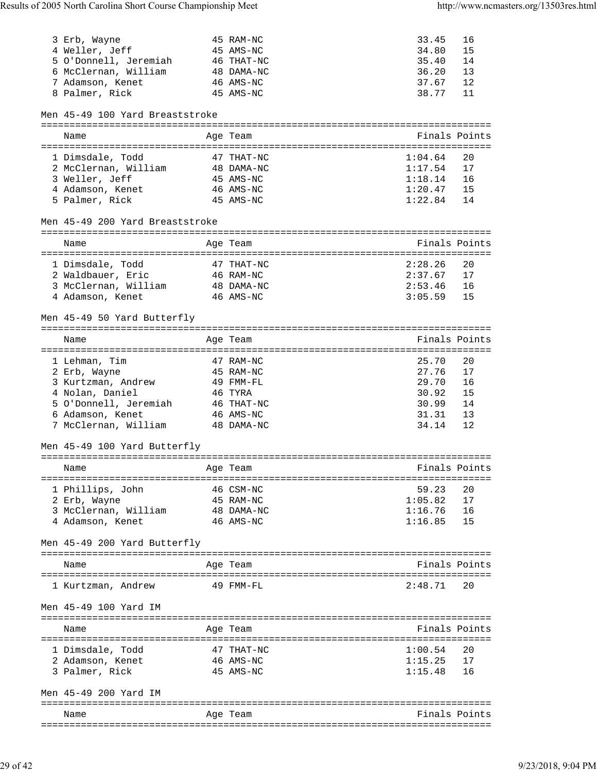| 3 Erb, Wayne                             | 45 RAM-NC  | 33.45          | 16 |
|------------------------------------------|------------|----------------|----|
| 4 Weller, Jeff                           | 45 AMS-NC  | 34.80          | 15 |
| 5 O'Donnell, Jeremiah 46 THAT-NC         |            | 35.40          | 14 |
| 6 McClernan, William 48 DAMA-NC          |            | 36.20          | 13 |
| 7 Adamson, Kenet                         | 46 AMS-NC  | 37.67          | 12 |
| 8 Palmer, Rick                           | 45 AMS-NC  | 38.77          | 11 |
|                                          |            |                |    |
| Men 45-49 100 Yard Breaststroke          |            |                |    |
|                                          |            |                |    |
| Name                                     | Age Team   | Finals Points  |    |
|                                          |            |                |    |
| 1 Dimsdale, Todd                         | 47 THAT-NC | 1:04.64        | 20 |
| 2 McClernan, William                     | 48 DAMA-NC | 1:17.54        | 17 |
|                                          | 45 AMS-NC  | 1:18.14        |    |
| 3 Weller, Jeff                           |            |                | 16 |
| $46$ AMS-NC<br>4 Adamson, Kenet          |            | 1:20.47        | 15 |
| 5 Palmer, Rick                           | 45 AMS-NC  | 1:22.84        | 14 |
| Men 45-49 200 Yard Breaststroke          |            |                |    |
|                                          |            |                |    |
| Name                                     | Age Team   | Finals Points  |    |
|                                          |            |                |    |
| 1 Dimsdale, Todd                         | 47 THAT-NC | 2:28.26        | 20 |
| 2 Waldbauer, Eric                        | 46 RAM-NC  | 2:37.67        | 17 |
|                                          | 48 DAMA-NC | 2:53.46        | 16 |
| 3 McClernan, William<br>4 Adamson, Kenet | 46 AMS-NC  | 3:05.59        | 15 |
|                                          |            |                |    |
| Men 45-49 50 Yard Butterfly              |            |                |    |
|                                          |            |                |    |
|                                          |            |                |    |
| Name                                     | Age Team   | Finals Points  |    |
|                                          |            |                |    |
| 1 Lehman, Tim                            | 47 RAM-NC  | 25.70          | 20 |
| 2 Erb, Wayne                             | 45 RAM-NC  | 27.76          | 17 |
| 3 Kurtzman, Andrew                       | 49 FMM-FL  | 29.70          | 16 |
|                                          |            |                |    |
| 4 Nolan, Daniel                          | 46 TYRA    | 30.92          | 15 |
| 5 O'Donnell, Jeremiah                    | 46 THAT-NC |                | 14 |
| 6 Adamson, Kenet                         | 46 AMS-NC  | 30.99<br>31.31 | 13 |
| 7 McClernan, William                     | 48 DAMA-NC | 34.14          | 12 |
|                                          |            |                |    |
| Men 45-49 100 Yard Butterfly             |            |                |    |
|                                          |            |                |    |
| Name                                     | Age Team   | Finals Points  |    |
|                                          |            |                |    |
| 1 Phillips, John                         | 46 CSM-NC  | 59.23          | 20 |
|                                          |            |                |    |
| 2 Erb, Wayne                             | 45 RAM-NC  | 1:05.82        | 17 |
| 3 McClernan, William                     | 48 DAMA-NC | 1:16.76        | 16 |
| 4 Adamson, Kenet                         | 46 AMS-NC  | 1:16.85        | 15 |
|                                          |            |                |    |
| Men 45-49 200 Yard Butterfly             |            |                |    |
|                                          |            |                |    |
| Name                                     | Age Team   | Finals Points  |    |
|                                          |            |                |    |
| 1 Kurtzman, Andrew                       | 49 FMM-FL  | 2:48.71        | 20 |
|                                          |            |                |    |
| Men 45-49 100 Yard IM                    |            |                |    |
|                                          |            |                |    |
| Name                                     | Age Team   | Finals Points  |    |
|                                          |            |                |    |
| 1 Dimsdale, Todd                         | 47 THAT-NC | 1:00.54        | 20 |
| 2 Adamson, Kenet                         | 46 AMS-NC  | 1:15.25        | 17 |
| 3 Palmer, Rick                           | 45 AMS-NC  | 1:15.48        | 16 |
|                                          |            |                |    |
| Men 45-49 200 Yard IM                    |            |                |    |
|                                          |            |                |    |
| Name                                     | Age Team   | Finals Points  |    |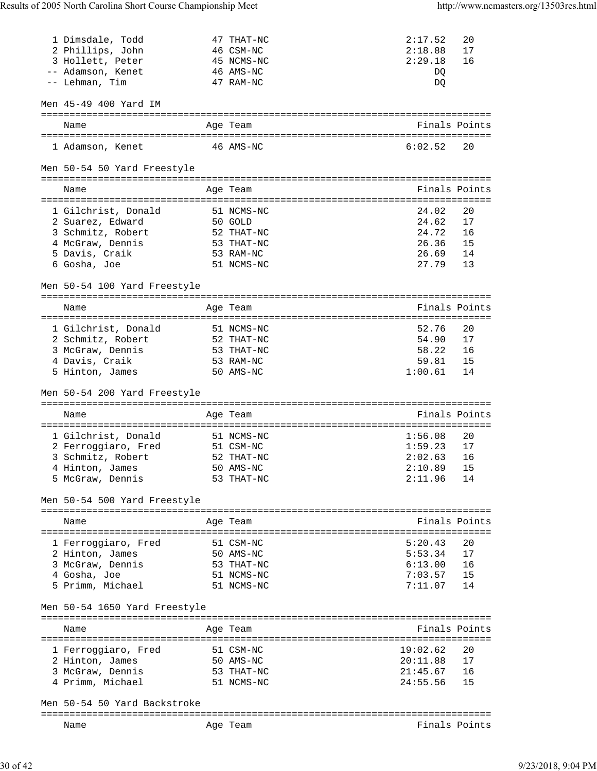| 1 Dimsdale, Todd                              | 47 THAT-NC               | 2:17.52              | 20            |
|-----------------------------------------------|--------------------------|----------------------|---------------|
| 2 Phillips, John                              | 46 CSM-NC                | 2:18.88              | 17            |
| 3 Hollett, Peter                              | 45 NCMS-NC               | 2:29.18              | 16            |
| -- Adamson, Kenet                             | 46 AMS-NC                | DQ                   |               |
| -- Lehman, Tim                                | 47 RAM-NC                | DQ                   |               |
| Men 45-49 400 Yard IM                         |                          |                      |               |
| Name                                          | Age Team                 |                      | Finals Points |
| 1 Adamson, Kenet                              | 46 AMS-NC                | 6:02.52              | 20            |
| Men 50-54 50 Yard Freestyle                   |                          |                      |               |
| Name                                          | Age Team                 |                      | Finals Points |
|                                               |                          |                      |               |
| 1 Gilchrist, Donald<br>2 Suarez, Edward       | 51 NCMS-NC<br>50 GOLD    | 24.02<br>24.62       | 20<br>17      |
| 3 Schmitz, Robert                             | 52 THAT-NC               | 24.72                | 16            |
| 4 McGraw, Dennis                              | 53 THAT-NC               | 26.36                | 15            |
| 5 Davis, Craik                                | 53 RAM-NC                | 26.69                | 14            |
| 6 Gosha, Joe                                  | 51 NCMS-NC               | 27.79                | 13            |
|                                               |                          |                      |               |
| Men 50-54 100 Yard Freestyle                  |                          |                      |               |
| Name                                          | Age Team                 | Finals Points        |               |
| 1 Gilchrist, Donald                           | 51 NCMS-NC               | 52.76                | 20            |
| 2 Schmitz, Robert                             | 52 THAT-NC               | 54.90                | 17            |
| 3 McGraw, Dennis                              | 53 THAT-NC               |                      | 16            |
| 4 Davis, Craik                                | 53 RAM-NC                | 58.22<br>59.81       | 15            |
| 5 Hinton, James                               | 50 AMS-NC                | 1:00.61              | 14            |
|                                               |                          |                      |               |
| Men 50-54 200 Yard Freestyle                  |                          |                      |               |
|                                               |                          |                      |               |
| Name                                          | Age Team                 | Finals Points        |               |
| 1 Gilchrist, Donald                           | 51 NCMS-NC               | 1:56.08              | 20            |
| 2 Ferroggiaro, Fred                           | 51 CSM-NC                | 1:59.23              | 17            |
| 3 Schmitz, Robert                             | 52 THAT-NC               | 2:02.63              | 16            |
|                                               | 50 AMS-NC                | 2:10.89              | 15            |
| 4 Hinton, James<br>5 McGraw, Dennis           | 53 THAT-NC               | 2:11.96              | 14            |
| Men 50-54 500 Yard Freestyle                  |                          |                      |               |
| ----------------------<br>Name                | Age Team                 |                      | Finals Points |
|                                               |                          |                      |               |
| 1 Ferroggiaro, Fred                           | 51 CSM-NC                | 5:20.43              | 20            |
| 2 Hinton, James                               | 50 AMS-NC                | 5:53.34              | 17            |
| 3 McGraw, Dennis                              | 53 THAT-NC               | 6:13.00              | 16            |
| 4 Gosha, Joe<br>5 Primm, Michael              | 51 NCMS-NC<br>51 NCMS-NC | 7:03.57<br>7:11.07   | 15<br>14      |
|                                               |                          |                      |               |
| Men 50-54 1650 Yard Freestyle                 |                          |                      |               |
| Name<br>===================================== | Age Team                 | Finals Points        |               |
|                                               |                          |                      |               |
| 1 Ferroggiaro, Fred                           | 51 CSM-NC                | 19:02.62             | 20            |
| 2 Hinton, James                               | 50 AMS-NC                | 20:11.88             | 17            |
| 3 McGraw, Dennis<br>4 Primm, Michael          | 53 THAT-NC<br>51 NCMS-NC | 21:45.67<br>24:55.56 | 16<br>15      |
| Men 50-54 50 Yard Backstroke                  |                          |                      |               |
|                                               |                          | Finals Points        |               |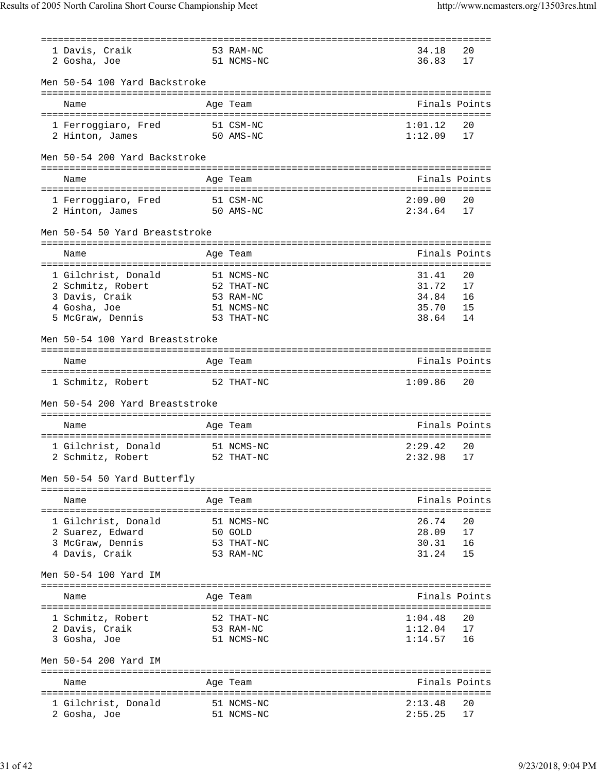| 1 Davis, Craik                  | 53 RAM-NC  | 34.18         | 20            |
|---------------------------------|------------|---------------|---------------|
| 2 Gosha, Joe                    | 51 NCMS-NC | 36.83         | 17            |
|                                 |            |               |               |
| Men 50-54 100 Yard Backstroke   |            |               |               |
|                                 |            |               |               |
|                                 |            | Finals Points |               |
| Name                            | Age Team   |               |               |
|                                 |            |               |               |
| 1 Ferroggiaro, Fred             | 51 CSM-NC  | 1:01.12       | 20            |
| $50$ AMS-NC<br>2 Hinton, James  |            | 1:12.09       | 17            |
|                                 |            |               |               |
| Men 50-54 200 Yard Backstroke   |            |               |               |
|                                 |            |               |               |
| Name                            | Age Team   | Finals Points |               |
|                                 |            |               |               |
| 1 Ferroggiaro, Fred             | 51 CSM-NC  | 2:09.00       | 20            |
|                                 |            |               |               |
| 2 Hinton, James<br>50 AMS-NC    |            | 2:34.64       | 17            |
|                                 |            |               |               |
| Men 50-54 50 Yard Breaststroke  |            |               |               |
|                                 |            |               |               |
| Name                            | Age Team   |               | Finals Points |
|                                 |            |               |               |
| 1 Gilchrist, Donald             | 51 NCMS-NC | 31.41         | 20            |
| 2 Schmitz, Robert               | 52 THAT-NC | 31.72         | 17            |
| 3 Davis, Craik                  | 53 RAM-NC  | 34.84         | 16            |
|                                 |            |               |               |
| 4 Gosha, Joe                    | 51 NCMS-NC | 35.70         | 15            |
| 5 McGraw, Dennis                | 53 THAT-NC | 38.64         | 14            |
|                                 |            |               |               |
| Men 50-54 100 Yard Breaststroke |            |               |               |
|                                 |            |               |               |
| Name                            | Age Team   | Finals Points |               |
|                                 |            |               |               |
| 1 Schmitz, Robert               | 52 THAT-NC | 1:09.86       | 20            |
|                                 |            |               |               |
|                                 |            |               |               |
| Men 50-54 200 Yard Breaststroke |            |               |               |
|                                 |            |               |               |
| Name                            | Age Team   | Finals Points |               |
|                                 |            |               |               |
| 1 Gilchrist, Donald             | 51 NCMS-NC | 2:29.42       | 20            |
| 2 Schmitz, Robert               | 52 THAT-NC | 2:32.98       | 17            |
|                                 |            |               |               |
| Men 50-54 50 Yard Butterfly     |            |               |               |
|                                 |            |               |               |
|                                 |            |               |               |
| Name                            | Age Team   | Finals Points |               |
|                                 |            |               |               |
| 1 Gilchrist, Donald             | 51 NCMS-NC | 26.74         | 20            |
| 2 Suarez, Edward                | 50 GOLD    | 28.09         | 17            |
| 3 McGraw, Dennis                | 53 THAT-NC | 30.31         | 16            |
| 4 Davis, Craik                  | 53 RAM-NC  | 31.24         | 15            |
|                                 |            |               |               |
| Men 50-54 100 Yard IM           |            |               |               |
|                                 |            |               |               |
|                                 |            | Finals Points |               |
| Name                            | Age Team   |               |               |
|                                 |            |               |               |
| 1 Schmitz, Robert               | 52 THAT-NC | 1:04.48       | 20            |
| 2 Davis, Craik                  | 53 RAM-NC  | 1:12.04       | 17            |
| 3 Gosha, Joe                    | 51 NCMS-NC | 1:14.57       | 16            |
|                                 |            |               |               |
| Men 50-54 200 Yard IM           |            |               |               |
|                                 |            |               |               |
|                                 |            | Finals Points |               |
| Name                            | Age Team   |               |               |
|                                 |            |               |               |
| 1 Gilchrist, Donald             | 51 NCMS-NC | 2:13.48       | 20            |
| 2 Gosha, Joe                    | 51 NCMS-NC | 2:55.25       | 17            |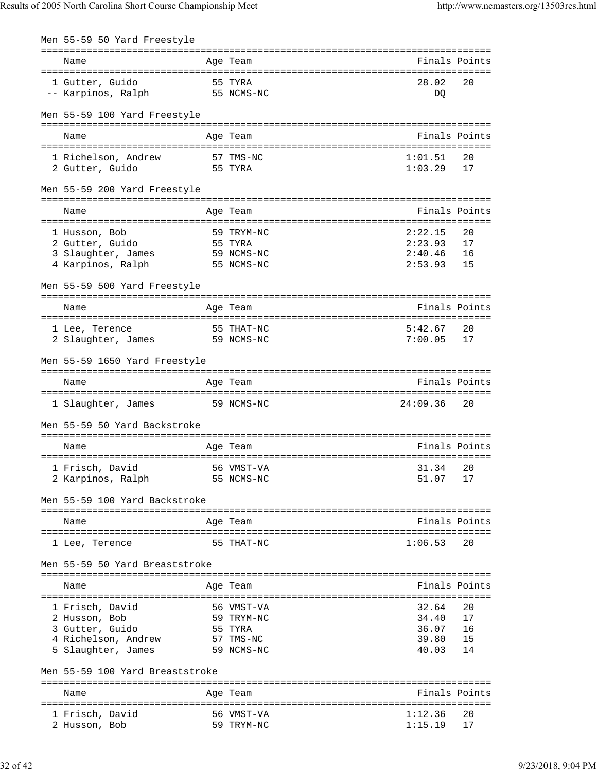| Men 55-59 50 Yard Freestyle      |            |                        |               |
|----------------------------------|------------|------------------------|---------------|
| Name                             | Age Team   |                        | Finals Points |
| 1 Gutter, Guido<br>55 TYRA       |            | 28.02                  | 20            |
| 55 NCMS-NC<br>-- Karpinos, Ralph |            | DQ                     |               |
| Men 55-59 100 Yard Freestyle     |            |                        |               |
| Name                             | Age Team   |                        | Finals Points |
|                                  |            |                        |               |
| 1 Richelson, Andrew              | 57 TMS-NC  | 1:01.51                | 20            |
| 2 Gutter, Guido                  | 55 TYRA    | 1:03.29                | 17            |
| Men 55-59 200 Yard Freestyle     |            |                        |               |
| Name                             | Age Team   |                        | Finals Points |
| 1 Husson, Bob                    | 59 TRYM-NC | 2:22.15                | 20            |
| 2 Gutter, Guido                  | 55 TYRA    | 2:23.93                | 17            |
| 3 Slaughter, James               | 59 NCMS-NC |                        | 16            |
| 4 Karpinos, Ralph                | 55 NCMS-NC | $2:40.46$<br>$2:53.93$ | 15            |
| Men 55-59 500 Yard Freestyle     |            |                        |               |
|                                  |            |                        |               |
| Name                             | Age Team   |                        | Finals Points |
| 1 Lee, Terence                   | 55 THAT-NC | 5:42.67                | 20            |
| 2 Slaughter, James               | 59 NCMS-NC | 7:00.05                | 17            |
| Men 55-59 1650 Yard Freestyle    |            |                        |               |
| Name                             | Age Team   |                        | Finals Points |
| 1 Slaughter, James 59 NCMS-NC    |            | 24:09.36               | 20            |
| Men 55-59 50 Yard Backstroke     |            |                        |               |
| Name                             | Age Team   |                        | Finals Points |
|                                  |            |                        |               |
| 1 Frisch, David                  | 56 VMST-VA | 31.34 20               |               |
| 2 Karpinos, Ralph                | 55 NCMS-NC | 51.07                  | 17            |
| Men 55-59 100 Yard Backstroke    |            |                        |               |
| Name                             | Age Team   |                        | Finals Points |
|                                  |            |                        |               |
| 1 Lee, Terence                   | 55 THAT-NC | 1:06.53                | 20            |
| Men 55-59 50 Yard Breaststroke   |            |                        |               |
| Name                             | Age Team   |                        | Finals Points |
| 1 Frisch, David                  | 56 VMST-VA | 32.64                  | 20            |
| 2 Husson, Bob                    | 59 TRYM-NC | 34.40                  | 17            |
| 3 Gutter, Guido                  | 55 TYRA    | 36.07                  | 16            |
| 4 Richelson, Andrew              | 57 TMS-NC  | 39.80                  | 15            |
| 5 Slaughter, James               | 59 NCMS-NC | 40.03                  | 14            |
| Men 55-59 100 Yard Breaststroke  |            |                        |               |
| Name                             | Age Team   |                        | Finals Points |
|                                  |            |                        |               |
| 1 Frisch, David                  | 56 VMST-VA | 1:12.36                | 20            |
| 2 Husson, Bob                    | 59 TRYM-NC | 1:15.19                | 17            |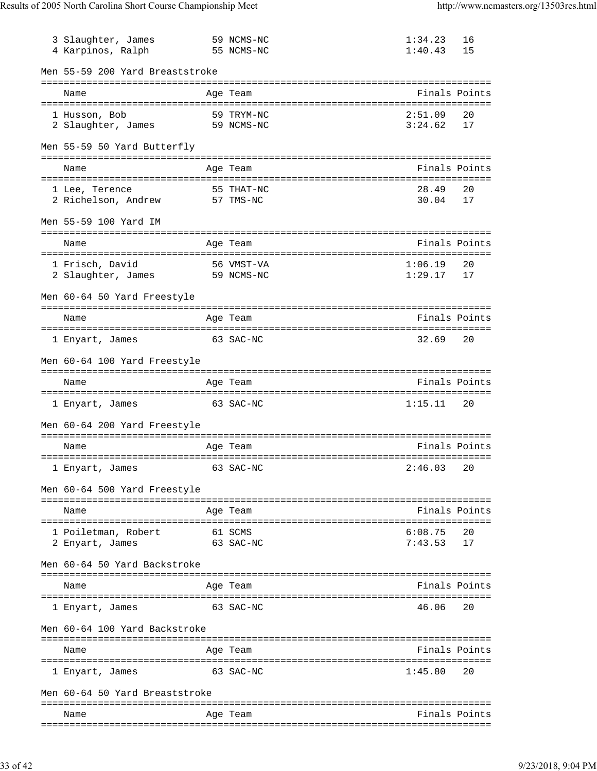| 3 Slaughter, James<br>4 Karpinos, Ralph          | 59 NCMS-NC<br>55 NCMS-NC          | 1:34.23<br>1:40.43 | 16<br>15 |
|--------------------------------------------------|-----------------------------------|--------------------|----------|
| Men 55-59 200 Yard Breaststroke                  |                                   |                    |          |
| Name                                             | Age Team                          | Finals Points      |          |
| 1 Husson, Bob<br>2 Slaughter, James 59 NCMS-NC   | 59 TRYM-NC                        | 2:51.09<br>3:24.62 | 20<br>17 |
| Men 55-59 50 Yard Butterfly                      |                                   |                    |          |
| Name                                             | Age Team                          | Finals Points      |          |
| 1 Lee, Terence<br>2 Richelson, Andrew            | 55 THAT-NC<br>57 TMS-NC           | 28.49<br>30.04     | 20<br>17 |
| Men 55-59 100 Yard IM                            |                                   |                    |          |
| Name                                             | Age Team                          | Finals Points      |          |
| 1 Frisch, David<br>2 Slaughter, James 59 NCMS-NC | 56 VMST-VA                        | 1:06.19<br>1:29.17 | 20<br>17 |
| Men 60-64 50 Yard Freestyle                      |                                   |                    |          |
| Name                                             | Age Team                          | Finals Points      |          |
| 1 Enyart, James                                  | 63 SAC-NC                         | 32.69              | 20       |
| Men 60-64 100 Yard Freestyle                     |                                   |                    |          |
| Name                                             | Age Team                          | Finals Points      |          |
| 1 Enyart, James                                  | 63 SAC-NC                         | 1:15.11            | 20       |
| Men 60-64 200 Yard Freestyle                     |                                   |                    |          |
| Name                                             | Age Team                          | Finals Points      |          |
| 1 Enyart, James                                  | 63 SAC-NC                         | 2:46.03            | 20       |
| Men 60-64 500 Yard Freestyle                     |                                   |                    |          |
| Name                                             | Age Team                          | Finals Points      |          |
| 1 Poiletman, Robert<br>2 Enyart, James           | 61 SCMS<br>63 SAC-NC              | 6:08.75<br>7:43.53 | 20<br>17 |
| Men 60-64 50 Yard Backstroke                     |                                   |                    |          |
| Name                                             | Age Team                          | Finals Points      |          |
| l Enyart, James                                  | 63 SAC-NC                         | 46.06              | 20       |
| Men 60-64 100 Yard Backstroke                    | --------------------------------- |                    |          |
| Name                                             | Age Team                          | Finals Points      |          |
| l Enyart, James                                  | 63 SAC-NC                         | 1:45.80            | 20       |
| Men 60-64 50 Yard Breaststroke                   |                                   |                    |          |
| Name                                             | Age Team                          | Finals Points      |          |
|                                                  |                                   |                    |          |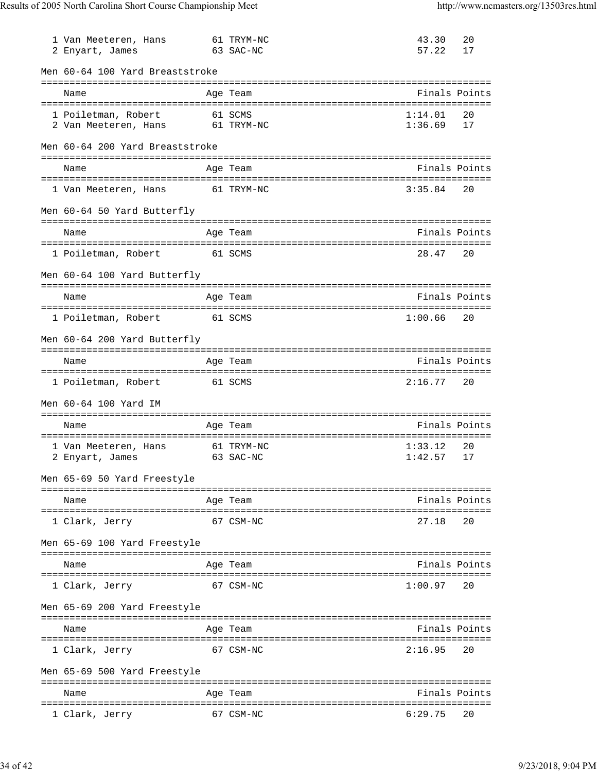| 1 Van Meeteren, Hans<br>2 Enyart, James              | 61 TRYM-NC<br>63 SAC-NC                     | 43.30<br>57.22     | 20<br>17 |
|------------------------------------------------------|---------------------------------------------|--------------------|----------|
| Men 60-64 100 Yard Breaststroke                      |                                             |                    |          |
| Name                                                 | Age Team                                    | Finals Points      |          |
| 1 Poiletman, Robert<br>2 Van Meeteren, Hans          | 61 SCMS<br>61 TRYM-NC                       | 1:14.01<br>1:36.69 | 20<br>17 |
| Men 60-64 200 Yard Breaststroke                      |                                             |                    |          |
| Name                                                 | Age Team                                    | Finals Points      |          |
| 1 Van Meeteren, Hans                                 | 61 TRYM-NC                                  | 3:35.84            | 20       |
| Men 60-64 50 Yard Butterfly                          |                                             |                    |          |
| Name                                                 | Age Team                                    | Finals Points      |          |
| 1 Poiletman, Robert<br>61 SCMS                       |                                             | 28.47              | 20       |
| Men 60-64 100 Yard Butterfly                         |                                             |                    |          |
| Name                                                 | Age Team                                    | Finals Points      |          |
| 1 Poiletman, Robert                                  | 61 SCMS                                     | 1:00.66            | 20       |
| Men 60-64 200 Yard Butterfly                         |                                             |                    |          |
| Name                                                 | Age Team                                    | Finals Points      |          |
| 1 Poiletman, Robert                                  | 61 SCMS                                     | 2:16.77            | 20       |
| Men 60-64 100 Yard IM                                |                                             |                    |          |
| Name                                                 | Age Team                                    | Finals Points      |          |
| 1 Van Meeteren, Hans<br>2 Enyart, James              | 61 TRYM-NC<br>63 SAC-NC                     | 1:33.12<br>1:42.57 | 20<br>17 |
| Men 65-69 50 Yard Freestyle                          |                                             |                    |          |
| Name                                                 | Age Team                                    | Finals Points      |          |
| 1 Clark, Jerry                                       | 67 CSM-NC                                   | 27.18              | 20       |
| Men 65-69 100 Yard Freestyle                         |                                             |                    |          |
| Name                                                 | Age Team                                    | Finals Points      |          |
| 1 Clark, Jerry                                       | 67 CSM-NC                                   | 1:00.97            | 20       |
| Men 65-69 200 Yard Freestyle                         |                                             |                    |          |
| Name                                                 | Age Team                                    | Finals Points      |          |
| ==================================<br>1 Clark, Jerry | ==============================<br>67 CSM-NC | 2:16.95            | 20       |
| Men 65-69 500 Yard Freestyle                         |                                             |                    |          |
| Name                                                 | Age Team                                    | Finals Points      |          |
| 1 Clark, Jerry                                       | 67 CSM-NC                                   | 6:29.75            | 20       |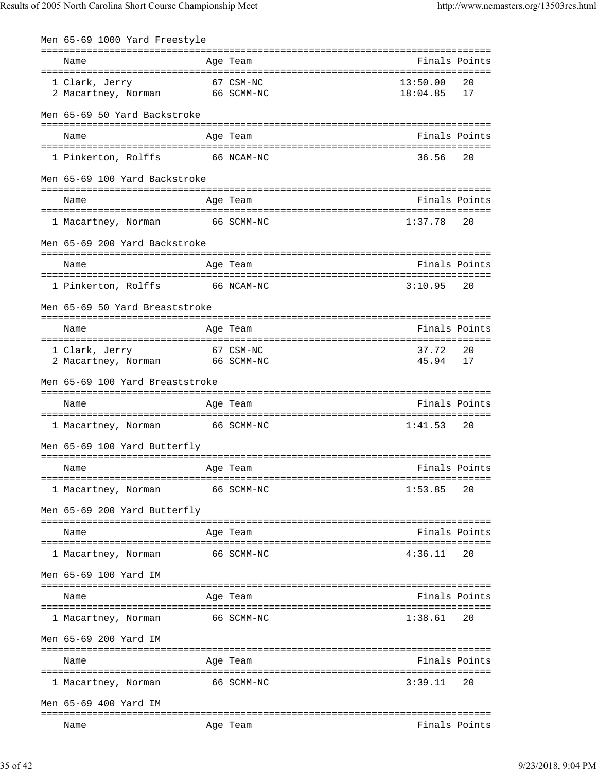| Men 65-69 1000 Yard Freestyle                                 |               |                      |               |
|---------------------------------------------------------------|---------------|----------------------|---------------|
| Name                                                          | Age Team      |                      | Finals Points |
| 67 CSM-NC<br>1 Clark, Jerry<br>2 Macartney, Norman 66 SCMM-NC |               | 13:50.00<br>18:04.85 | 20<br>17      |
| Men 65-69 50 Yard Backstroke                                  |               |                      |               |
| Name                                                          | Age Team      |                      | Finals Points |
| 1 Pinkerton, Rolffs 66 NCAM-NC                                |               | 36.56                | 20            |
| Men 65-69 100 Yard Backstroke                                 |               |                      |               |
| Name                                                          | Age Team      |                      | Finals Points |
| 1 Macartney, Norman                                           | 66 SCMM-NC    | $1:37.78$ 20         |               |
| Men 65-69 200 Yard Backstroke                                 |               |                      |               |
| Name                                                          | Age Team      |                      | Finals Points |
| 1 Pinkerton, Rolffs 66 NCAM-NC                                |               | $3:10.95$ 20         |               |
| Men 65-69 50 Yard Breaststroke                                |               |                      |               |
| Name                                                          | Age Team      |                      | Finals Points |
| 67 CSM-NC<br>1 Clark, Jerry<br>2 Macartney, Norman 66 SCMM-NC |               | 37.72<br>45.94       | 20<br>17      |
| Men 65-69 100 Yard Breaststroke                               |               |                      |               |
| Name                                                          | Age Team      |                      | Finals Points |
| 1 Macartney, Norman                                           | 66 SCMM-NC    | 1:41.53              | 20            |
| Men 65-69 100 Yard Butterfly                                  |               |                      |               |
| <b>Example 2</b> Age Team<br>Name                             | Finals Points |                      |               |
| 1 Macartney, Norman                                           | 66 SCMM-NC    | 1:53.85              | 20            |
| Men 65-69 200 Yard Butterfly                                  |               |                      |               |
| Name                                                          | Age Team      | Finals Points        |               |
| 1 Macartney, Norman                                           | 66 SCMM-NC    | 4:36.11              | 20            |
| Men 65-69 100 Yard IM                                         |               |                      |               |
| Name                                                          | Age Team      |                      | Finals Points |
| 1 Macartney, Norman                                           | 66 SCMM-NC    | 1:38.61              | 20            |
| Men 65-69 200 Yard IM                                         |               |                      |               |
| Name                                                          | Age Team      | Finals Points        |               |
| 1 Macartney, Norman                                           | 66 SCMM-NC    | 3:39.11              | 20            |
| Men 65-69 400 Yard IM                                         |               |                      |               |
| Name                                                          | Age Team      |                      | Finals Points |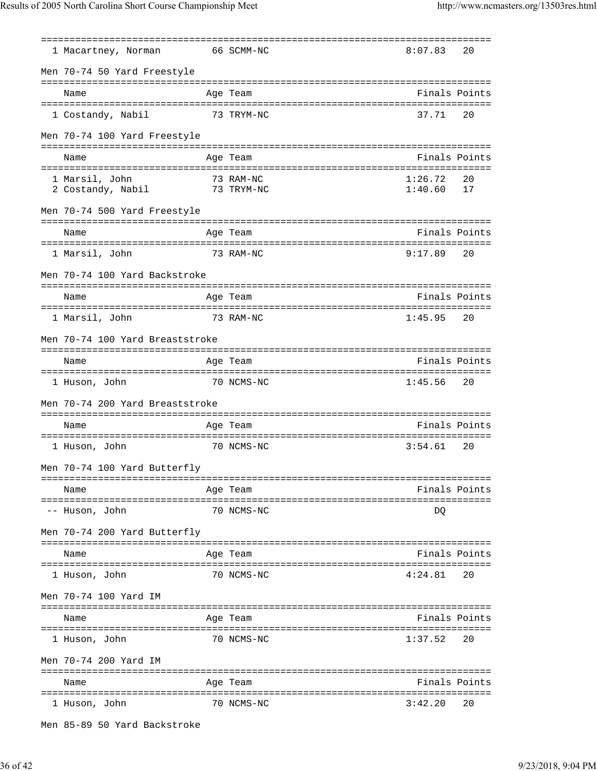|                                 | ============= |               |    |
|---------------------------------|---------------|---------------|----|
| 1 Macartney, Norman             | 66 SCMM-NC    | 8:07.83       | 20 |
| Men 70-74 50 Yard Freestyle     |               |               |    |
| Name                            | Age Team      | Finals Points |    |
| 1 Costandy, Nabil               | 73 TRYM-NC    | 37.71         | 20 |
| Men 70-74 100 Yard Freestyle    |               |               |    |
| Name                            | Age Team      | Finals Points |    |
| 1 Marsil, John                  | 73 RAM-NC     | 1:26.72       | 20 |
| 73 TRYM-NC<br>2 Costandy, Nabil |               | 1:40.60       | 17 |
| Men 70-74 500 Yard Freestyle    |               |               |    |
| Name                            | Age Team      | Finals Points |    |
| 1 Marsil, John                  | 73 RAM-NC     | 9:17.89       | 20 |
| Men 70-74 100 Yard Backstroke   |               |               |    |
|                                 |               |               |    |
| Name                            | Age Team      | Finals Points |    |
|                                 |               |               |    |
| 1 Marsil, John                  | 73 RAM-NC     | 1:45.95       | 20 |
| Men 70-74 100 Yard Breaststroke |               |               |    |
| Name                            | Age Team      | Finals Points |    |
| 1 Huson, John                   | 70 NCMS-NC    | $1:45.56$ 20  |    |
| Men 70-74 200 Yard Breaststroke |               |               |    |
|                                 |               | Finals Points |    |
| Name                            | Age Team      |               |    |
| 1 Huson, John                   | 70 NCMS-NC    | 3:54.61       | 20 |
| Men 70-74 100 Yard Butterfly    |               |               |    |
| Name                            | Age Team      | Finals Points |    |
| -- Huson, John                  | 70 NCMS-NC    | DQ            |    |
| Men 70-74 200 Yard Butterfly    |               |               |    |
|                                 |               |               |    |
| Name                            | Age Team      | Finals Points |    |
| 1 Huson, John                   | 70 NCMS-NC    | 4:24.81       | 20 |
| Men 70-74 100 Yard IM           |               |               |    |
| Name                            | Age Team      | Finals Points |    |
| 1 Huson, John                   | 70 NCMS-NC    | 1:37.52       | 20 |
| Men 70-74 200 Yard IM           |               |               |    |
|                                 |               |               |    |
| Name                            | Age Team      | Finals Points |    |
| 1 Huson, John                   | 70 NCMS-NC    | 3:42.20       | 20 |

Men 85-89 50 Yard Backstroke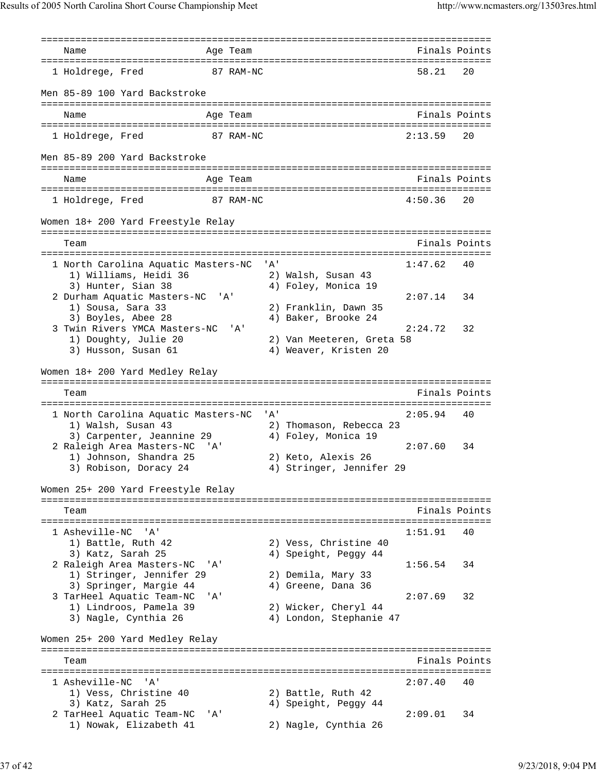=============================================================================== Name **Age Team Age Team** Rinals Points =============================================================================== 1 Holdrege, Fred 87 RAM-NC 58.21 Men 85-89 100 Yard Backstroke =============================================================================== Name Age Team Finals Points =============================================================================== 1 Holdrege, Fred 87 RAM-NC 2:13.59 20 Men 85-89 200 Yard Backstroke =============================================================================== Name **Age Team** Age Team Finals Points =============================================================================== 1 Holdrege, Fred 87 RAM-NC 4:50.36 20 Women 18+ 200 Yard Freestyle Relay =============================================================================== Team Finals Points =============================================================================== 1 North Carolina Aquatic Masters-NC 'A' 1:47.62 40 1) Williams, Heidi 36 2) Walsh, Susan 43 3) Hunter, Sian 38 4) Foley, Monica 19 2 Durham Aquatic Masters-NC 'A' 2:07.14 34<br>1) Sousa, Sara 33 2) Franklin, Dawn 35 1) Sousa, Sara 33 2) Franklin, Dawn 35 3) Boyles, Abee 28 4) Baker, Brooke 24 3 Twin Rivers YMCA Masters-NC 'A' 2:24.72 32 1) Doughty, Julie 20 2) Van Meeteren, Greta 58 3) Husson, Susan 61 (4) Weaver, Kristen 20 Women 18+ 200 Yard Medley Relay =============================================================================== Team Finals Points Points Points Points Points Points Points Points Points Points Points Points Points Points Points Points Points Points Points Points Points Points Points Points Points Points Points Points Points Points =============================================================================== 1 North Carolina Aquatic Masters-NC 'A' 2:05.94 40 1) Walsh, Susan 43 2) Thomason, Rebecca 23 3) Carpenter, Jeannine 29  $\hskip1cm$  4) Foley, Monica 19 2 Raleigh Area Masters-NC 'A' 2:07.60 34<br>1) Johnson, Shandra 25 2) Keto, Alexis 26 1) Johnson, Shandra 25 3) Robison, Doracy 24 4) Stringer, Jennifer 29 Women 25+ 200 Yard Freestyle Relay =============================================================================== Team Finals Points =============================================================================== 1 Asheville-NC 'A' 1:51.91 40 1) Battle, Ruth 42 2) Vess, Christine 40<br>1) Christine 2, 2007 3) Katz, Sarah 25 4) Speight, Peggy 44 2 Raleigh Area Masters-NC 'A' 1:56.54 34 1) Stringer, Jennifer 29 2) Demila, Mary 33 3) Springer, Margie 44  $\hskip 4cm 4$ ) Greene, Dana 36 3 TarHeel Aquatic Team-NC 'A' 2:07.69 32 1) Lindroos, Pamela 39 2) Wicker, Cheryl 44 3) Nagle, Cynthia 26 4) London, Stephanie 47 Women 25+ 200 Yard Medley Relay =============================================================================== Team Finals Points =============================================================================== 1 Asheville-NC 'A'<br>
1) Vess, Christine 40 2) Battle, Ruth 42 1) Vess, Christine 40 2) Battle, Ruth 42 3) Katz, Sarah 25 4) Speight, Peggy 44 2 TarHeel Aquatic Team-NC 'A' 2:09.01 34 1) Nowak, Elizabeth 41 2) Nagle, Cynthia 26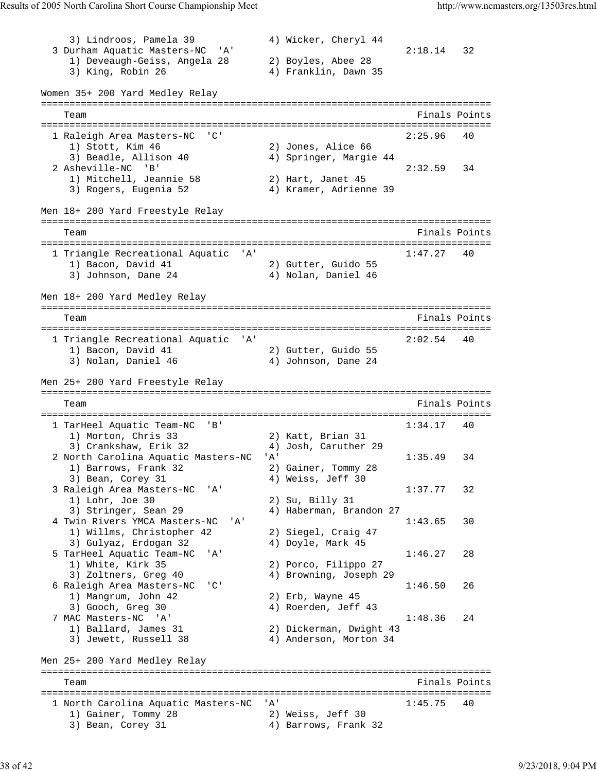3) Lindroos, Pamela 39 4) Wicker, Cheryl 44 3 Durham Aquatic Masters-NC 'A' 2:18.14 32 1) Deveaugh-Geiss, Angela 28 2) Boyles, Abee 28 3) King, Robin 26 4) Franklin, Dawn 35 Women 35+ 200 Yard Medley Relay =============================================================================== Team Finals Points =============================================================================== 1 Raleigh Area Masters-NC 'C' 2:25.96 40 1) Stott, Kim 46 2) Jones, Alice 66 3) Beadle, Allison 40 4) Springer, Margie 44 2 Asheville-NC 'B' 2:32.59 34 1) Mitchell, Jeannie 58 2) Hart, Janet 45 3) Rogers, Eugenia 52 4) Kramer, Adrienne 39 Men 18+ 200 Yard Freestyle Relay =============================================================================== Team Finals Points and the Community of the Community of the Points Points of the Points of the Community of the Community of the Community of the Community of the Community of the Community of the Community of the Communi =============================================================================== 1 Triangle Recreational Aquatic 'A' 1:47.27 40 1) Bacon, David 41 2) Gutter, Guido 55 3) Johnson, Dane 24 4) Nolan, Daniel 46 Men 18+ 200 Yard Medley Relay =============================================================================== Team Finals Points =============================================================================== 1 Triangle Recreational Aquatic 'A' 2:02.54 40 1) Bacon, David 41 2) Gutter, Guido 55 3) Nolan, Daniel 46 4) Johnson, Dane 24 Men 25+ 200 Yard Freestyle Relay =============================================================================== Team Finals Points =============================================================================== 1 TarHeel Aquatic Team-NC 'B' 1) Morton, Chris 33 2) Katt, Brian 31 3) Crankshaw, Erik 32 4) Josh, Caruther 29 2 North Carolina Aquatic Masters-NC 'A' 1:35.49 34 1) Barrows, Frank 32 2) Gainer, Tommy 28 3) Bean, Corey 31 4) Weiss, Jeff 30 3 Raleigh Area Masters-NC 'A' 1:37.77 32<br>1:37.77 32<br>2) Su, Billy 31 1) Lohr, Joe 30 2) Su, Billy 31 3) Stringer, Sean 29 4) Haberman, Brandon 27 4 Twin Rivers YMCA Masters-NC 'A' 1:43.65 30<br>1) Willms, Christopher 42 2) Siegel, Craig 47 1) Willms, Christopher 42 3) Gulyaz, Erdogan 32 4) Doyle, Mark 45 5 TarHeel Aquatic Team-NC 'A' 1:46.27 28<br>1) White, Kirk 35 2) Porco, Filippo 27 1) White, Kirk 35 2) Porco, Filippo 27 3) Zoltners, Greg 40 4) Browning, Joseph 29 6 Raleigh Area Masters-NC 'C' 1:46.50 26<br>1) Mangrum, John 42 2) Erb, Wayne 45 1) Mangrum, John 42 3) Gooch, Greg 30 4) Roerden, Jeff 43 7 MAC Masters-NC 'A' 1:48.36 24 1) Ballard, James 31 2) Dickerman, Dwight 43 3) Jewett, Russell 38 4) Anderson, Morton 34 Men 25+ 200 Yard Medley Relay =============================================================================== Team Finals Points Points Points Points Points Points Points Points Points Points Points Points Points Points Points Points Points Points Points Points Points Points Points Points Points Points Points Points Points Points =============================================================================== 1 North Carolina Aquatic Masters-NC 'A' 1:45.75 40 1) Gainer, Tommy 28 2) Weiss, Jeff 30 3) Bean, Corey 31 4) Barrows, Frank 32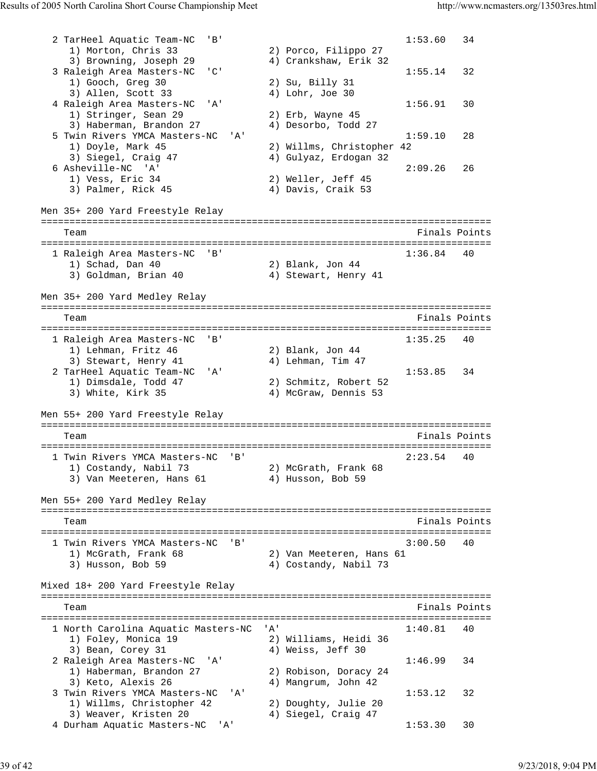```
2 TarHeel Aquatic Team-NC 'B' 1:53.60 34<br>1) Morton, Chris 33 2) Porco, Filippo 27
 1) Morton, Chris 33 2) Porco, Filippo 27 
 3) Browning, Joseph 29 4) Crankshaw, Erik 32 
 3 Raleigh Area Masters-NC 'C' 1:55.14 32<br>1) Gooch, Greq 30 2) Su, Billy 31 1:55.14 32
 1) Gooch, Greg 30 2) Su, Billy 31 
3) Allen, Scott 33 4) Lohr, Joe 30
 4 Raleigh Area Masters-NC 'A' 1:56.91 30<br>1) Stringer, Sean 29 2) Erb, Wayne 45
   1) Stringer, Sean 29<br>3) Haberman, Brandon 27
3) Haberman, Brandon 27 (4) Desorbo, Todd 27
 5 Twin Rivers YMCA Masters-NC 'A' 1:59.10 28 
 1) Doyle, Mark 45 2) Willms, Christopher 42 
 3) Siegel, Craig 47 4) Gulyaz, Erdogan 32 
 6 Asheville-NC 'A' 2:09.26 26 
 1) Vess, Eric 34 2) Weller, Jeff 45 
   3) Palmer, Rick 45 4) Davis, Craik 53
Men 35+ 200 Yard Freestyle Relay
===============================================================================
  Team Finals Points
===============================================================================
 1 Raleigh Area Masters-NC 'B' 1:36.84 40<br>1) Schad, Dan 40 2) Blank, Jon 44
 1) Schad, Dan 40 2) Blank, Jon 44 
 3) Goldman, Brian 40 4) Stewart, Henry 41 
Men 35+ 200 Yard Medley Relay
===============================================================================
   Team Finals Points 
===============================================================================
  1 Raleigh Area Masters-NC 'B' 1:35.25 40 
 1) Lehman, Fritz 46 2) Blank, Jon 44 
3) Stewart, Henry 41 4) Lehman, Tim 47
 2 TarHeel Aquatic Team-NC 'A' 1:53.85 34 
 1) Dimsdale, Todd 47 2) Schmitz, Robert 52 
 3) White, Kirk 35 4) McGraw, Dennis 53 
Men 55+ 200 Yard Freestyle Relay
===============================================================================
  Team Finals Points
===============================================================================
  1 Twin Rivers YMCA Masters-NC 'B' 2:23.54 40 
 1) Costandy, Nabil 73 2) McGrath, Frank 68 
3) Van Meeteren, Hans 61 (4) Husson, Bob 59
Men 55+ 200 Yard Medley Relay
===============================================================================
   Team Finals Points 
===============================================================================
 1 Twin Rivers YMCA Masters-NC 'B'
 1) McGrath, Frank 68 2) Van Meeteren, Hans 61 
 3) Husson, Bob 59 4) Costandy, Nabil 73 
Mixed 18+ 200 Yard Freestyle Relay
===============================================================================
   Team Finals Points 
===============================================================================
  1 North Carolina Aquatic Masters-NC 'A' 1:40.81 40 
 1) Foley, Monica 19 2) Williams, Heidi 36 
3) Bean, Corey 31 4) Weiss, Jeff 30
 2 Raleigh Area Masters-NC 'A' 1:46.99 34<br>1) Haberman, Brandon 27 2) Robison, Doracy 24
 1) Haberman, Brandon 27 2) Robison, Doracy 24 
3) Keto, Alexis 26 \hskip1cm 4) Mangrum, John 42
 3 Twin Rivers YMCA Masters-NC 'A' 1:53.12 32
 1) Willms, Christopher 42 2) Doughty, Julie 20 
3) Weaver, Kristen 20 \hskip1cm 4) Siegel, Craig 47
 4 Durham Aquatic Masters-NC 'A' 1:53.30 30
```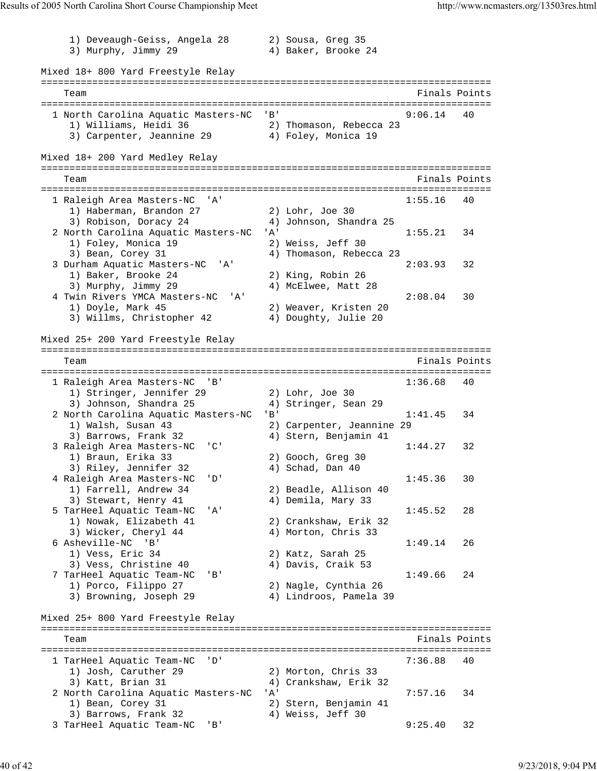1) Deveaugh-Geiss, Angela 28 2) Sousa, Greg 35<br>3) Murphy, Jimmy 29 4) Baker, Brooke 24 3) Murphy, Jimmy 29 Mixed 18+ 800 Yard Freestyle Relay =============================================================================== Team Finals Points and the Community of the Community of the Community of the Points Points of the Community of the Community of the Community of the Community of the Community of the Community of the Community of the Comm =============================================================================== 1 North Carolina Aquatic Masters-NC 'B' 9:06.14 40 1) Williams, Heidi 36 2) Thomason, Rebecca 23 3) Carpenter, Jeannine 29  $\hskip1cm 4$ ) Foley, Monica 19 Mixed 18+ 200 Yard Medley Relay =============================================================================== Team Finals Points =============================================================================== 1 Raleigh Area Masters-NC 'A' 1:55.16 40 1) Haberman, Brandon 27 2) Lohr, Joe 30 3) Robison, Doracy 24 4) Johnson, Shandra 25 2 North Carolina Aquatic Masters-NC 'A' 1:55.21 34 1) Foley, Monica 19 2) Weiss, Jeff 30 3) Bean, Corey 31 4) Thomason, Rebecca 23 3 Durham Aquatic Masters-NC 'A' 2:03.93 32 1) Baker, Brooke 24 2) King, Robin 26 3) Murphy, Jimmy 29 4) McElwee, Matt 28 4 Twin Rivers YMCA Masters-NC 'A' 2:08.04 30 1) Doyle, Mark 45 2) Weaver, Kristen 20 3) Willms, Christopher 42 4) Doughty, Julie 20 Mixed 25+ 200 Yard Freestyle Relay =============================================================================== Team Finals Points =============================================================================== 1 Raleigh Area Masters-NC 'B' 1:36.68 40 1) Stringer, Jennifer 29 2) Lohr, Joe 30 3) Johnson, Shandra 25 4) Stringer, Sean 29 2 North Carolina Aquatic Masters-NC 'B' 1:41.45 34 1) Walsh, Susan 43 2) Carpenter, Jeannine 29 3) Barrows, Frank 32 4) Stern, Benjamin 41 3 Raleigh Area Masters-NC 'C' (1:44.27 32<br>
13 Braun, Erika 33 (2) Gooch, Greg 30 1) Braun, Erika 33 2) Gooch, Greg 30 3) Riley, Jennifer 32 4) Schad, Dan 40 4 Raleigh Area Masters-NC 'D' 1:45.36 30 1) Farrell, Andrew 34 2) Beadle, Allison 40 3) Stewart, Henry 41 (4) Demila, Mary 33 5 TarHeel Aquatic Team-NC 'A' 1:45.52 28 1) Nowak, Elizabeth 41 2) Crankshaw, Erik 32 3) Wicker, Cheryl 44 4 4) Morton, Chris 33 6 Asheville-NC 'B' 1:49.14 26 1) Vess, Eric 34 2) Katz, Sarah 25 3) Vess, Christine 40 (4) Davis, Craik 53 7 TarHeel Aquatic Team-NC 'B' 1:49.66 24 1) Porco, Filippo 27 2) Nagle, Cynthia 26 3) Browning, Joseph 29 4) Lindroos, Pamela 39 Mixed 25+ 800 Yard Freestyle Relay =============================================================================== Team Finals Points =============================================================================== 1 TarHeel Aquatic Team-NC 'D' 7:36.88 40 1) Josh, Caruther 29 2) Morton, Chris 33 3) Katt, Brian 31 4) Crankshaw, Erik 32 2 North Carolina Aquatic Masters-NC 'A' 7:57.16 34 1) Bean, Corey 31 2) Stern, Benjamin 41 3) Barrows, Frank 32 (4) Weiss, Jeff 30 3 TarHeel Aquatic Team-NC 'B'  $\frac{1}{4}$ , weiss, Jert 30 9:25.40 32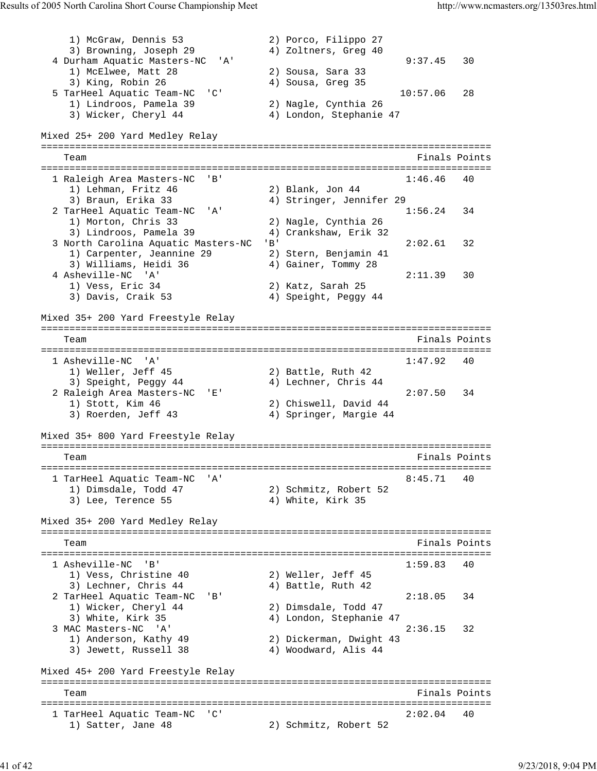1) McGraw, Dennis 53 2) Porco, Filippo 27 3) Browning, Joseph 29 4) Zoltners, Greg 40 4 Durham Aquatic Masters-NC 'A' 9:37.45 30 1) McElwee, Matt 28 2) Sousa, Sara 33<br>3) King, Robin 26 39 4) Sousa, Greg 35 3) King, Robin 26 4) Sousa, Greg 35 5 TarHeel Aquatic Team-NC 'C' 10:57.06 28 1) Lindroos, Pamela 39 2) Nagle, Cynthia 26 3) Wicker, Cheryl 44 4) London, Stephanie 47 Mixed 25+ 200 Yard Medley Relay =============================================================================== Team Finals Points Communications of the Communication of the Points Points Points Points Points Points Points =============================================================================== 1 Raleigh Area Masters-NC 'B'<br>1) Lehman, Fritz 46 2) Blank, Jon 44 1) Lehman, Fritz 46 2) Blank, Jon 44 3) Braun, Erika 33 4) Stringer, Jennifer 29 2 TarHeel Aquatic Team-NC 'A' 1:56.24 34 1) Morton, Chris 33 2) Nagle, Cynthia 26 3) Lindroos, Pamela 39 4) Crankshaw, Erik 32 3 North Carolina Aquatic Masters-NC 'B' 2:02.61 32 1) Carpenter, Jeannine 29 2) Stern, Benjamin 41 3) Williams, Heidi 36 4) Gainer, Tommy 28 4 Asheville-NC 'A' 2:11.39 30 1) Vess, Eric 34 2) Katz, Sarah 25 3) Davis, Craik 53 4) Speight, Peggy 44 Mixed 35+ 200 Yard Freestyle Relay =============================================================================== Team Finals Points =============================================================================== 1 Asheville-NC 'A' 1:47.92 40 1) Weller, Jeff 45 2) Battle, Ruth 42 3) Speight, Peggy 44  $\hskip 4cm 4$ ) Lechner, Chris 44 2 Raleigh Area Masters-NC 'E' 2:07.50 34 1) Stott, Kim 46 2) Chiswell, David 44 3) Roerden, Jeff 43 4) Springer, Margie 44 Mixed 35+ 800 Yard Freestyle Relay =============================================================================== Team **Finals Points Team** Finals Points **Propose Finals** Points =============================================================================== 1 TarHeel Aquatic Team-NC 'A' 8:45.71 40<br>
1) Dimsdale, Todd 47 2) Schmitz, Robert 52<br>
3) Lee, Terence 55 4) White, Kirk 35 1) Dimsdale, Todd 47 2) Schmitz, Robert 52 3) Lee, Terence 55 4) White, Kirk 35 Mixed 35+ 200 Yard Medley Relay =============================================================================== Team Finals Points and the Community of the Community of the Points Points Points and the Points of the Community of the Community of the Community of the Community of the Community of the Community of the Community of the =============================================================================== 1 Asheville-NC 'B' 1) Vess, Christine 40 2) Weller, Jeff 45 3) Lechner, Chris 44 4 4) Battle, Ruth 42 2 TarHeel Aquatic Team-NC 'B' 2:18.05 34 1) Wicker, Cheryl 44 2) Dimsdale, Todd 47 3) White, Kirk 35 4) London, Stephanie 47 3 MAC Masters-NC 'A' 2:36.15 32 1) Anderson, Kathy 49 2) Dickerman, Dwight 43 3) Jewett, Russell 38 4) Woodward, Alis 44 Mixed 45+ 200 Yard Freestyle Relay =============================================================================== Team Finals Points =============================================================================== 1 TarHeel Aquatic Team-NC 'C' 2:02.04 40 1) Satter, Jane 48 2) Schmitz, Robert 52